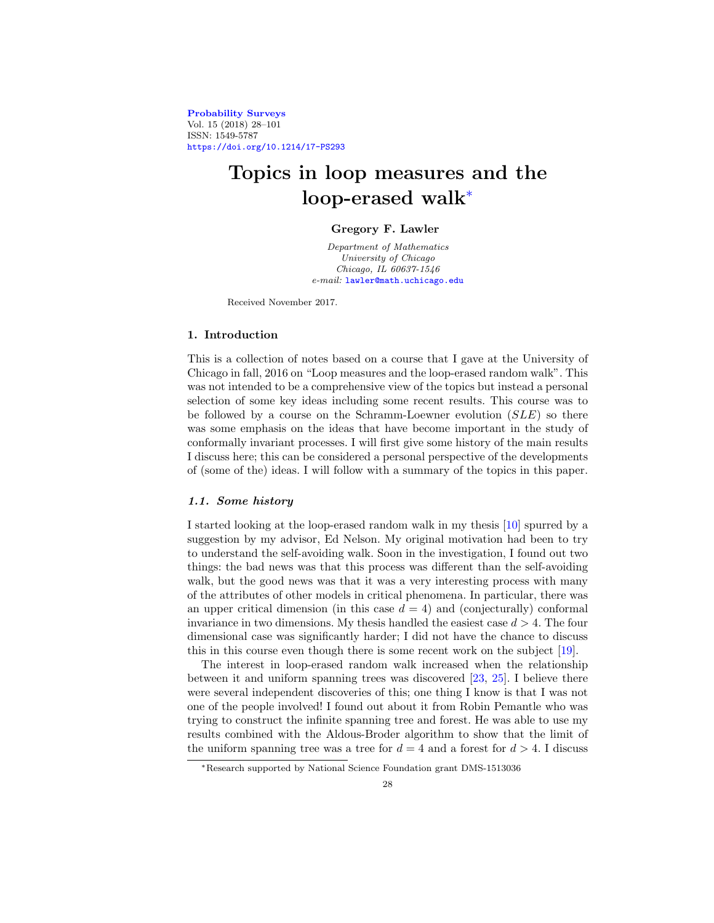**[Probability Surveys](http://www.i-journals.org/ps)** Vol. 15 (2018) 28–101 ISSN: 1549-5787 <https://doi.org/10.1214/17-PS293>

# **Topics in loop measures and the loop-erased walk**[∗](#page-0-0)

# **Gregory F. Lawler**

Department of Mathematics University of Chicago Chicago, IL 60637-1546 e-mail: [lawler@math.uchicago.edu](mailto:lawler@math.uchicago.edu)

Received November 2017.

# **1. Introduction**

This is a collection of notes based on a course that I gave at the University of Chicago in fall, 2016 on "Loop measures and the loop-erased random walk". This was not intended to be a comprehensive view of the topics but instead a personal selection of some key ideas including some recent results. This course was to be followed by a course on the Schramm-Loewner evolution (SLE) so there was some emphasis on the ideas that have become important in the study of conformally invariant processes. I will first give some history of the main results I discuss here; this can be considered a personal perspective of the developments of (some of the) ideas. I will follow with a summary of the topics in this paper.

# *1.1. Some history*

I started looking at the loop-erased random walk in my thesis [\[10](#page-72-0)] spurred by a suggestion by my advisor, Ed Nelson. My original motivation had been to try to understand the self-avoiding walk. Soon in the investigation, I found out two things: the bad news was that this process was different than the self-avoiding walk, but the good news was that it was a very interesting process with many of the attributes of other models in critical phenomena. In particular, there was an upper critical dimension (in this case  $d = 4$ ) and (conjecturally) conformal invariance in two dimensions. My thesis handled the easiest case  $d > 4$ . The four dimensional case was significantly harder; I did not have the chance to discuss this in this course even though there is some recent work on the subject [\[19\]](#page-73-0).

The interest in loop-erased random walk increased when the relationship between it and uniform spanning trees was discovered [\[23,](#page-73-1) [25](#page-73-2)]. I believe there were several independent discoveries of this; one thing I know is that I was not one of the people involved! I found out about it from Robin Pemantle who was trying to construct the infinite spanning tree and forest. He was able to use my results combined with the Aldous-Broder algorithm to show that the limit of the uniform spanning tree was a tree for  $d = 4$  and a forest for  $d > 4$ . I discuss

<span id="page-0-0"></span><sup>∗</sup>Research supported by National Science Foundation grant DMS-1513036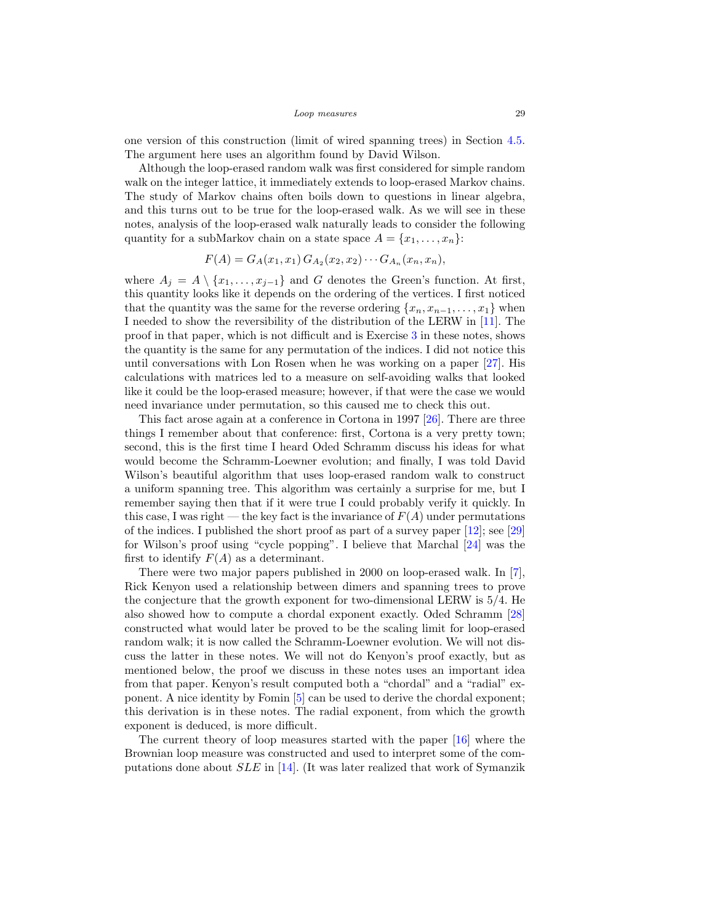Loop measures 29

one version of this construction (limit of wired spanning trees) in Section [4.5.](#page-24-0) The argument here uses an algorithm found by David Wilson.

Although the loop-erased random walk was first considered for simple random walk on the integer lattice, it immediately extends to loop-erased Markov chains. The study of Markov chains often boils down to questions in linear algebra, and this turns out to be true for the loop-erased walk. As we will see in these notes, analysis of the loop-erased walk naturally leads to consider the following quantity for a subMarkov chain on a state space  $A = \{x_1, \ldots, x_n\}$ :

$$
F(A) = G_A(x_1, x_1) G_{A_2}(x_2, x_2) \cdots G_{A_n}(x_n, x_n),
$$

where  $A_j = A \setminus \{x_1, \ldots, x_{j-1}\}\$ and G denotes the Green's function. At first, this quantity looks like it depends on the ordering of the vertices. I first noticed that the quantity was the same for the reverse ordering  $\{x_n, x_{n-1},\ldots,x_1\}$  when I needed to show the reversibility of the distribution of the LERW in [\[11\]](#page-72-1). The proof in that paper, which is not difficult and is Exercise [3](#page-12-0) in these notes, shows the quantity is the same for any permutation of the indices. I did not notice this until conversations with Lon Rosen when he was working on a paper [\[27](#page-73-3)]. His calculations with matrices led to a measure on self-avoiding walks that looked like it could be the loop-erased measure; however, if that were the case we would need invariance under permutation, so this caused me to check this out.

This fact arose again at a conference in Cortona in 1997 [\[26](#page-73-4)]. There are three things I remember about that conference: first, Cortona is a very pretty town; second, this is the first time I heard Oded Schramm discuss his ideas for what would become the Schramm-Loewner evolution; and finally, I was told David Wilson's beautiful algorithm that uses loop-erased random walk to construct a uniform spanning tree. This algorithm was certainly a surprise for me, but I remember saying then that if it were true I could probably verify it quickly. In this case. I was right — the key fact is the invariance of  $F(A)$  under permutations of the indices. I published the short proof as part of a survey paper [\[12\]](#page-72-2); see [\[29\]](#page-73-5) for Wilson's proof using "cycle popping". I believe that Marchal [\[24](#page-73-6)] was the first to identify  $F(A)$  as a determinant.

There were two major papers published in 2000 on loop-erased walk. In [\[7](#page-72-3)], Rick Kenyon used a relationship between dimers and spanning trees to prove the conjecture that the growth exponent for two-dimensional LERW is 5/4. He also showed how to compute a chordal exponent exactly. Oded Schramm [\[28\]](#page-73-7) constructed what would later be proved to be the scaling limit for loop-erased random walk; it is now called the Schramm-Loewner evolution. We will not discuss the latter in these notes. We will not do Kenyon's proof exactly, but as mentioned below, the proof we discuss in these notes uses an important idea from that paper. Kenyon's result computed both a "chordal" and a "radial" exponent. A nice identity by Fomin [\[5](#page-72-4)] can be used to derive the chordal exponent; this derivation is in these notes. The radial exponent, from which the growth exponent is deduced, is more difficult.

The current theory of loop measures started with the paper [\[16\]](#page-73-8) where the Brownian loop measure was constructed and used to interpret some of the computations done about SLE in [\[14](#page-72-5)]. (It was later realized that work of Symanzik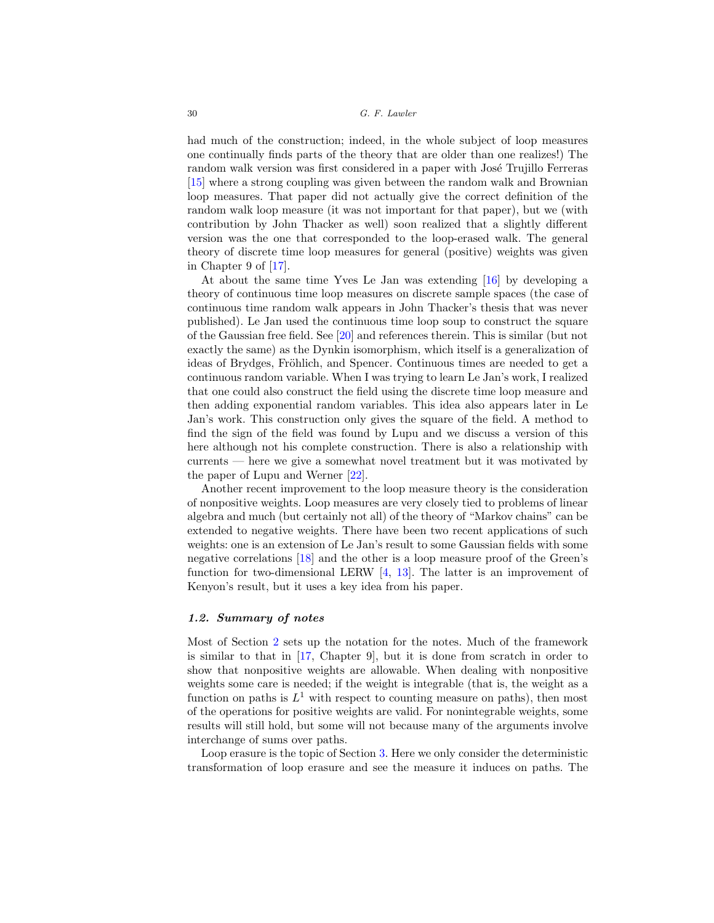had much of the construction; indeed, in the whole subject of loop measures one continually finds parts of the theory that are older than one realizes!) The random walk version was first considered in a paper with José Trujillo Ferreras [\[15](#page-72-6)] where a strong coupling was given between the random walk and Brownian loop measures. That paper did not actually give the correct definition of the random walk loop measure (it was not important for that paper), but we (with contribution by John Thacker as well) soon realized that a slightly different version was the one that corresponded to the loop-erased walk. The general theory of discrete time loop measures for general (positive) weights was given in Chapter 9 of [\[17](#page-73-9)].

At about the same time Yves Le Jan was extending [\[16\]](#page-73-8) by developing a theory of continuous time loop measures on discrete sample spaces (the case of continuous time random walk appears in John Thacker's thesis that was never published). Le Jan used the continuous time loop soup to construct the square of the Gaussian free field. See [\[20](#page-73-10)] and references therein. This is similar (but not exactly the same) as the Dynkin isomorphism, which itself is a generalization of ideas of Brydges, Fröhlich, and Spencer. Continuous times are needed to get a continuous random variable. When I was trying to learn Le Jan's work, I realized that one could also construct the field using the discrete time loop measure and then adding exponential random variables. This idea also appears later in Le Jan's work. This construction only gives the square of the field. A method to find the sign of the field was found by Lupu and we discuss a version of this here although not his complete construction. There is also a relationship with currents — here we give a somewhat novel treatment but it was motivated by the paper of Lupu and Werner [\[22](#page-73-11)].

Another recent improvement to the loop measure theory is the consideration of nonpositive weights. Loop measures are very closely tied to problems of linear algebra and much (but certainly not all) of the theory of "Markov chains" can be extended to negative weights. There have been two recent applications of such weights: one is an extension of Le Jan's result to some Gaussian fields with some negative correlations [\[18\]](#page-73-12) and the other is a loop measure proof of the Green's function for two-dimensional LERW [\[4](#page-72-7), [13](#page-72-8)]. The latter is an improvement of Kenyon's result, but it uses a key idea from his paper.

#### *1.2. Summary of notes*

Most of Section [2](#page-4-0) sets up the notation for the notes. Much of the framework is similar to that in [\[17](#page-73-9), Chapter 9], but it is done from scratch in order to show that nonpositive weights are allowable. When dealing with nonpositive weights some care is needed; if the weight is integrable (that is, the weight as a function on paths is  $L^1$  with respect to counting measure on paths), then most of the operations for positive weights are valid. For nonintegrable weights, some results will still hold, but some will not because many of the arguments involve interchange of sums over paths.

Loop erasure is the topic of Section [3.](#page-10-0) Here we only consider the deterministic transformation of loop erasure and see the measure it induces on paths. The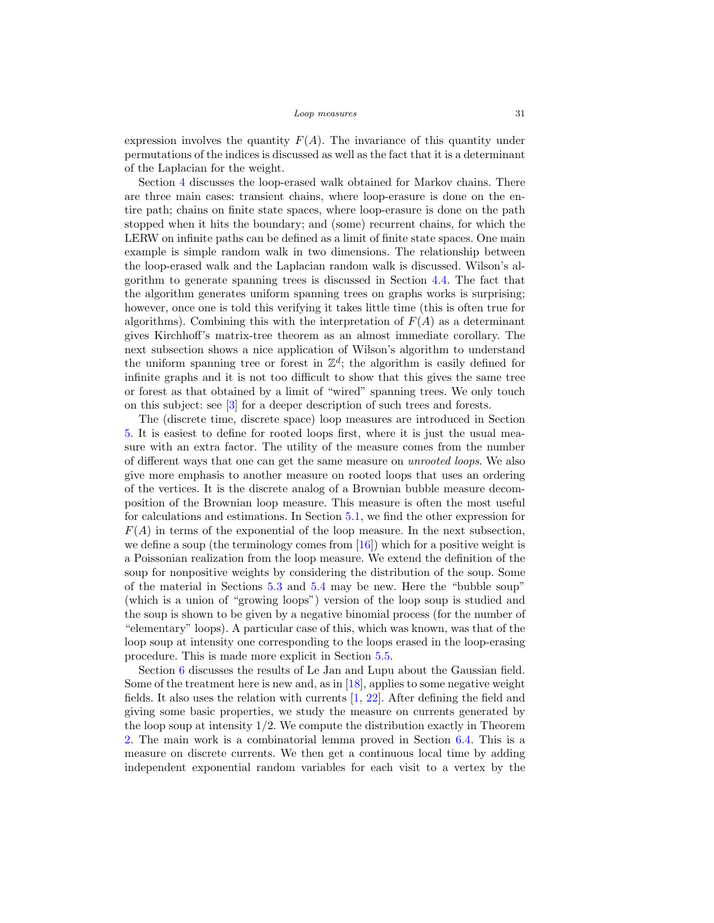expression involves the quantity  $F(A)$ . The invariance of this quantity under permutations of the indices is discussed as well as the fact that it is a determinant of the Laplacian for the weight.

Section [4](#page-14-0) discusses the loop-erased walk obtained for Markov chains. There are three main cases: transient chains, where loop-erasure is done on the entire path; chains on finite state spaces, where loop-erasure is done on the path stopped when it hits the boundary; and (some) recurrent chains, for which the LERW on infinite paths can be defined as a limit of finite state spaces. One main example is simple random walk in two dimensions. The relationship between the loop-erased walk and the Laplacian random walk is discussed. Wilson's algorithm to generate spanning trees is discussed in Section [4.4.](#page-22-0) The fact that the algorithm generates uniform spanning trees on graphs works is surprising; however, once one is told this verifying it takes little time (this is often true for algorithms). Combining this with the interpretation of  $F(A)$  as a determinant gives Kirchhoff's matrix-tree theorem as an almost immediate corollary. The next subsection shows a nice application of Wilson's algorithm to understand the uniform spanning tree or forest in  $\mathbb{Z}^d$ ; the algorithm is easily defined for infinite graphs and it is not too difficult to show that this gives the same tree or forest as that obtained by a limit of "wired" spanning trees. We only touch on this subject: see [\[3](#page-72-9)] for a deeper description of such trees and forests.

The (discrete time, discrete space) loop measures are introduced in Section [5.](#page-28-0) It is easiest to define for rooted loops first, where it is just the usual measure with an extra factor. The utility of the measure comes from the number of different ways that one can get the same measure on unrooted loops. We also give more emphasis to another measure on rooted loops that uses an ordering of the vertices. It is the discrete analog of a Brownian bubble measure decomposition of the Brownian loop measure. This measure is often the most useful for calculations and estimations. In Section [5.1,](#page-28-1) we find the other expression for  $F(A)$  in terms of the exponential of the loop measure. In the next subsection, we define a soup (the terminology comes from  $[16]$ ) which for a positive weight is a Poissonian realization from the loop measure. We extend the definition of the soup for nonpositive weights by considering the distribution of the soup. Some of the material in Sections [5.3](#page-33-0) and [5.4](#page-37-0) may be new. Here the "bubble soup" (which is a union of "growing loops") version of the loop soup is studied and the soup is shown to be given by a negative binomial process (for the number of "elementary" loops). A particular case of this, which was known, was that of the loop soup at intensity one corresponding to the loops erased in the loop-erasing procedure. This is made more explicit in Section [5.5.](#page-38-0)

Section [6](#page-39-0) discusses the results of Le Jan and Lupu about the Gaussian field. Some of the treatment here is new and, as in [\[18\]](#page-73-12), applies to some negative weight fields. It also uses the relation with currents [\[1](#page-72-10), [22](#page-73-11)]. After defining the field and giving some basic properties, we study the measure on currents generated by the loop soup at intensity  $1/2$ . We compute the distribution exactly in Theorem [2.](#page-43-0) The main work is a combinatorial lemma proved in Section [6.4.](#page-44-0) This is a measure on discrete currents. We then get a continuous local time by adding independent exponential random variables for each visit to a vertex by the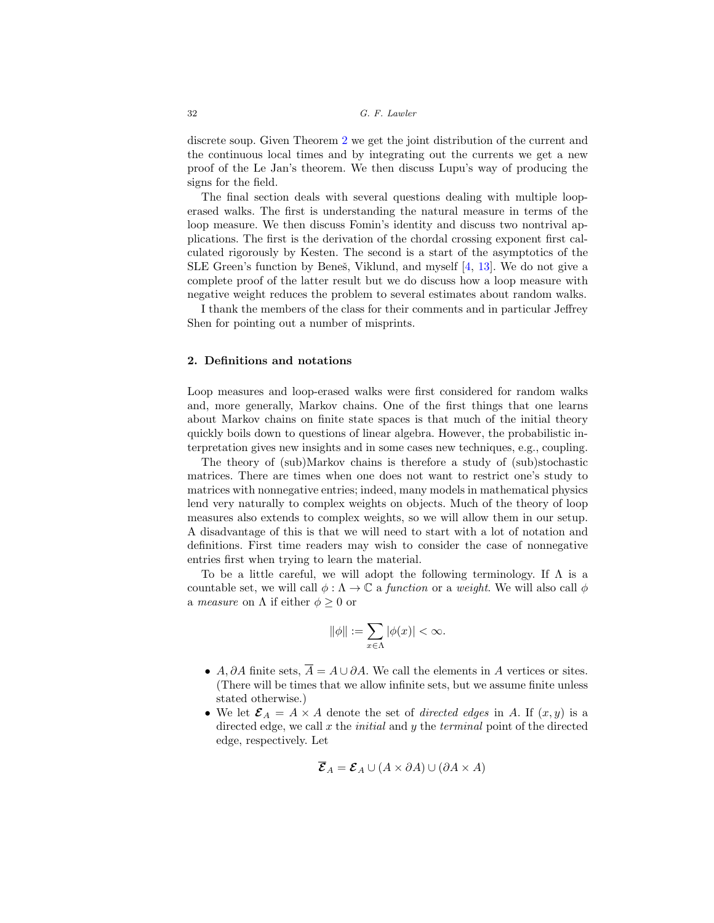discrete soup. Given Theorem [2](#page-43-0) we get the joint distribution of the current and the continuous local times and by integrating out the currents we get a new proof of the Le Jan's theorem. We then discuss Lupu's way of producing the signs for the field.

The final section deals with several questions dealing with multiple looperased walks. The first is understanding the natural measure in terms of the loop measure. We then discuss Fomin's identity and discuss two nontrival applications. The first is the derivation of the chordal crossing exponent first calculated rigorously by Kesten. The second is a start of the asymptotics of the SLE Green's function by Beneš, Viklund, and myself  $[4, 13]$  $[4, 13]$  $[4, 13]$  $[4, 13]$ . We do not give a complete proof of the latter result but we do discuss how a loop measure with negative weight reduces the problem to several estimates about random walks.

I thank the members of the class for their comments and in particular Jeffrey Shen for pointing out a number of misprints.

## <span id="page-4-0"></span>**2. Definitions and notations**

Loop measures and loop-erased walks were first considered for random walks and, more generally, Markov chains. One of the first things that one learns about Markov chains on finite state spaces is that much of the initial theory quickly boils down to questions of linear algebra. However, the probabilistic interpretation gives new insights and in some cases new techniques, e.g., coupling.

The theory of (sub)Markov chains is therefore a study of (sub)stochastic matrices. There are times when one does not want to restrict one's study to matrices with nonnegative entries; indeed, many models in mathematical physics lend very naturally to complex weights on objects. Much of the theory of loop measures also extends to complex weights, so we will allow them in our setup. A disadvantage of this is that we will need to start with a lot of notation and definitions. First time readers may wish to consider the case of nonnegative entries first when trying to learn the material.

To be a little careful, we will adopt the following terminology. If  $\Lambda$  is a countable set, we will call  $\phi : \Lambda \to \mathbb{C}$  a function or a weight. We will also call  $\phi$ a measure on  $\Lambda$  if either  $\phi \geq 0$  or

$$
\|\phi\|:=\sum_{x\in\Lambda}|\phi(x)|<\infty.
$$

- A,  $\partial A$  finite sets,  $\overline{A} = A \cup \partial A$ . We call the elements in A vertices or sites. (There will be times that we allow infinite sets, but we assume finite unless stated otherwise.)
- We let  $\mathcal{E}_A = A \times A$  denote the set of *directed edges* in A. If  $(x, y)$  is a directed edge, we call  $x$  the *initial* and  $y$  the *terminal* point of the directed edge, respectively. Let

$$
\overline{\mathcal{E}}_A = \mathcal{E}_A \cup (A \times \partial A) \cup (\partial A \times A)
$$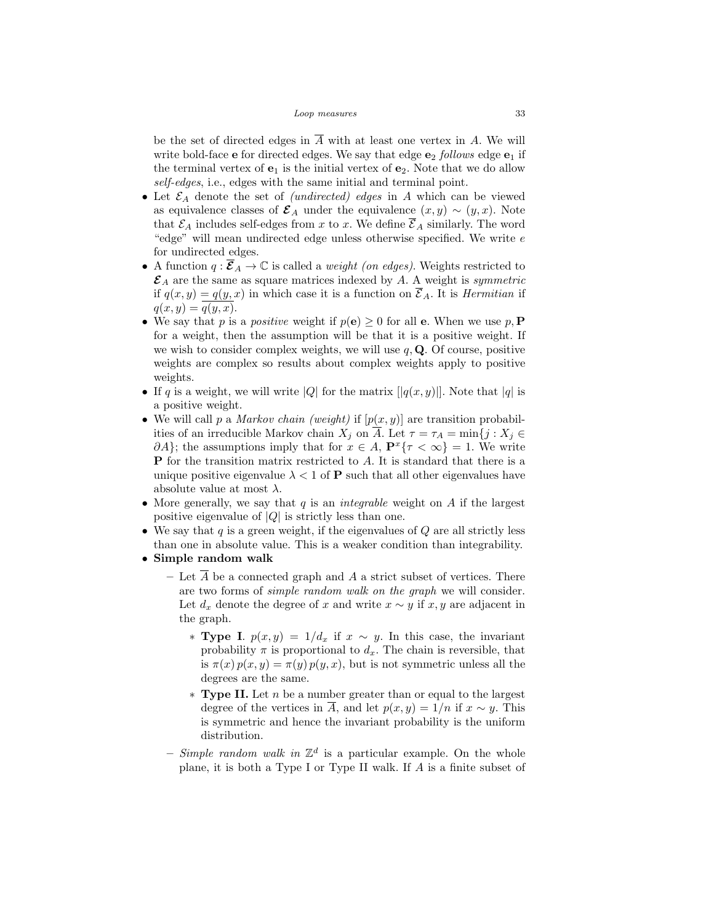be the set of directed edges in  $\overline{A}$  with at least one vertex in A. We will write bold-face **e** for directed edges. We say that edge  $e_2$  *follows* edge  $e_1$  if the terminal vertex of  $e_1$  is the initial vertex of  $e_2$ . Note that we do allow self-edges, i.e., edges with the same initial and terminal point.

- Let  $\mathcal{E}_A$  denote the set of *(undirected) edges* in A which can be viewed as equivalence classes of  $\mathcal{E}_A$  under the equivalence  $(x, y) \sim (y, x)$ . Note that  $\mathcal{E}_A$  includes self-edges from x to x. We define  $\overline{\mathcal{E}}_A$  similarly. The word "edge" will mean undirected edge unless otherwise specified. We write e for undirected edges.
- A function  $q : \mathcal{E}_A \to \mathbb{C}$  is called a *weight (on edges)*. Weights restricted to  $\mathcal{E}_A$  are the same as square matrices indexed by A. A weight is *symmetric* if  $q(x, y) = q(y, x)$  in which case it is a function on  $\overline{\mathcal{E}}_A$ . It is *Hermitian* if  $q(x, y) = q(y, x).$
- We say that p is a *positive* weight if  $p(e) \geq 0$  for all **e**. When we use p, **P** for a weight, then the assumption will be that it is a positive weight. If we wish to consider complex weights, we will use  $q$ , **Q**. Of course, positive weights are complex so results about complex weights apply to positive weights.
- If q is a weight, we will write |Q| for the matrix  $||q(x, y)||$ . Note that |q| is a positive weight.
- We will call p a Markov chain (weight) if  $[p(x, y)]$  are transition probabilities of an irreducible Markov chain  $X_j$  on A. Let  $\tau = \tau_A = \min\{j : X_j \in$  $\partial A$ ; the assumptions imply that for  $x \in A$ ,  $\mathbf{P}^x\{\tau < \infty\} = 1$ . We write **P** for the transition matrix restricted to A. It is standard that there is a unique positive eigenvalue  $\lambda < 1$  of **P** such that all other eigenvalues have absolute value at most  $\lambda$ .
- More generally, we say that q is an *integrable* weight on  $\tilde{A}$  if the largest positive eigenvalue of  $|Q|$  is strictly less than one.
- We say that  $q$  is a green weight, if the eigenvalues of  $Q$  are all strictly less than one in absolute value. This is a weaker condition than integrability.
- **Simple random walk**
	- Let  $\overline{A}$  be a connected graph and  $A$  a strict subset of vertices. There are two forms of simple random walk on the graph we will consider. Let  $d_x$  denote the degree of x and write  $x \sim y$  if  $x, y$  are adjacent in the graph.
		- ∗ **Type I**. p(x, y)=1/d<sup>x</sup> if x ∼ y. In this case, the invariant probability  $\pi$  is proportional to  $d_x$ . The chain is reversible, that is  $\pi(x) p(x, y) = \pi(y) p(y, x)$ , but is not symmetric unless all the degrees are the same.
		- ∗ **Type II.** Let n be a number greater than or equal to the largest degree of the vertices in  $\overline{A}$ , and let  $p(x, y)=1/n$  if  $x \sim y$ . This is symmetric and hence the invariant probability is the uniform distribution.
	- Simple random walk in  $\mathbb{Z}^d$  is a particular example. On the whole plane, it is both a Type I or Type II walk. If A is a finite subset of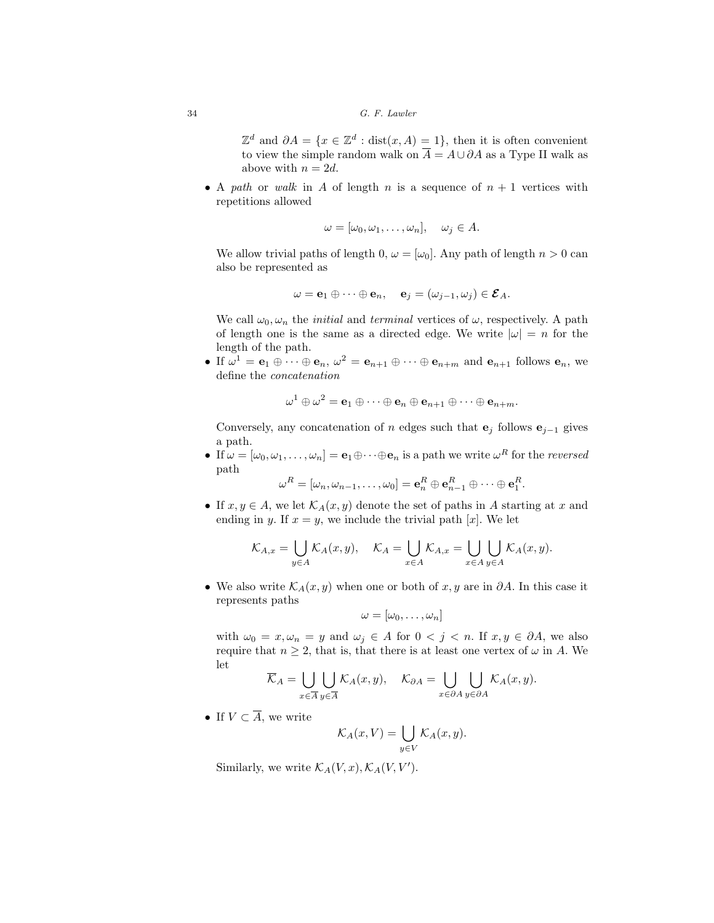$\mathbb{Z}^d$  and  $\partial A = \{x \in \mathbb{Z}^d : \text{dist}(x, A) = 1\}$ , then it is often convenient to view the simple random walk on  $\overline{A} = A \cup \partial A$  as a Type II walk as above with  $n = 2d$ .

• A path or walk in A of length n is a sequence of  $n + 1$  vertices with repetitions allowed

$$
\omega = [\omega_0, \omega_1, \dots, \omega_n], \quad \omega_j \in A.
$$

We allow trivial paths of length 0,  $\omega = [\omega_0]$ . Any path of length  $n > 0$  can also be represented as

$$
\omega = \mathbf{e}_1 \oplus \cdots \oplus \mathbf{e}_n, \quad \mathbf{e}_j = (\omega_{j-1}, \omega_j) \in \mathcal{E}_A.
$$

We call  $\omega_0, \omega_n$  the *initial* and *terminal* vertices of  $\omega$ , respectively. A path of length one is the same as a directed edge. We write  $|\omega| = n$  for the length of the path.

• If  $\omega^1 = e_1 \oplus \cdots \oplus e_n$ ,  $\omega^2 = e_{n+1} \oplus \cdots \oplus e_{n+m}$  and  $e_{n+1}$  follows  $e_n$ , we define the concatenation

$$
\omega^1\oplus\omega^2=\mathbf{e}_1\oplus\cdots\oplus\mathbf{e}_n\oplus\mathbf{e}_{n+1}\oplus\cdots\oplus\mathbf{e}_{n+m}.
$$

Conversely, any concatenation of n edges such that  $e_j$  follows  $e_{j-1}$  gives a path.

• If  $\omega = [\omega_0, \omega_1, \dots, \omega_n] = \mathbf{e}_1 \oplus \cdots \oplus \mathbf{e}_n$  is a path we write  $\omega^R$  for the *reversed* path

$$
\omega^R = [\omega_n, \omega_{n-1}, \dots, \omega_0] = \mathbf{e}_n^R \oplus \mathbf{e}_{n-1}^R \oplus \cdots \oplus \mathbf{e}_1^R.
$$

• If  $x, y \in A$ , we let  $\mathcal{K}_A(x, y)$  denote the set of paths in A starting at x and ending in y. If  $x = y$ , we include the trivial path [x]. We let

$$
\mathcal{K}_{A,x} = \bigcup_{y \in A} \mathcal{K}_A(x,y), \quad \mathcal{K}_A = \bigcup_{x \in A} \mathcal{K}_{A,x} = \bigcup_{x \in A} \bigcup_{y \in A} \mathcal{K}_A(x,y).
$$

• We also write  $\mathcal{K}_A(x, y)$  when one or both of x, y are in ∂A. In this case it represents paths

$$
\omega = [\omega_0, \ldots, \omega_n]
$$

with  $\omega_0 = x, \omega_n = y$  and  $\omega_j \in A$  for  $0 < j < n$ . If  $x, y \in \partial A$ , we also require that  $n \geq 2$ , that is, that there is at least one vertex of  $\omega$  in A. We let

$$
\overline{\mathcal{K}}_A = \bigcup_{x \in \overline{A}} \bigcup_{y \in \overline{A}} \mathcal{K}_A(x, y), \quad \mathcal{K}_{\partial A} = \bigcup_{x \in \partial A} \bigcup_{y \in \partial A} \mathcal{K}_A(x, y).
$$

• If  $V \subset \overline{A}$ , we write

$$
\mathcal{K}_A(x,V) = \bigcup_{y \in V} \mathcal{K}_A(x,y).
$$

Similarly, we write  $\mathcal{K}_A(V,x), \mathcal{K}_A(V,V').$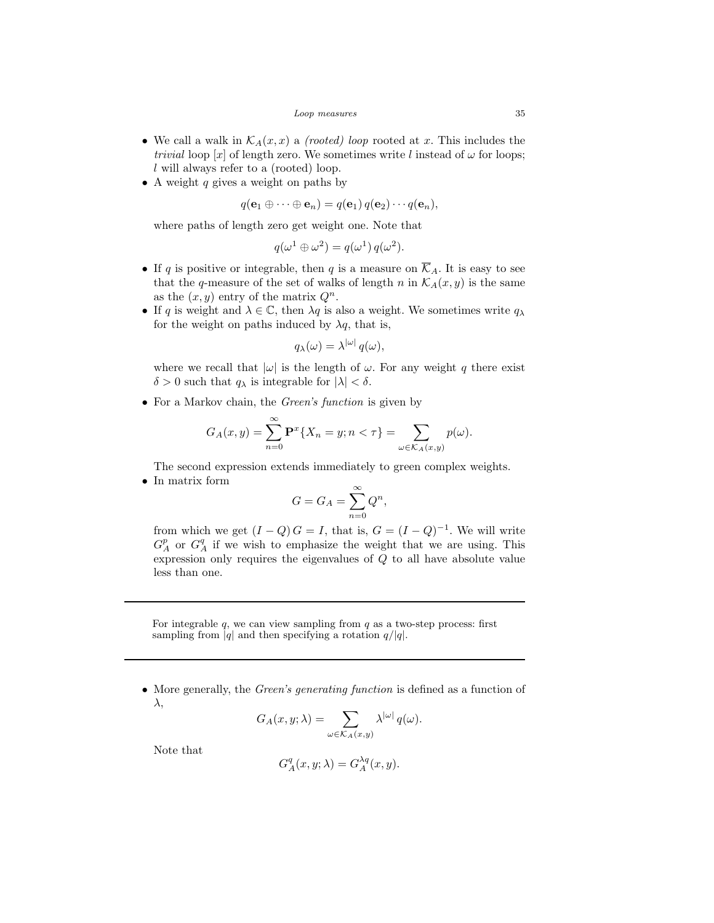- We call a walk in  $\mathcal{K}_A(x, x)$  a *(rooted) loop* rooted at x. This includes the *trivial* loop [x] of length zero. We sometimes write l instead of  $\omega$  for loops; l will always refer to a (rooted) loop.
- A weight q gives a weight on paths by

$$
q(\mathbf{e}_1 \oplus \cdots \oplus \mathbf{e}_n) = q(\mathbf{e}_1) q(\mathbf{e}_2) \cdots q(\mathbf{e}_n),
$$

where paths of length zero get weight one. Note that

$$
q(\omega^1 \oplus \omega^2) = q(\omega^1) q(\omega^2).
$$

- If q is positive or integrable, then q is a measure on  $\overline{\mathcal{K}}_A$ . It is easy to see that the q-measure of the set of walks of length n in  $\mathcal{K}_A(x, y)$  is the same as the  $(x, y)$  entry of the matrix  $Q^n$ .
- If q is weight and  $\lambda \in \mathbb{C}$ , then  $\lambda q$  is also a weight. We sometimes write  $q_{\lambda}$ for the weight on paths induced by  $\lambda q$ , that is,

$$
q_{\lambda}(\omega) = \lambda^{|\omega|} q(\omega),
$$

where we recall that  $|\omega|$  is the length of  $\omega$ . For any weight q there exist  $\delta > 0$  such that  $q_{\lambda}$  is integrable for  $|\lambda| < \delta$ .

• For a Markov chain, the *Green's function* is given by

$$
G_A(x,y) = \sum_{n=0}^{\infty} \mathbf{P}^x \{ X_n = y; n < \tau \} = \sum_{\omega \in \mathcal{K}_A(x,y)} p(\omega).
$$

The second expression extends immediately to green complex weights.

• In matrix form

$$
G = G_A = \sum_{n=0}^{\infty} Q^n,
$$

from which we get  $(I - Q)G = I$ , that is,  $G = (I - Q)^{-1}$ . We will write  $G_A^p$  or  $G_A^q$  if we wish to emphasize the weight that we are using. This expression only requires the eigenvalues of  $Q$  to all have absolute value less than one.

For integrable  $q$ , we can view sampling from  $q$  as a two-step process: first sampling from  $|q|$  and then specifying a rotation  $q/|q|$ .

• More generally, the *Green's generating function* is defined as a function of λ,

$$
G_A(x, y; \lambda) = \sum_{\omega \in \mathcal{K}_A(x, y)} \lambda^{|\omega|} q(\omega).
$$

Note that

$$
G_A^q(x, y; \lambda) = G_A^{\lambda q}(x, y).
$$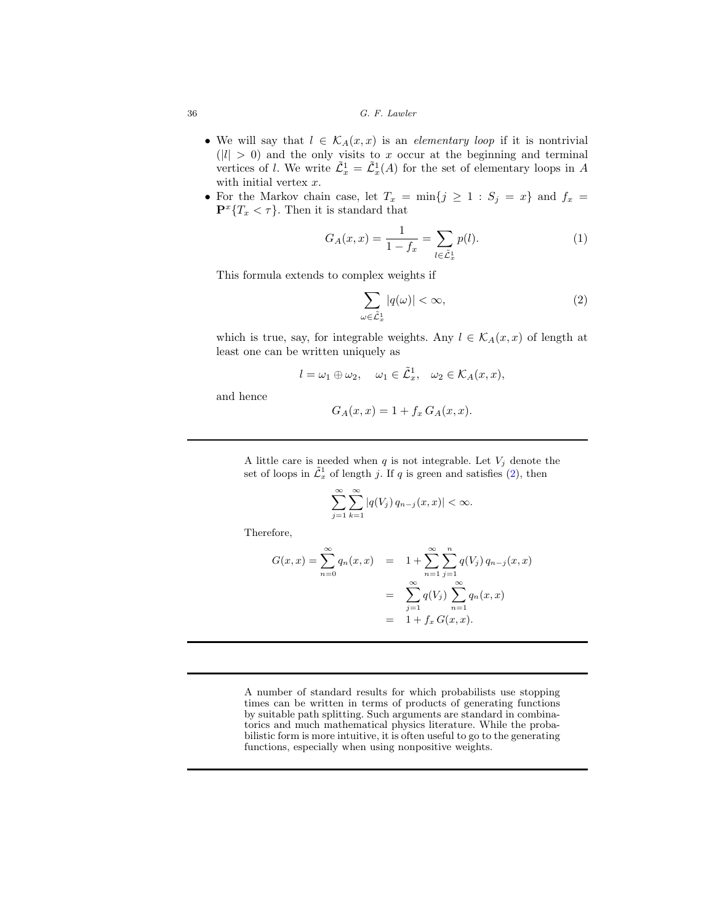# 36 G. F. Lawler

- We will say that  $l \in \mathcal{K}_A(x,x)$  is an *elementary loop* if it is nontrivial  $(|l| > 0)$  and the only visits to x occur at the beginning and terminal vertices of l. We write  $\tilde{\mathcal{L}}_x^1 = \tilde{\mathcal{L}}_x^1(A)$  for the set of elementary loops in A with initial vertex  $x$ .
- For the Markov chain case, let  $T_x = \min\{j \ge 1 : S_j = x\}$  and  $f_x =$  $\mathbf{P}^x \{T_x \leq \tau\}$ . Then it is standard that

$$
G_A(x,x) = \frac{1}{1 - f_x} = \sum_{l \in \tilde{\mathcal{L}}_x^1} p(l). \tag{1}
$$

This formula extends to complex weights if

<span id="page-8-0"></span>
$$
\sum_{\omega \in \tilde{\mathcal{L}}_x^1} |q(\omega)| < \infty,\tag{2}
$$

which is true, say, for integrable weights. Any  $l \in \mathcal{K}_A(x,x)$  of length at least one can be written uniquely as

$$
l = \omega_1 \oplus \omega_2, \quad \omega_1 \in \tilde{\mathcal{L}}_x^1, \quad \omega_2 \in \mathcal{K}_A(x, x),
$$

and hence

$$
G_A(x,x) = 1 + f_x G_A(x,x).
$$

A little care is needed when  $q$  is not integrable. Let  $V_i$  denote the set of loops in  $\tilde{\mathcal{L}}_x^1$  of length j. If q is green and satisfies [\(2\)](#page-8-0), then

$$
\sum_{j=1}^{\infty}\sum_{k=1}^{\infty}|q(V_j) q_{n-j}(x,x)| < \infty.
$$

Therefore,

$$
G(x,x) = \sum_{n=0}^{\infty} q_n(x,x) = 1 + \sum_{n=1}^{\infty} \sum_{j=1}^{n} q(V_j) q_{n-j}(x,x)
$$
  
= 
$$
\sum_{j=1}^{\infty} q(V_j) \sum_{n=1}^{\infty} q_n(x,x)
$$
  
= 
$$
1 + f_x G(x,x).
$$

A number of standard results for which probabilists use stopping times can be written in terms of products of generating functions by suitable path splitting. Such arguments are standard in combinatorics and much mathematical physics literature. While the probabilistic form is more intuitive, it is often useful to go to the generating functions, especially when using nonpositive weights.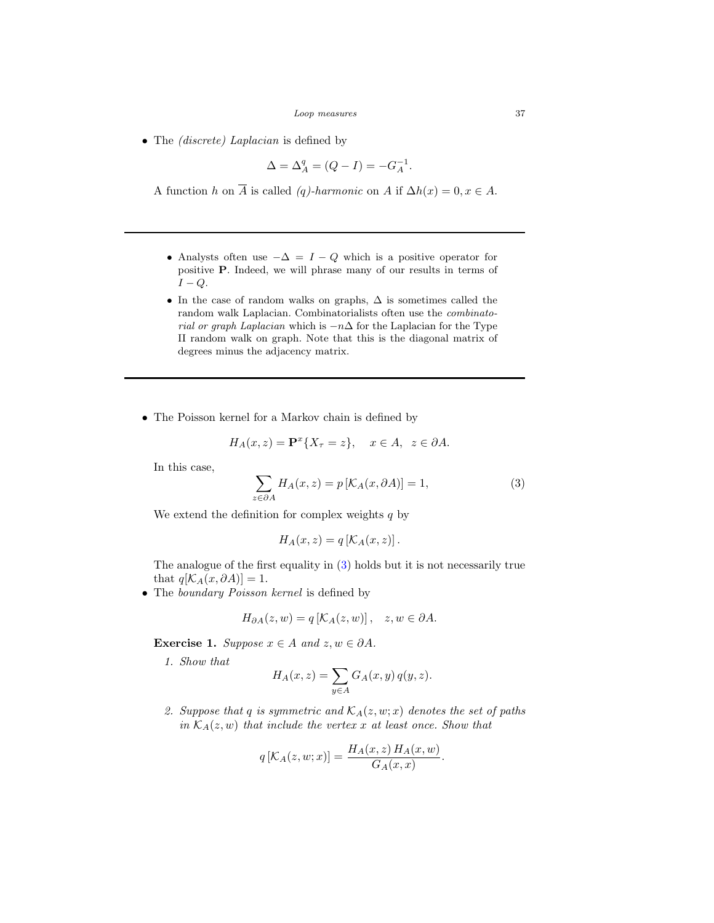• The *(discrete)* Laplacian is defined by

$$
\Delta = \Delta_A^q = (Q - I) = -G_A^{-1}.
$$

A function h on  $\overline{A}$  is called  $(q)$ -harmonic on A if  $\Delta h(x)=0, x \in A$ .

- Analysts often use  $-\Delta = I Q$  which is a positive operator for positive **P**. Indeed, we will phrase many of our results in terms of  $I - Q$ .
- In the case of random walks on graphs,  $\Delta$  is sometimes called the random walk Laplacian. Combinatorialists often use the combinatorial or graph Laplacian which is  $-n\Delta$  for the Laplacian for the Type II random walk on graph. Note that this is the diagonal matrix of degrees minus the adjacency matrix.
- The Poisson kernel for a Markov chain is defined by

$$
H_A(x, z) = \mathbf{P}^x \{ X_\tau = z \}, \quad x \in A, \ z \in \partial A.
$$

In this case,

<span id="page-9-0"></span>
$$
\sum_{z \in \partial A} H_A(x, z) = p \left[ \mathcal{K}_A(x, \partial A) \right] = 1,\tag{3}
$$

We extend the definition for complex weights  $q$  by

$$
H_A(x, z) = q \left[ \mathcal{K}_A(x, z) \right].
$$

The analogue of the first equality in [\(3\)](#page-9-0) holds but it is not necessarily true that  $q[\mathcal{K}_A(x, \partial A)] = 1$ .

• The boundary Poisson kernel is defined by

$$
H_{\partial A}(z, w) = q \left[ \mathcal{K}_A(z, w) \right], \quad z, w \in \partial A.
$$

**Exercise 1.** Suppose  $x \in A$  and  $z, w \in \partial A$ .

1. Show that

$$
H_A(x, z) = \sum_{y \in A} G_A(x, y) q(y, z).
$$

2. Suppose that q is symmetric and  $\mathcal{K}_A(z, w; x)$  denotes the set of paths in  $\mathcal{K}_A(z, w)$  that include the vertex x at least once. Show that

$$
q\left[\mathcal{K}_A(z,w;x)\right] = \frac{H_A(x,z) H_A(x,w)}{G_A(x,x)}.
$$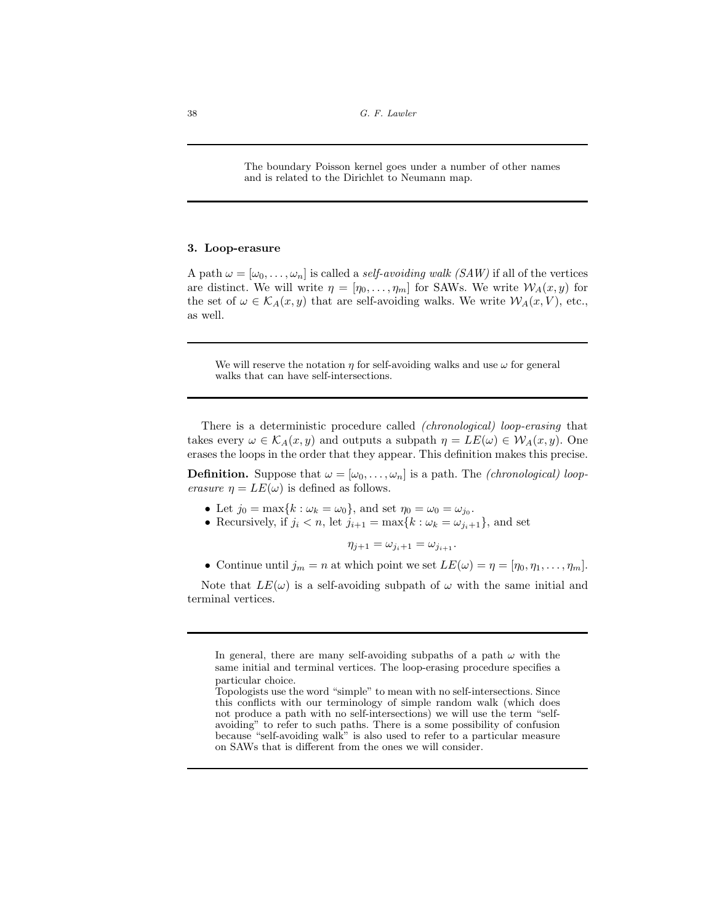The boundary Poisson kernel goes under a number of other names and is related to the Dirichlet to Neumann map.

# <span id="page-10-0"></span>**3. Loop-erasure**

A path  $\omega = [\omega_0, \ldots, \omega_n]$  is called a *self-avoiding walk (SAW)* if all of the vertices are distinct. We will write  $\eta = [\eta_0, \ldots, \eta_m]$  for SAWs. We write  $W_A(x, y)$  for the set of  $\omega \in \mathcal{K}_A(x, y)$  that are self-avoiding walks. We write  $\mathcal{W}_A(x, V)$ , etc., as well.

We will reserve the notation  $\eta$  for self-avoiding walks and use  $\omega$  for general walks that can have self-intersections.

There is a deterministic procedure called *(chronological)* loop-erasing that takes every  $\omega \in \mathcal{K}_A(x, y)$  and outputs a subpath  $\eta = LE(\omega) \in \mathcal{W}_A(x, y)$ . One erases the loops in the order that they appear. This definition makes this precise.

**Definition.** Suppose that  $\omega = [\omega_0, \ldots, \omega_n]$  is a path. The *(chronological) loop*erasure  $\eta = LE(\omega)$  is defined as follows.

- Let  $j_0 = \max\{k : \omega_k = \omega_0\}$ , and set  $\eta_0 = \omega_0 = \omega_{j_0}$ .
- Recursively, if  $j_i < n$ , let  $j_{i+1} = \max\{k : \omega_k = \omega_{j_i+1}\}$ , and set

$$
\eta_{j+1} = \omega_{j_i+1} = \omega_{j_{i+1}}.
$$

• Continue until  $j_m = n$  at which point we set  $LE(\omega) = \eta = [\eta_0, \eta_1, \dots, \eta_m].$ 

Note that  $LE(\omega)$  is a self-avoiding subpath of  $\omega$  with the same initial and terminal vertices.

In general, there are many self-avoiding subpaths of a path  $\omega$  with the same initial and terminal vertices. The loop-erasing procedure specifies a particular choice.

Topologists use the word "simple" to mean with no self-intersections. Since this conflicts with our terminology of simple random walk (which does not produce a path with no self-intersections) we will use the term "selfavoiding" to refer to such paths. There is a some possibility of confusion because "self-avoiding walk" is also used to refer to a particular measure on SAWs that is different from the ones we will consider.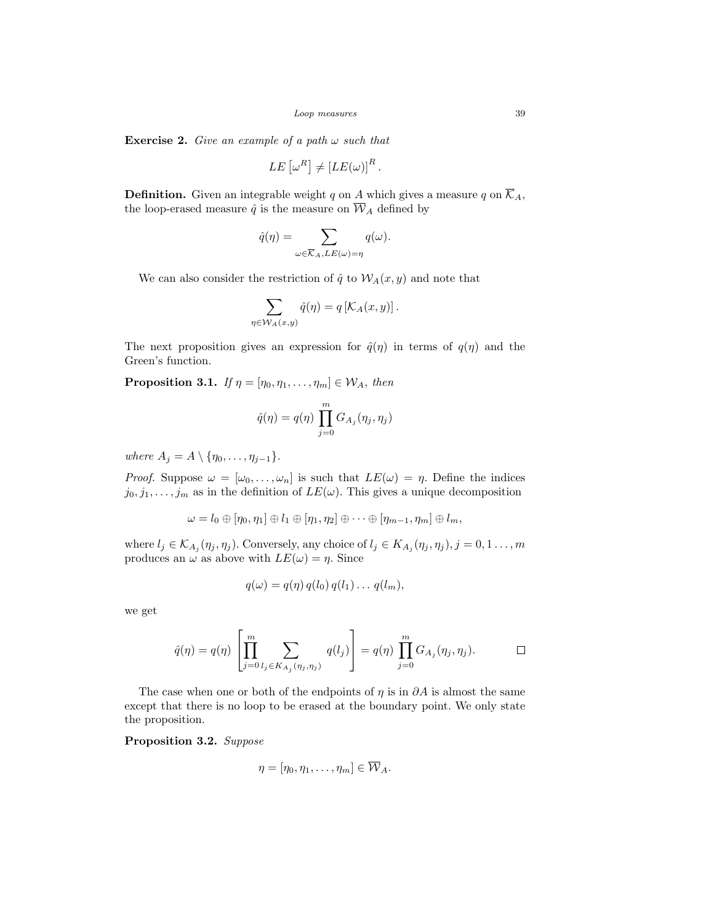**Exercise 2.** Give an example of a path  $\omega$  such that

$$
LE\left[\omega^R\right] \neq \left[LE(\omega)\right]^R.
$$

**Definition.** Given an integrable weight q on A which gives a measure q on  $\overline{\mathcal{K}}_A$ , the loop-erased measure  $\hat{q}$  is the measure on  $\overline{\mathcal{W}}_A$  defined by

$$
\hat{q}(\eta) = \sum_{\omega \in \overline{K}_A, LE(\omega) = \eta} q(\omega).
$$

We can also consider the restriction of  $\hat{q}$  to  $W_A(x, y)$  and note that

$$
\sum_{\eta \in \mathcal{W}_A(x,y)} \hat{q}(\eta) = q \left[ \mathcal{K}_A(x,y) \right].
$$

The next proposition gives an expression for  $\hat{q}(\eta)$  in terms of  $q(\eta)$  and the Green's function.

<span id="page-11-0"></span>**Proposition 3.1.** If  $\eta = [\eta_0, \eta_1, \dots, \eta_m] \in \mathcal{W}_A$ , then

$$
\hat{q}(\eta) = q(\eta) \prod_{j=0}^{m} G_{A_j}(\eta_j, \eta_j)
$$

where  $A_j = A \setminus \{\eta_0, \ldots, \eta_{j-1}\}.$ 

*Proof.* Suppose  $\omega = [\omega_0, \dots, \omega_n]$  is such that  $LE(\omega) = \eta$ . Define the indices  $j_0, j_1, \ldots, j_m$  as in the definition of  $LE(\omega)$ . This gives a unique decomposition

$$
\omega = l_0 \oplus [\eta_0, \eta_1] \oplus l_1 \oplus [\eta_1, \eta_2] \oplus \cdots \oplus [\eta_{m-1}, \eta_m] \oplus l_m,
$$

where  $l_j \in \mathcal{K}_{A_j}(\eta_j, \eta_j)$ . Conversely, any choice of  $l_j \in K_{A_j}(\eta_j, \eta_j)$ ,  $j = 0, 1, \ldots, m$ produces an  $\omega$  as above with  $LE(\omega) = \eta$ . Since

$$
q(\omega) = q(\eta) q(l_0) q(l_1) \dots q(l_m),
$$

we get

$$
\hat{q}(\eta) = q(\eta) \left[ \prod_{j=0}^m \sum_{l_j \in K_{A_j}(\eta_j, \eta_j)} q(l_j) \right] = q(\eta) \prod_{j=0}^m G_{A_j}(\eta_j, \eta_j).
$$

The case when one or both of the endpoints of  $\eta$  is in  $\partial A$  is almost the same except that there is no loop to be erased at the boundary point. We only state the proposition.

<span id="page-11-1"></span>**Proposition 3.2.** Suppose

$$
\eta = [\eta_0, \eta_1, \ldots, \eta_m] \in \overline{\mathcal{W}}_A.
$$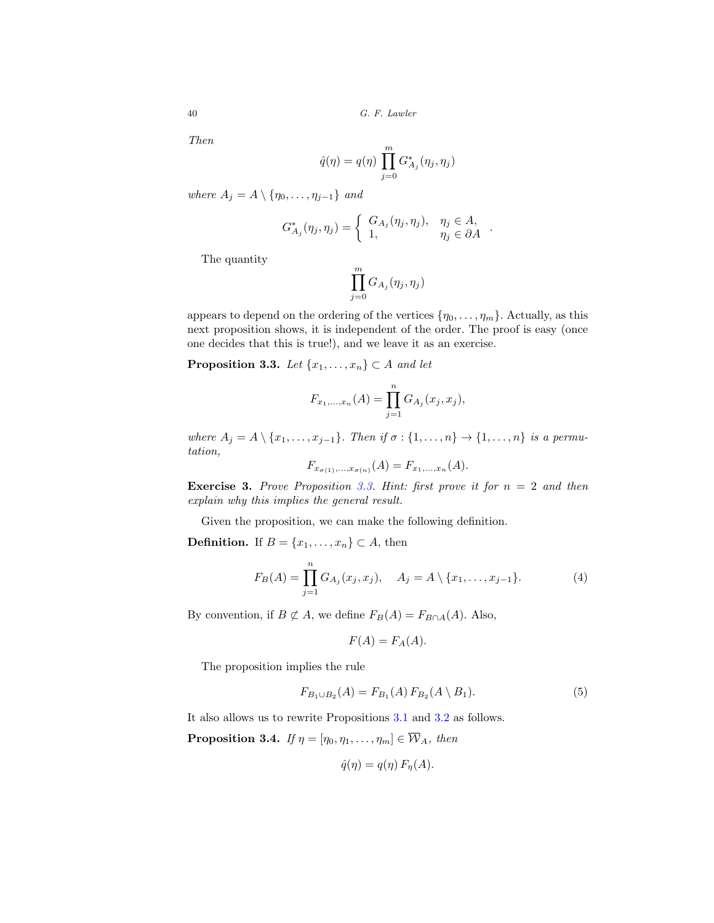Then

$$
\hat{q}(\eta) = q(\eta) \prod_{j=0}^{m} G_{A_j}^*(\eta_j, \eta_j)
$$

where  $A_j = A \setminus \{\eta_0, \ldots, \eta_{j-1}\}\$ and

$$
G_{A_j}^*(\eta_j, \eta_j) = \left\{ \begin{array}{ll} G_{A_j}(\eta_j, \eta_j), & \eta_j \in A, \\ 1, & \eta_j \in \partial A \end{array} \right. .
$$

The quantity

$$
\prod_{j=0}^m G_{A_j}(\eta_j,\eta_j)
$$

appears to depend on the ordering of the vertices  $\{\eta_0, \ldots, \eta_m\}$ . Actually, as this next proposition shows, it is independent of the order. The proof is easy (once one decides that this is true!), and we leave it as an exercise.

<span id="page-12-1"></span>**Proposition 3.3.** Let  $\{x_1, \ldots, x_n\} \subset A$  and let

$$
F_{x_1,...,x_n}(A) = \prod_{j=1}^n G_{A_j}(x_j, x_j),
$$

where  $A_j = A \setminus \{x_1, \ldots, x_{j-1}\}.$  Then if  $\sigma : \{1, \ldots, n\} \to \{1, \ldots, n\}$  is a permutation,

$$
F_{x_{\sigma(1)},...,x_{\sigma(n)}}(A) = F_{x_1,...,x_n}(A).
$$

<span id="page-12-0"></span>**Exercise 3.** Prove Proposition [3.3.](#page-12-1) Hint: first prove it for  $n = 2$  and then explain why this implies the general result.

Given the proposition, we can make the following definition.

**Definition.** If  $B = \{x_1, \ldots, x_n\} \subset A$ , then

$$
F_B(A) = \prod_{j=1}^n G_{A_j}(x_j, x_j), \quad A_j = A \setminus \{x_1, \dots, x_{j-1}\}.
$$
 (4)

By convention, if  $B \not\subset A$ , we define  $F_B(A) = F_{B \cap A}(A)$ . Also,

$$
F(A) = F_A(A).
$$

The proposition implies the rule

<span id="page-12-3"></span>
$$
F_{B_1 \cup B_2}(A) = F_{B_1}(A) F_{B_2}(A \setminus B_1). \tag{5}
$$

It also allows us to rewrite Propositions [3.1](#page-11-0) and [3.2](#page-11-1) as follows.

<span id="page-12-2"></span>**Proposition 3.4.** If  $\eta = [\eta_0, \eta_1, \ldots, \eta_m] \in \overline{\mathcal{W}}_A$ , then

$$
\hat{q}(\eta) = q(\eta) F_{\eta}(A).
$$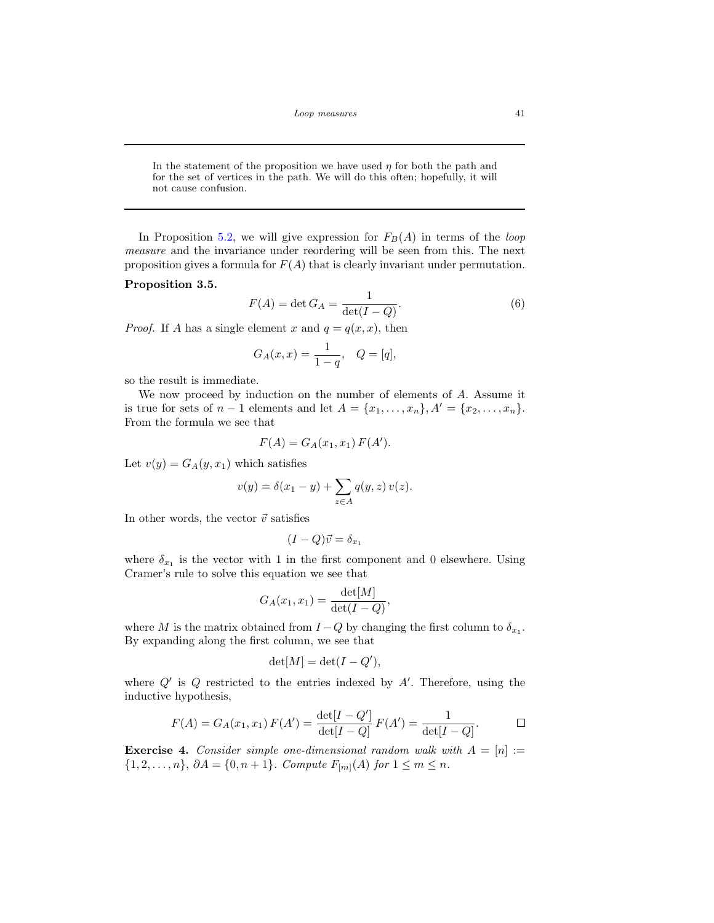In the statement of the proposition we have used  $\eta$  for both the path and for the set of vertices in the path. We will do this often; hopefully, it will not cause confusion.

In Proposition [5.2,](#page-30-0) we will give expression for  $F_B(A)$  in terms of the *loop* measure and the invariance under reordering will be seen from this. The next proposition gives a formula for  $F(A)$  that is clearly invariant under permutation.

#### **Proposition 3.5.**

<span id="page-13-0"></span>
$$
F(A) = \det G_A = \frac{1}{\det(I - Q)}.\tag{6}
$$

*Proof.* If A has a single element x and  $q = q(x, x)$ , then

$$
G_A(x,x) = \frac{1}{1-q}, \quad Q = [q],
$$

so the result is immediate.

We now proceed by induction on the number of elements of A. Assume it is true for sets of  $n-1$  elements and let  $A = \{x_1, \ldots, x_n\}, A' = \{x_2, \ldots, x_n\}.$ From the formula we see that

$$
F(A) = G_A(x_1, x_1) F(A').
$$

Let  $v(y) = G_A(y, x_1)$  which satisfies

$$
v(y) = \delta(x_1 - y) + \sum_{z \in A} q(y, z) v(z).
$$

In other words, the vector  $\vec{v}$  satisfies

$$
(I-Q)\vec{v} = \delta_{x_1}
$$

where  $\delta_{x_1}$  is the vector with 1 in the first component and 0 elsewhere. Using Cramer's rule to solve this equation we see that

$$
G_A(x_1, x_1) = \frac{\det[M]}{\det(I - Q)},
$$

where M is the matrix obtained from  $I - Q$  by changing the first column to  $\delta_{x_1}$ . By expanding along the first column, we see that

$$
\det[M] = \det(I - Q'),
$$

where  $Q'$  is  $Q$  restricted to the entries indexed by  $A'$ . Therefore, using the inductive hypothesis,

$$
F(A) = G_A(x_1, x_1) F(A') = \frac{\det[I - Q']}{\det[I - Q]} F(A') = \frac{1}{\det[I - Q]}.
$$

**Exercise 4.** Consider simple one-dimensional random walk with  $A = [n] :=$  $\{1, 2, \ldots, n\}, \, \partial A = \{0, n + 1\}.$  Compute  $F_{[m]}(A)$  for  $1 \le m \le n$ .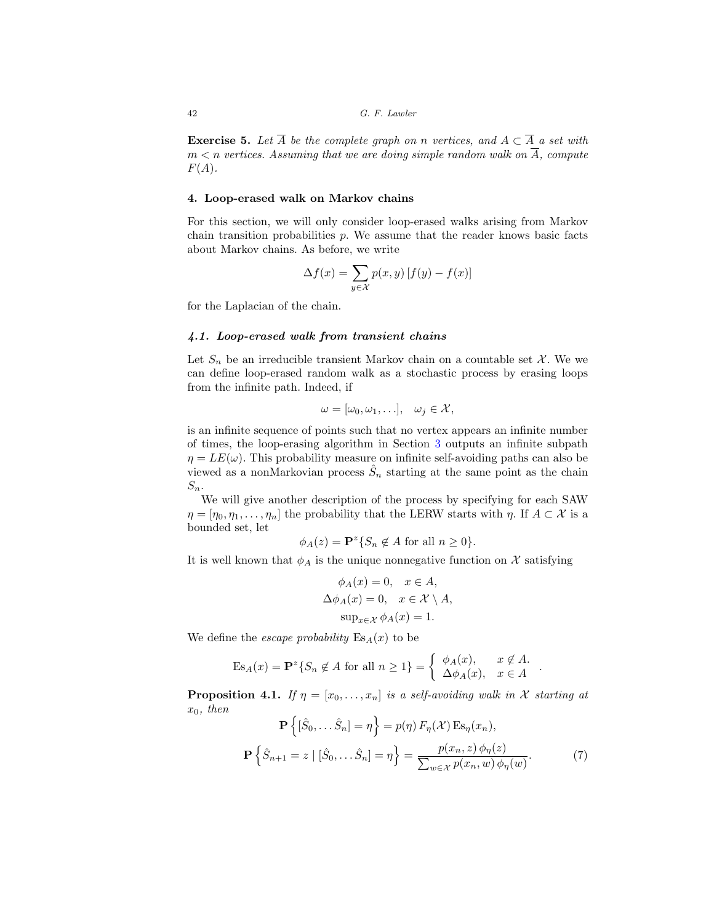<span id="page-14-3"></span>**Exercise 5.** Let  $\overline{A}$  be the complete graph on n vertices, and  $A \subset \overline{A}$  a set with  $m < n$  vertices. Assuming that we are doing simple random walk on  $\overline{A}$ , compute  $F(A).$ 

## <span id="page-14-0"></span>**4. Loop-erased walk on Markov chains**

For this section, we will only consider loop-erased walks arising from Markov chain transition probabilities  $p$ . We assume that the reader knows basic facts about Markov chains. As before, we write

$$
\Delta f(x) = \sum_{y \in \mathcal{X}} p(x, y) [f(y) - f(x)]
$$

for the Laplacian of the chain.

## *4.1. Loop-erased walk from transient chains*

Let  $S_n$  be an irreducible transient Markov chain on a countable set X. We we can define loop-erased random walk as a stochastic process by erasing loops from the infinite path. Indeed, if

$$
\omega = [\omega_0, \omega_1, \ldots], \quad \omega_j \in \mathcal{X},
$$

is an infinite sequence of points such that no vertex appears an infinite number of times, the loop-erasing algorithm in Section [3](#page-10-0) outputs an infinite subpath  $\eta = LE(\omega)$ . This probability measure on infinite self-avoiding paths can also be viewed as a nonMarkovian process  $\hat{S}_n$  starting at the same point as the chain  $S_n$ .

We will give another description of the process by specifying for each SAW  $\eta = [\eta_0, \eta_1, \ldots, \eta_n]$  the probability that the LERW starts with  $\eta$ . If  $A \subset \mathcal{X}$  is a bounded set, let

$$
\phi_A(z) = \mathbf{P}^z \{ S_n \notin A \text{ for all } n \ge 0 \}.
$$

It is well known that  $\phi_A$  is the unique nonnegative function on  $\mathcal X$  satisfying

$$
\phi_A(x) = 0, \quad x \in A,
$$
  
\n
$$
\Delta \phi_A(x) = 0, \quad x \in \mathcal{X} \setminus A,
$$
  
\n
$$
\sup_{x \in \mathcal{X}} \phi_A(x) = 1.
$$

We define the *escape probability*  $\text{Es}_{A}(x)$  to be

$$
\mathrm{Es}_{A}(x) = \mathbf{P}^{z} \{ S_n \notin A \text{ for all } n \ge 1 \} = \begin{cases} \phi_{A}(x), & x \notin A. \\ \Delta \phi_{A}(x), & x \in A \end{cases}.
$$

<span id="page-14-2"></span>**Proposition 4.1.** If  $\eta = [x_0, \ldots, x_n]$  is a self-avoiding walk in X starting at  $x_0$ , then

<span id="page-14-1"></span>
$$
\mathbf{P}\left\{ [\hat{S}_0, \dots \hat{S}_n] = \eta \right\} = p(\eta) F_{\eta}(\mathcal{X}) \operatorname{Es}_{\eta}(x_n),
$$

$$
\mathbf{P}\left\{ \hat{S}_{n+1} = z \mid [\hat{S}_0, \dots \hat{S}_n] = \eta \right\} = \frac{p(x_n, z) \phi_{\eta}(z)}{\sum_{w \in \mathcal{X}} p(x_n, w) \phi_{\eta}(w)}.
$$
(7)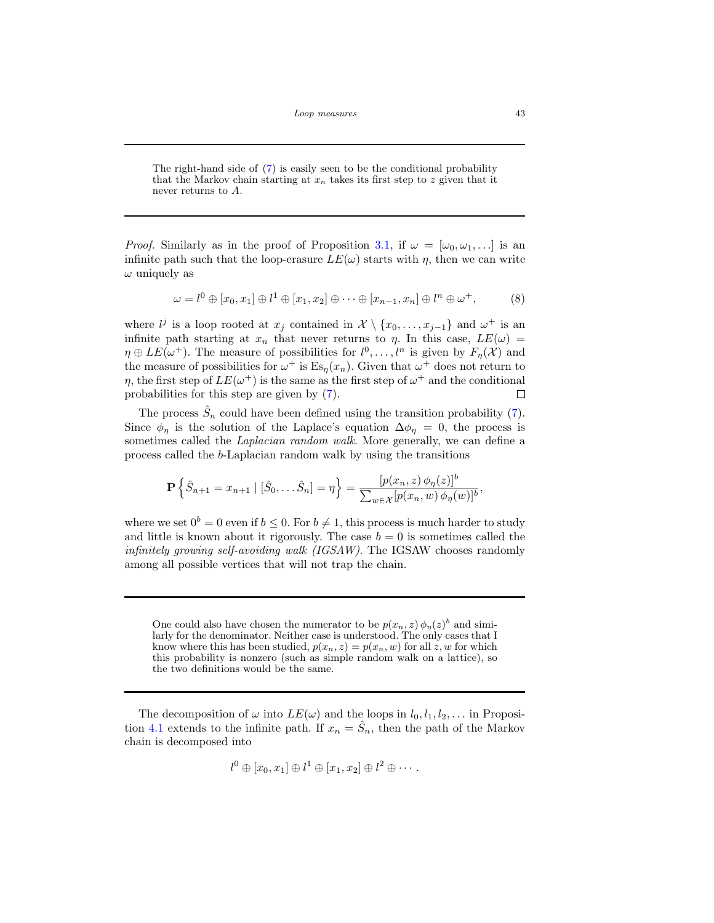The right-hand side of [\(7\)](#page-14-1) is easily seen to be the conditional probability that the Markov chain starting at  $x_n$  takes its first step to z given that it never returns to A.

*Proof.* Similarly as in the proof of Proposition [3.1,](#page-11-0) if  $\omega = [\omega_0, \omega_1, \ldots]$  is an infinite path such that the loop-erasure  $LE(\omega)$  starts with  $\eta$ , then we can write  $\omega$  uniquely as

$$
\omega = l^0 \oplus [x_0, x_1] \oplus l^1 \oplus [x_1, x_2] \oplus \cdots \oplus [x_{n-1}, x_n] \oplus l^n \oplus \omega^+, \tag{8}
$$

where  $l^j$  is a loop rooted at  $x_j$  contained in  $\mathcal{X} \setminus \{x_0,\ldots,x_{j-1}\}\$  and  $\omega^+$  is an infinite path starting at  $x_n$  that never returns to  $\eta$ . In this case,  $LE(\omega)$  =  $\eta \oplus LE(\omega^+)$ . The measure of possibilities for  $l^0, \ldots, l^n$  is given by  $F_{\eta}(\mathcal{X})$  and the measure of possibilities for  $\omega^+$  is  $\text{Es}_n(x_n)$ . Given that  $\omega^+$  does not return to  $\eta$ , the first step of  $LE(\omega^+)$  is the same as the first step of  $\omega^+$  and the conditional probabilities for this step are given by [\(7\)](#page-14-1).  $\Box$ 

The process  $\hat{S}_n$  could have been defined using the transition probability [\(7\)](#page-14-1). Since  $\phi_{\eta}$  is the solution of the Laplace's equation  $\Delta \phi_{\eta} = 0$ , the process is sometimes called the *Laplacian random walk*. More generally, we can define a process called the b-Laplacian random walk by using the transitions

$$
\mathbf{P}\left\{\hat{S}_{n+1} = x_{n+1} \mid [\hat{S}_0, \dots \hat{S}_n] = \eta\right\} = \frac{[p(x_n, z) \phi_{\eta}(z)]^b}{\sum_{w \in \mathcal{X}} [p(x_n, w) \phi_{\eta}(w)]^b},
$$

where we set  $0^b = 0$  even if  $b \leq 0$ . For  $b \neq 1$ , this process is much harder to study and little is known about it rigorously. The case  $b = 0$  is sometimes called the infinitely growing self-avoiding walk (IGSAW). The IGSAW chooses randomly among all possible vertices that will not trap the chain.

One could also have chosen the numerator to be  $p(x_n, z) \phi_{\eta}(z)^b$  and similarly for the denominator. Neither case is understood. The only cases that I know where this has been studied,  $p(x_n, z) = p(x_n, w)$  for all  $z, w$  for which this probability is nonzero (such as simple random walk on a lattice), so the two definitions would be the same.

The decomposition of  $\omega$  into  $LE(\omega)$  and the loops in  $l_0, l_1, l_2, \ldots$  in Proposi-tion [4.1](#page-14-2) extends to the infinite path. If  $x_n = \hat{S}_n$ , then the path of the Markov chain is decomposed into

$$
l^0\oplus [x_0,x_1]\oplus l^1\oplus [x_1,x_2]\oplus l^2\oplus\cdots.
$$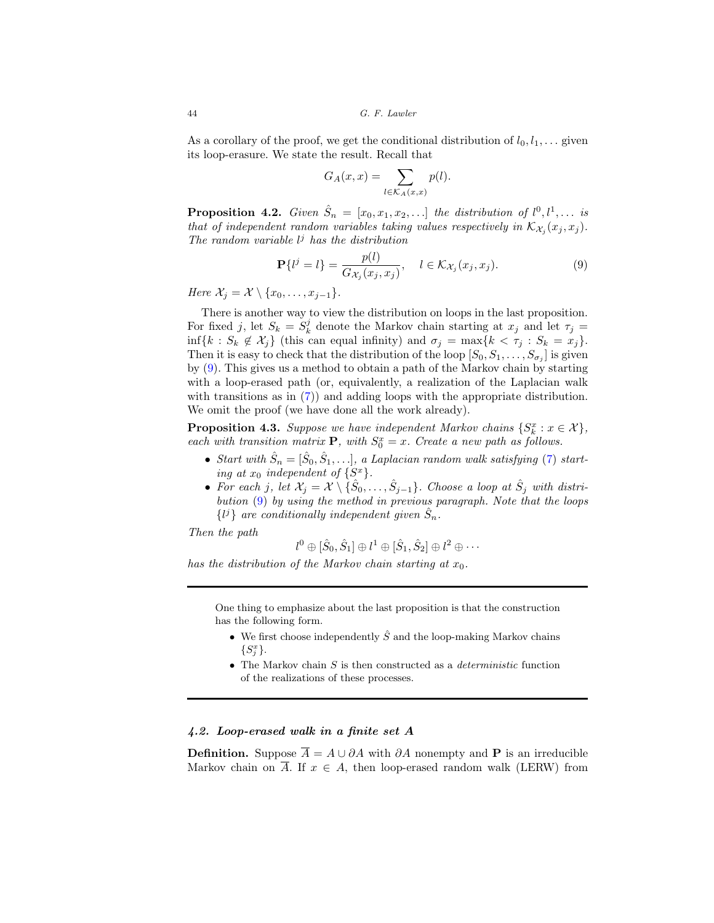44 G. F. Lawler

As a corollary of the proof, we get the conditional distribution of  $l_0, l_1, \ldots$  given its loop-erasure. We state the result. Recall that

$$
G_A(x,x) = \sum_{l \in \mathcal{K}_A(x,x)} p(l).
$$

<span id="page-16-1"></span>**Proposition 4.2.** Given  $\hat{S}_n = [x_0, x_1, x_2, \ldots]$  the distribution of  $l^0, l^1, \ldots$  is that of independent random variables taking values respectively in  $\mathcal{K}_{\mathcal{X}_{i}}(x_{i}, x_{j}).$ The random variable  $l^j$  has the distribution

<span id="page-16-0"></span>
$$
\mathbf{P}\{l^j = l\} = \frac{p(l)}{G_{\mathcal{X}_j}(x_j, x_j)}, \quad l \in \mathcal{K}_{\mathcal{X}_j}(x_j, x_j). \tag{9}
$$

Here  $\mathcal{X}_i = \mathcal{X} \setminus \{x_0,\ldots,x_{i-1}\}.$ 

There is another way to view the distribution on loops in the last proposition. For fixed j, let  $S_k = S_k^j$  denote the Markov chain starting at  $x_j$  and let  $\tau_j =$  $\inf\{k : S_k \notin \mathcal{X}_j\}$  (this can equal infinity) and  $\sigma_j = \max\{k < \tau_j : S_k = x_j\}.$ Then it is easy to check that the distribution of the loop  $[S_0, S_1, \ldots, S_{\sigma_i}]$  is given by [\(9\)](#page-16-0). This gives us a method to obtain a path of the Markov chain by starting with a loop-erased path (or, equivalently, a realization of the Laplacian walk with transitions as in  $(7)$  and adding loops with the appropriate distribution. We omit the proof (we have done all the work already).

**Proposition 4.3.** Suppose we have independent Markov chains  $\{S_k^x : x \in \mathcal{X}\},\$ each with transition matrix **P**, with  $S_0^x = x$ . Create a new path as follows.

- Start with  $\hat{S}_n = [\hat{S}_0, \hat{S}_1, \ldots],$  a Laplacian random walk satisfying [\(7\)](#page-14-1) starting at  $x_0$  independent of  $\{S^x\}.$
- For each j, let  $\mathcal{X}_j = \mathcal{X} \setminus \{\hat{S}_0,\ldots,\hat{S}_{j-1}\}.$  Choose a loop at  $\hat{S}_j$  with distribution [\(9\)](#page-16-0) by using the method in previous paragraph. Note that the loops  $\{l^j\}$  are conditionally independent given  $\hat{S}_n$ .

Then the path

$$
l^0\oplus[\hat{S}_0,\hat{S}_1]\oplus l^1\oplus[\hat{S}_1,\hat{S}_2]\oplus l^2\oplus\cdots
$$

has the distribution of the Markov chain starting at  $x_0$ .

One thing to emphasize about the last proposition is that the construction has the following form.

- We first choose independently  $\hat{S}$  and the loop-making Markov chains  $\{S_j^x\}.$
- The Markov chain  $S$  is then constructed as a *deterministic* function of the realizations of these processes.

## *4.2. Loop-erased walk in a finite set A*

**Definition.** Suppose  $\overline{A} = A \cup \partial A$  with  $\partial A$  nonempty and **P** is an irreducible Markov chain on  $\overline{A}$ . If  $x \in A$ , then loop-erased random walk (LERW) from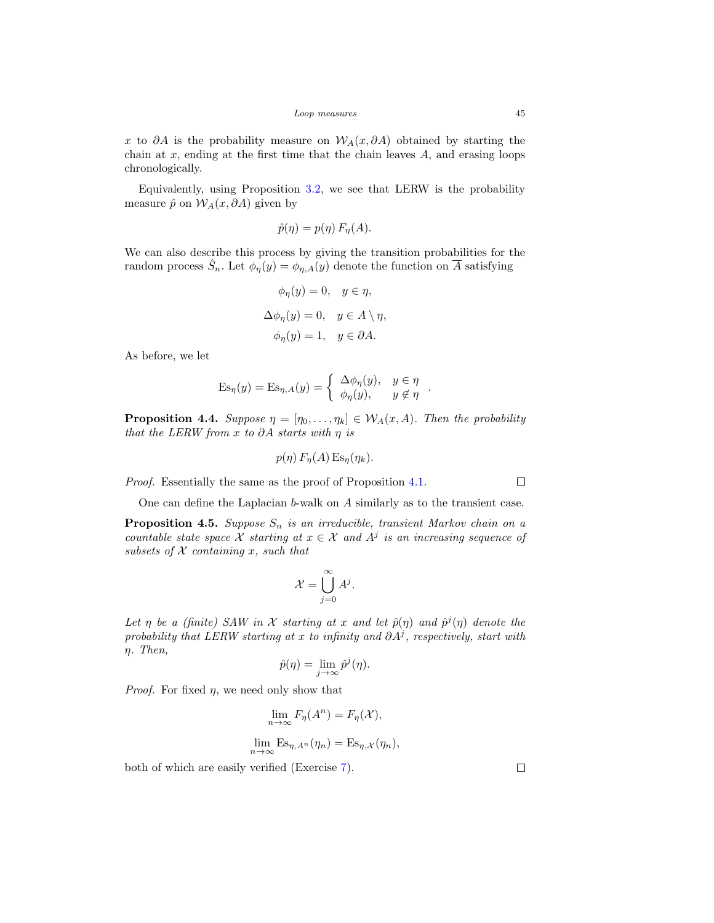x to ∂A is the probability measure on  $W_A(x, \partial A)$  obtained by starting the chain at  $x$ , ending at the first time that the chain leaves  $A$ , and erasing loops chronologically.

Equivalently, using Proposition [3.2,](#page-11-1) we see that LERW is the probability measure  $\hat{p}$  on  $W_A(x, \partial A)$  given by

$$
\hat{p}(\eta) = p(\eta) F_{\eta}(A).
$$

We can also describe this process by giving the transition probabilities for the random process  $S_n$ . Let  $\phi_{\eta}(y) = \phi_{\eta,A}(y)$  denote the function on  $\overline{A}$  satisfying

$$
\phi_{\eta}(y) = 0, \quad y \in \eta,
$$
  

$$
\Delta \phi_{\eta}(y) = 0, \quad y \in A \setminus \eta,
$$
  

$$
\phi_{\eta}(y) = 1, \quad y \in \partial A.
$$

As before, we let

$$
Es_{\eta}(y) = Es_{\eta,A}(y) = \begin{cases} \Delta \phi_{\eta}(y), & y \in \eta \\ \phi_{\eta}(y), & y \notin \eta \end{cases}.
$$

**Proposition 4.4.** Suppose  $\eta = [\eta_0, \ldots, \eta_k] \in W_A(x, A)$ . Then the probability that the LERW from x to  $\partial A$  starts with  $\eta$  is

$$
p(\eta) F_{\eta}(A) \operatorname{Es}_{\eta}(\eta_k).
$$

Proof. Essentially the same as the proof of Proposition [4.1.](#page-14-2)

One can define the Laplacian b-walk on A similarly as to the transient case.

<span id="page-17-0"></span>**Proposition 4.5.** Suppose  $S_n$  is an irreducible, transient Markov chain on a countable state space X starting at  $x \in \mathcal{X}$  and  $A^j$  is an increasing sequence of subsets of  $X$  containing  $x$ , such that

$$
\mathcal{X} = \bigcup_{j=0}^{\infty} A^j.
$$

Let  $\eta$  be a (finite) SAW in X starting at x and let  $\hat{p}(\eta)$  and  $\hat{p}^j(\eta)$  denote the probability that LERW starting at x to infinity and  $\partial A^j$ , respectively, start with η. Then,

$$
\hat{p}(\eta) = \lim_{j \to \infty} \hat{p}^j(\eta).
$$

*Proof.* For fixed  $\eta$ , we need only show that

$$
\lim_{n \to \infty} F_{\eta}(A^n) = F_{\eta}(\mathcal{X}),
$$
  

$$
\lim_{n \to \infty} \text{Es}_{\eta, A^n}(\eta_n) = \text{Es}_{\eta, \mathcal{X}}(\eta_n),
$$

both of which are easily verified (Exercise [7\)](#page-19-0).

 $\Box$ 

 $\Box$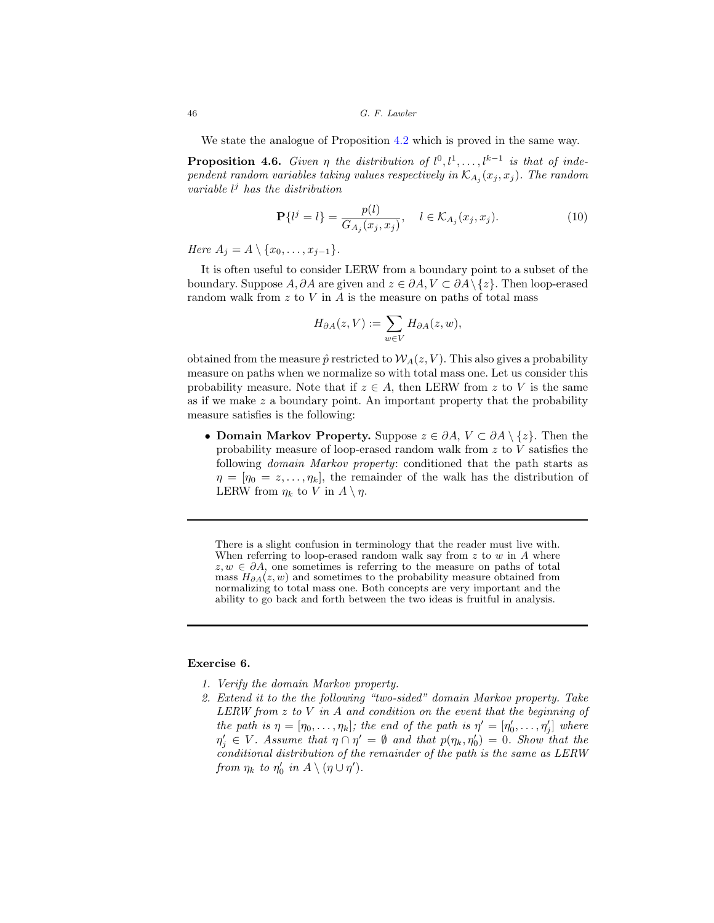46 G. F. Lawler

We state the analogue of Proposition [4.2](#page-16-1) which is proved in the same way.

<span id="page-18-0"></span>**Proposition 4.6.** Given  $\eta$  the distribution of  $l^0, l^1, \ldots, l^{k-1}$  is that of independent random variables taking values respectively in  $\mathcal{K}_{A_i}(x_i, x_j)$ . The random variable  $l^j$  has the distribution

<span id="page-18-1"></span>
$$
\mathbf{P}\{l^{j} = l\} = \frac{p(l)}{G_{A_{j}}(x_{j}, x_{j})}, \quad l \in \mathcal{K}_{A_{j}}(x_{j}, x_{j}).
$$
\n(10)

Here  $A_i = A \setminus \{x_0, \ldots, x_{i-1}\}.$ 

It is often useful to consider LERW from a boundary point to a subset of the boundary. Suppose A, ∂A are given and  $z \in \partial A$ ,  $V \subset \partial A \setminus \{z\}$ . Then loop-erased random walk from  $z$  to  $V$  in  $A$  is the measure on paths of total mass

$$
H_{\partial A}(z,V) := \sum_{w \in V} H_{\partial A}(z,w),
$$

obtained from the measure  $\hat{p}$  restricted to  $W_A(z, V)$ . This also gives a probability measure on paths when we normalize so with total mass one. Let us consider this probability measure. Note that if  $z \in A$ , then LERW from z to V is the same as if we make  $z$  a boundary point. An important property that the probability measure satisfies is the following:

• **Domain Markov Property.** Suppose  $z \in \partial A$ ,  $V \subset \partial A \setminus \{z\}$ . Then the probability measure of loop-erased random walk from z to V satisfies the following *domain Markov property:* conditioned that the path starts as  $\eta = [\eta_0 = z, \dots, \eta_k]$ , the remainder of the walk has the distribution of LERW from  $\eta_k$  to V in  $A \setminus \eta$ .

There is a slight confusion in terminology that the reader must live with. When referring to loop-erased random walk say from  $z$  to  $w$  in  $A$  where  $z, w \in \partial A$ , one sometimes is referring to the measure on paths of total mass  $H_{\partial A}(z, w)$  and sometimes to the probability measure obtained from normalizing to total mass one. Both concepts are very important and the ability to go back and forth between the two ideas is fruitful in analysis.

#### **Exercise 6.**

- 1. Verify the domain Markov property.
- 2. Extend it to the the following "two-sided" domain Markov property. Take LERW from  $z$  to  $V$  in  $A$  and condition on the event that the beginning of the path is  $\eta = [\eta_0, \ldots, \eta_k]$ ; the end of the path is  $\eta' = [\eta'_0, \ldots, \eta'_j]$  where  $\eta'_{j} \in V$ . Assume that  $\eta \cap \eta' = \emptyset$  and that  $p(\eta_k, \eta'_0) = 0$ . Show that the conditional distribution of the remainder of the path is the same as LERW from  $\eta_k$  to  $\eta'_0$  in  $A \setminus (\eta \cup \eta')$ .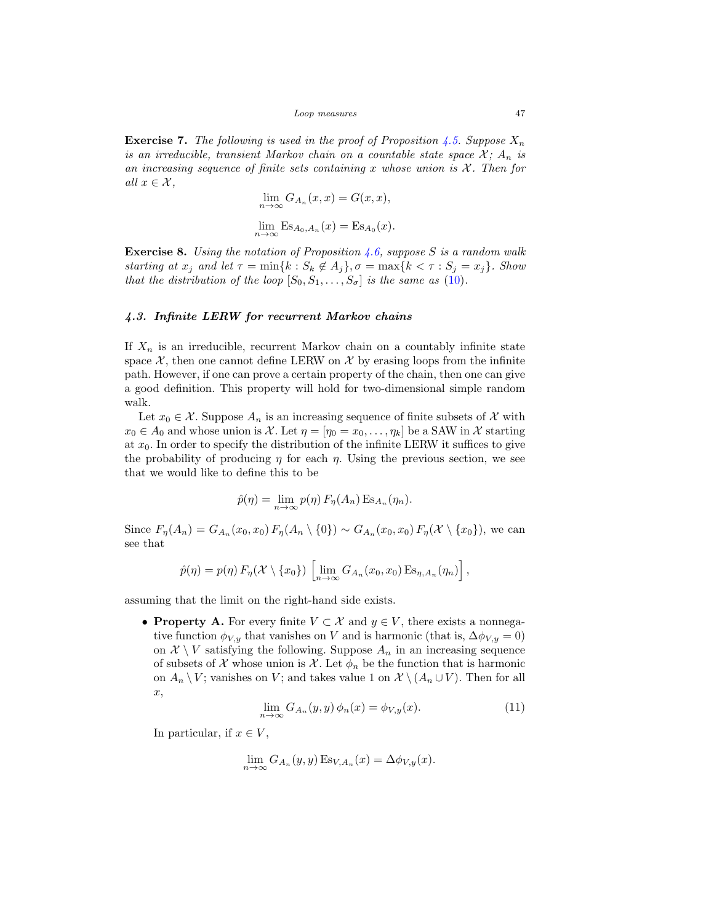<span id="page-19-0"></span>**Exercise 7.** The following is used in the proof of Proposition [4.5.](#page-17-0) Suppose  $X_n$ is an irreducible, transient Markov chain on a countable state space  $\mathcal{X}$ ;  $A_n$  is an increasing sequence of finite sets containing x whose union is  $\mathcal{X}$ . Then for all  $x \in \mathcal{X}$ ,

$$
\lim_{n \to \infty} G_{A_n}(x, x) = G(x, x),
$$
  

$$
\lim_{n \to \infty} \text{Es}_{A_0, A_n}(x) = \text{Es}_{A_0}(x).
$$

**Exercise 8.** Using the notation of Proposition [4.6,](#page-18-0) suppose S is a random walk starting at  $x_j$  and let  $\tau = \min\{k : S_k \notin A_j\}, \sigma = \max\{k < \tau : S_j = x_j\}.$  Show that the distribution of the loop  $[S_0, S_1, \ldots, S_{\sigma}]$  is the same as  $(10)$ .

# <span id="page-19-2"></span>*4.3. Infinite LERW for recurrent Markov chains*

If  $X_n$  is an irreducible, recurrent Markov chain on a countably infinite state space  $X$ , then one cannot define LERW on X by erasing loops from the infinite path. However, if one can prove a certain property of the chain, then one can give a good definition. This property will hold for two-dimensional simple random walk.

Let  $x_0 \in \mathcal{X}$ . Suppose  $A_n$  is an increasing sequence of finite subsets of X with  $x_0 \in A_0$  and whose union is X. Let  $\eta = [\eta_0 = x_0, \ldots, \eta_k]$  be a SAW in X starting at  $x_0$ . In order to specify the distribution of the infinite LERW it suffices to give the probability of producing  $\eta$  for each  $\eta$ . Using the previous section, we see that we would like to define this to be

$$
\hat{p}(\eta) = \lim_{n \to \infty} p(\eta) F_{\eta}(A_n) \operatorname{Es}_{A_n}(\eta_n).
$$

Since  $F_n(A_n) = G_{A_n}(x_0, x_0) F_n(A_n \setminus \{0\}) \sim G_{A_n}(x_0, x_0) F_n(\mathcal{X} \setminus \{x_0\}),$  we can see that

$$
\hat{p}(\eta) = p(\eta) F_{\eta}(\mathcal{X} \setminus \{x_0\}) \left[ \lim_{n \to \infty} G_{A_n}(x_0, x_0) \mathbb{E} \mathbf{s}_{\eta, A_n}(\eta_n) \right],
$$

assuming that the limit on the right-hand side exists.

• **Property A.** For every finite  $V \subset \mathcal{X}$  and  $y \in V$ , there exists a nonnegative function  $\phi_{V,y}$  that vanishes on V and is harmonic (that is,  $\Delta \phi_{V,y} = 0$ ) on  $\mathcal{X} \setminus V$  satisfying the following. Suppose  $A_n$  in an increasing sequence of subsets of  $\mathcal X$  whose union is  $\mathcal X$ . Let  $\phi_n$  be the function that is harmonic on  $A_n \setminus V$ ; vanishes on V; and takes value 1 on  $\mathcal{X} \setminus (A_n \cup V)$ . Then for all x,

<span id="page-19-1"></span>
$$
\lim_{n \to \infty} G_{A_n}(y, y) \phi_n(x) = \phi_{V, y}(x). \tag{11}
$$

In particular, if  $x \in V$ ,

$$
\lim_{n \to \infty} G_{A_n}(y, y) \operatorname{Es}_{V, A_n}(x) = \Delta \phi_{V, y}(x).
$$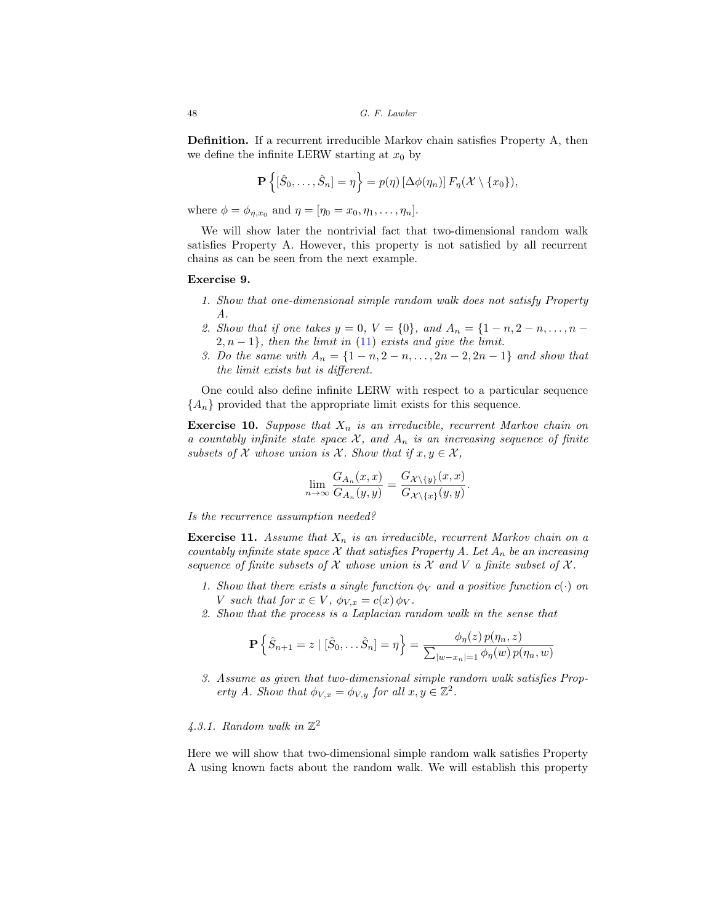**Definition.** If a recurrent irreducible Markov chain satisfies Property A, then we define the infinite LERW starting at  $x_0$  by

$$
\mathbf{P}\left\{[\hat{S}_0,\ldots,\hat{S}_n]=\eta\right\}=p(\eta)\left[\Delta\phi(\eta_n)\right]F_{\eta}(\mathcal{X}\setminus\{x_0\}),
$$

where  $\phi = \phi_{\eta, x_0}$  and  $\eta = [\eta_0 = x_0, \eta_1, \dots, \eta_n].$ 

We will show later the nontrivial fact that two-dimensional random walk satisfies Property A. However, this property is not satisfied by all recurrent chains as can be seen from the next example.

#### **Exercise 9.**

- 1. Show that one-dimensional simple random walk does not satisfy Property A.
- 2. Show that if one takes  $y = 0$ ,  $V = \{0\}$ , and  $A_n = \{1 n, 2 n, ..., n n\}$  $2, n-1$ , then the limit in  $(11)$  exists and give the limit.
- 3. Do the same with  $A_n = \{1 n, 2 n, ..., 2n 2, 2n 1\}$  and show that the limit exists but is different.

One could also define infinite LERW with respect to a particular sequence  ${A_n}$  provided that the appropriate limit exists for this sequence.

**Exercise 10.** Suppose that  $X_n$  is an irreducible, recurrent Markov chain on a countably infinite state space  $\mathcal{X}$ , and  $A_n$  is an increasing sequence of finite subsets of X whose union is X. Show that if  $x, y \in \mathcal{X}$ ,

$$
\lim_{n \to \infty} \frac{G_{A_n}(x, x)}{G_{A_n}(y, y)} = \frac{G_{\mathcal{X} \setminus \{y\}}(x, x)}{G_{\mathcal{X} \setminus \{x\}}(y, y)}.
$$

Is the recurrence assumption needed?

**Exercise 11.** Assume that  $X_n$  is an irreducible, recurrent Markov chain on a countably infinite state space  $\mathcal X$  that satisfies Property A. Let  $A_n$  be an increasing sequence of finite subsets of X whose union is X and V a finite subset of X.

- 1. Show that there exists a single function  $\phi_V$  and a positive function  $c(\cdot)$  on V such that for  $x \in V$ ,  $\phi_{V,x} = c(x) \phi_V$ .
- 2. Show that the process is a Laplacian random walk in the sense that

$$
\mathbf{P}\left\{\hat{S}_{n+1} = z \mid [\hat{S}_0, \dots \hat{S}_n] = \eta\right\} = \frac{\phi_{\eta}(z) p(\eta_n, z)}{\sum_{|w - x_n| = 1} \phi_{\eta}(w) p(\eta_n, w)}
$$

3. Assume as given that two-dimensional simple random walk satisfies Property A. Show that  $\phi_{V,x} = \phi_{V,y}$  for all  $x, y \in \mathbb{Z}^2$ .

# 4.3.1. Random walk in  $\mathbb{Z}^2$

Here we will show that two-dimensional simple random walk satisfies Property A using known facts about the random walk. We will establish this property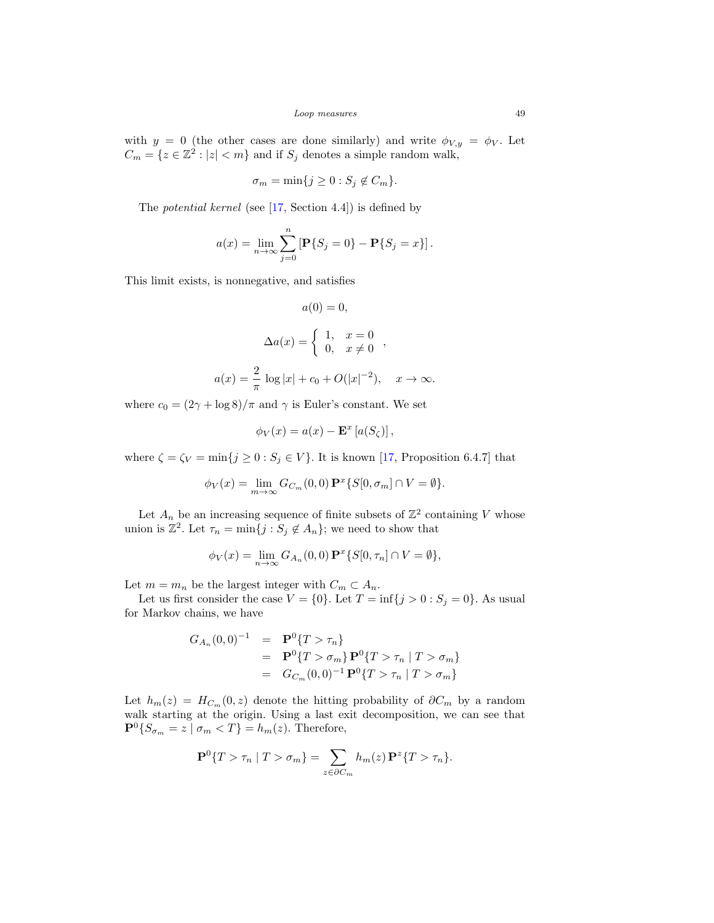Loop measures 49

with  $y = 0$  (the other cases are done similarly) and write  $\phi_{V,y} = \phi_V$ . Let  $C_m = \{z \in \mathbb{Z}^2 : |z| < m\}$  and if  $S_j$  denotes a simple random walk,

$$
\sigma_m = \min\{j \ge 0 : S_j \notin C_m\}.
$$

The potential kernel (see [\[17](#page-73-9), Section 4.4]) is defined by

$$
a(x) = \lim_{n \to \infty} \sum_{j=0}^{n} [\mathbf{P}\{S_j = 0\} - \mathbf{P}\{S_j = x\}].
$$

This limit exists, is nonnegative, and satisfies

$$
a(0) = 0,
$$
  
\n
$$
\Delta a(x) = \begin{cases} 1, & x = 0 \\ 0, & x \neq 0 \end{cases},
$$
  
\n
$$
a(x) = \frac{2}{\pi} \log |x| + c_0 + O(|x|^{-2}), \quad x \to \infty.
$$

where  $c_0 = (2\gamma + \log 8)/\pi$  and  $\gamma$  is Euler's constant. We set

$$
\phi_V(x) = a(x) - \mathbf{E}^x [a(S_{\zeta})],
$$

where  $\zeta = \zeta_V = \min\{j \geq 0 : S_j \in V\}$ . It is known [\[17](#page-73-9), Proposition 6.4.7] that

$$
\phi_V(x) = \lim_{m \to \infty} G_{C_m}(0,0) \mathbf{P}^x \{ S[0, \sigma_m] \cap V = \emptyset \}.
$$

Let  $A_n$  be an increasing sequence of finite subsets of  $\mathbb{Z}^2$  containing V whose union is  $\mathbb{Z}^2$ . Let  $\tau_n = \min\{j : S_j \notin A_n\}$ ; we need to show that

$$
\phi_V(x) = \lim_{n \to \infty} G_{A_n}(0,0) \mathbf{P}^x \{ S[0, \tau_n] \cap V = \emptyset \},\
$$

Let  $m = m_n$  be the largest integer with  $C_m \subset A_n$ .

Let us first consider the case  $V = \{0\}$ . Let  $T = \inf\{j > 0 : S_j = 0\}$ . As usual for Markov chains, we have

$$
G_{A_n}(0,0)^{-1} = \mathbf{P}^0 \{T > \tau_n\}
$$
  
=  $\mathbf{P}^0 \{T > \sigma_m\} \mathbf{P}^0 \{T > \tau_n | T > \sigma_m\}$   
=  $G_{C_m}(0,0)^{-1} \mathbf{P}^0 \{T > \tau_n | T > \sigma_m\}$ 

Let  $h_m(z) = H_{C_m}(0, z)$  denote the hitting probability of  $\partial C_m$  by a random walk starting at the origin. Using a last exit decomposition, we can see that  $\mathbf{P}^0\{S_{\sigma_m} = z \mid \sigma_m < T\} = h_m(z)$ . Therefore,

$$
\mathbf{P}^0\{T > \tau_n \mid T > \sigma_m\} = \sum_{z \in \partial C_m} h_m(z) \, \mathbf{P}^z\{T > \tau_n\}.
$$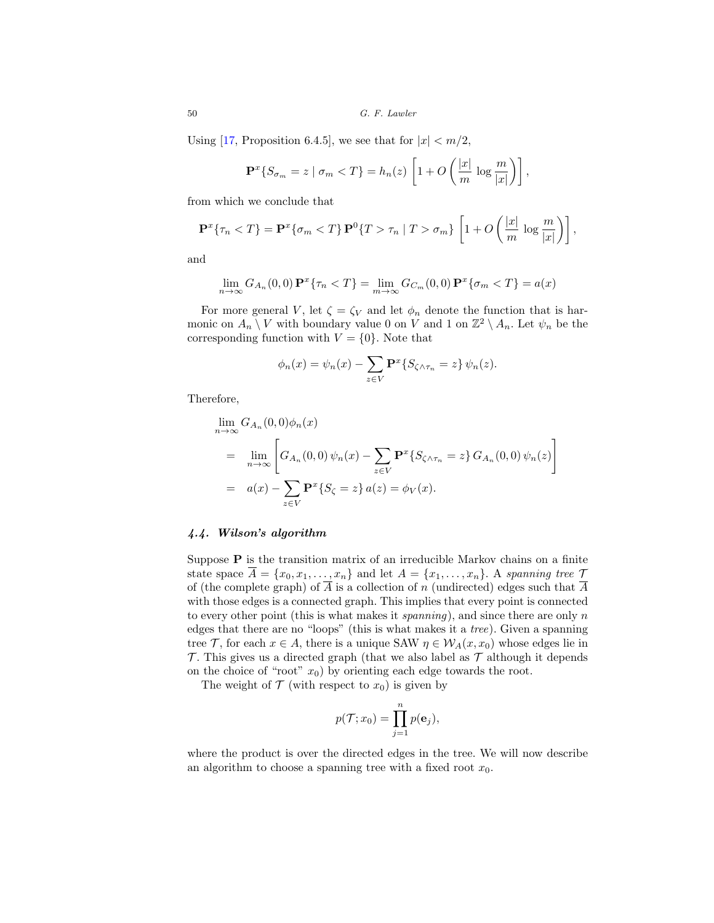50 G. F. Lawler

Using [\[17](#page-73-9), Proposition 6.4.5], we see that for  $|x| < m/2$ ,

$$
\mathbf{P}^{x}\{S_{\sigma_{m}}=z \mid \sigma_{m} < T\} = h_{n}(z) \left[1 + O\left(\frac{|x|}{m} \log \frac{m}{|x|}\right)\right],
$$

from which we conclude that

$$
\mathbf{P}^{x}\{\tau_{n} < T\} = \mathbf{P}^{x}\{\sigma_{m} < T\} \mathbf{P}^{0}\{T > \tau_{n} \mid T > \sigma_{m}\}\left[1 + O\left(\frac{|x|}{m} \log \frac{m}{|x|}\right)\right],
$$

and

$$
\lim_{n \to \infty} G_{A_n}(0,0) \mathbf{P}^x \{ \tau_n < T \} = \lim_{m \to \infty} G_{C_m}(0,0) \mathbf{P}^x \{ \sigma_m < T \} = a(x)
$$

For more general V, let  $\zeta = \zeta_V$  and let  $\phi_n$  denote the function that is harmonic on  $A_n \setminus V$  with boundary value 0 on V and 1 on  $\mathbb{Z}^2 \setminus A_n$ . Let  $\psi_n$  be the corresponding function with  $V = \{0\}$ . Note that

$$
\phi_n(x) = \psi_n(x) - \sum_{z \in V} \mathbf{P}^x \{ S_{\zeta \wedge \tau_n} = z \} \psi_n(z).
$$

Therefore,

$$
\lim_{n \to \infty} G_{A_n}(0,0)\phi_n(x)
$$
\n
$$
= \lim_{n \to \infty} \left[ G_{A_n}(0,0)\psi_n(x) - \sum_{z \in V} \mathbf{P}^x \{ S_{\zeta \wedge \tau_n} = z \} G_{A_n}(0,0)\psi_n(z) \right]
$$
\n
$$
= a(x) - \sum_{z \in V} \mathbf{P}^x \{ S_{\zeta} = z \} a(z) = \phi_V(x).
$$

# <span id="page-22-0"></span>*4.4. Wilson's algorithm*

Suppose **P** is the transition matrix of an irreducible Markov chains on a finite state space  $\overline{A} = \{x_0, x_1, \ldots, x_n\}$  and let  $A = \{x_1, \ldots, x_n\}$ . A spanning tree  $\mathcal T$ of (the complete graph) of  $A$  is a collection of  $n$  (undirected) edges such that  $A$ with those edges is a connected graph. This implies that every point is connected to every other point (this is what makes it spanning), and since there are only  $n$ edges that there are no "loops" (this is what makes it a tree). Given a spanning tree T, for each  $x \in A$ , there is a unique SAW  $\eta \in \mathcal{W}_A(x, x_0)$  whose edges lie in  $\mathcal T$ . This gives us a directed graph (that we also label as  $\mathcal T$  although it depends on the choice of "root"  $x_0$ ) by orienting each edge towards the root.

The weight of  $\mathcal T$  (with respect to  $x_0$ ) is given by

$$
p(\mathcal{T}; x_0) = \prod_{j=1}^n p(\mathbf{e}_j),
$$

where the product is over the directed edges in the tree. We will now describe an algorithm to choose a spanning tree with a fixed root  $x_0$ .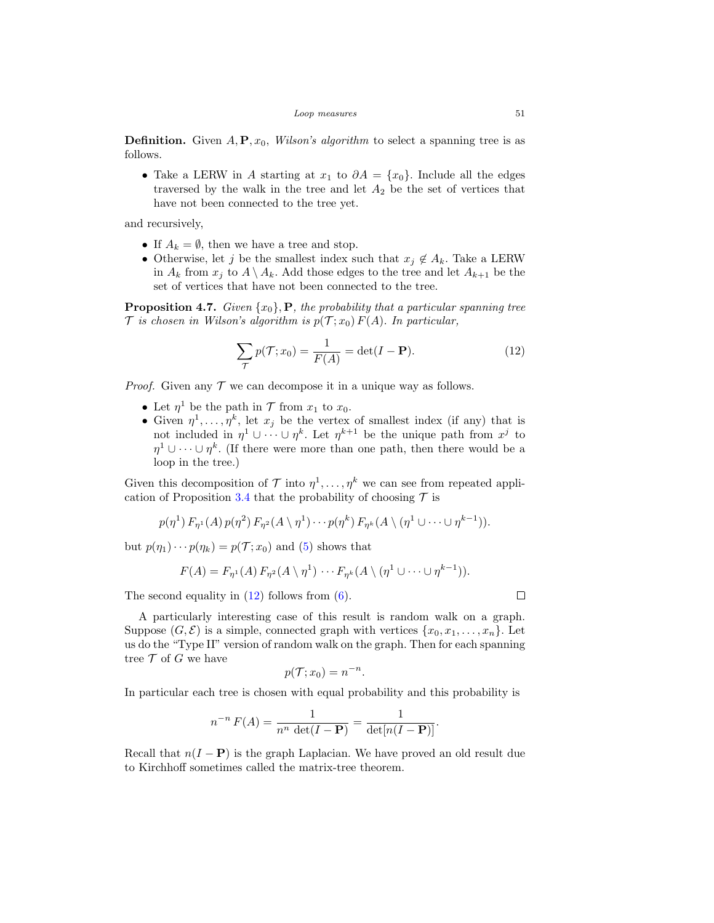**Definition.** Given  $A, P, x_0$ , Wilson's algorithm to select a spanning tree is as follows.

• Take a LERW in A starting at  $x_1$  to  $\partial A = \{x_0\}$ . Include all the edges traversed by the walk in the tree and let  $A_2$  be the set of vertices that have not been connected to the tree yet.

and recursively,

- If  $A_k = \emptyset$ , then we have a tree and stop.
- Otherwise, let j be the smallest index such that  $x_j \notin A_k$ . Take a LERW in  $A_k$  from  $x_j$  to  $A \setminus A_k$ . Add those edges to the tree and let  $A_{k+1}$  be the set of vertices that have not been connected to the tree.

<span id="page-23-1"></span>**Proposition 4.7.** Given  $\{x_0\}$ , **P**, the probability that a particular spanning tree  $\mathcal T$  is chosen in Wilson's algorithm is  $p(\mathcal T; x_0) F(A)$ . In particular,

<span id="page-23-0"></span>
$$
\sum_{\mathcal{T}} p(\mathcal{T}; x_0) = \frac{1}{F(A)} = \det(I - \mathbf{P}).\tag{12}
$$

*Proof.* Given any  $\mathcal T$  we can decompose it in a unique way as follows.

- Let  $\eta^1$  be the path in  $\mathcal T$  from  $x_1$  to  $x_0$ .
- Given  $\eta^1, \ldots, \eta^k$ , let  $x_j$  be the vertex of smallest index (if any) that is not included in  $\eta^1 \cup \cdots \cup \eta^k$ . Let  $\eta^{k+1}$  be the unique path from  $x^j$  to  $\eta^1 \cup \cdots \cup \eta^k$ . (If there were more than one path, then there would be a loop in the tree.)

Given this decomposition of  $\mathcal T$  into  $\eta^1,\ldots,\eta^k$  we can see from repeated appli-cation of Proposition [3.4](#page-12-2) that the probability of choosing  $\mathcal T$  is

$$
p(\eta^{1}) F_{\eta^{1}}(A) p(\eta^{2}) F_{\eta^{2}}(A \setminus \eta^{1}) \cdots p(\eta^{k}) F_{\eta^{k}}(A \setminus (\eta^{1} \cup \cdots \cup \eta^{k-1})).
$$

but  $p(\eta_1)\cdots p(\eta_k) = p(\mathcal{T}; x_0)$  and [\(5\)](#page-12-3) shows that

$$
F(A) = F_{\eta^1}(A) F_{\eta^2}(A \setminus \eta^1) \cdots F_{\eta^k}(A \setminus (\eta^1 \cup \cdots \cup \eta^{k-1})).
$$

The second equality in  $(12)$  follows from  $(6)$ .

A particularly interesting case of this result is random walk on a graph. Suppose  $(G, \mathcal{E})$  is a simple, connected graph with vertices  $\{x_0, x_1, \ldots, x_n\}$ . Let us do the "Type II" version of random walk on the graph. Then for each spanning tree  $\mathcal T$  of G we have

$$
p(\mathcal{T}; x_0) = n^{-n}.
$$

In particular each tree is chosen with equal probability and this probability is

$$
n^{-n} F(A) = \frac{1}{n^n \det(I - \mathbf{P})} = \frac{1}{\det[n(I - \mathbf{P})]}.
$$

Recall that  $n(I - P)$  is the graph Laplacian. We have proved an old result due to Kirchhoff sometimes called the matrix-tree theorem.

 $\Box$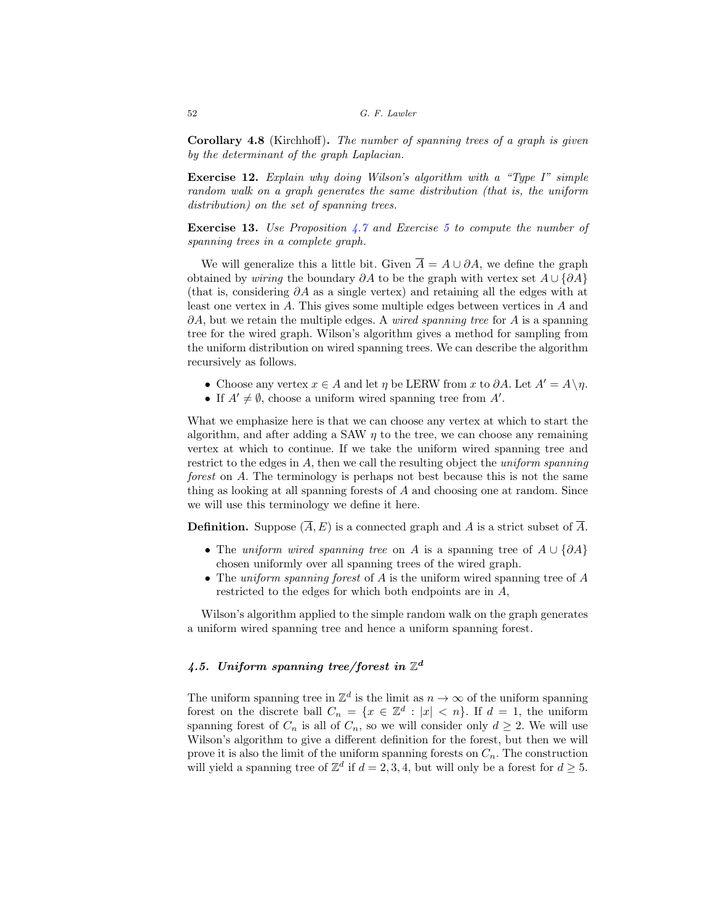**Corollary 4.8** (Kirchhoff)**.** The number of spanning trees of a graph is given by the determinant of the graph Laplacian.

**Exercise 12.** Explain why doing Wilson's algorithm with a "Type I" simple random walk on a graph generates the same distribution (that is, the uniform distribution) on the set of spanning trees.

**Exercise 13.** Use Proposition [4.7](#page-23-1) and Exercise [5](#page-14-3) to compute the number of spanning trees in a complete graph.

We will generalize this a little bit. Given  $\overline{A} = A \cup \partial A$ , we define the graph obtained by wiring the boundary  $\partial A$  to be the graph with vertex set  $A \cup {\partial A}$ (that is, considering  $\partial A$  as a single vertex) and retaining all the edges with at least one vertex in A. This gives some multiple edges between vertices in A and  $\partial A$ , but we retain the multiple edges. A *wired spanning tree* for A is a spanning tree for the wired graph. Wilson's algorithm gives a method for sampling from the uniform distribution on wired spanning trees. We can describe the algorithm recursively as follows.

- Choose any vertex  $x \in A$  and let  $\eta$  be LERW from x to  $\partial A$ . Let  $A' = A \setminus \eta$ .
- If  $A' \neq \emptyset$ , choose a uniform wired spanning tree from A'.

What we emphasize here is that we can choose any vertex at which to start the algorithm, and after adding a SAW  $\eta$  to the tree, we can choose any remaining vertex at which to continue. If we take the uniform wired spanning tree and restrict to the edges in  $A$ , then we call the resulting object the *uniform spanning* forest on A. The terminology is perhaps not best because this is not the same thing as looking at all spanning forests of A and choosing one at random. Since we will use this terminology we define it here.

**Definition.** Suppose  $(\overline{A}, E)$  is a connected graph and A is a strict subset of  $\overline{A}$ .

- The uniform wired spanning tree on A is a spanning tree of  $A \cup {\partial A}$ chosen uniformly over all spanning trees of the wired graph.
- The uniform spanning forest of  $A$  is the uniform wired spanning tree of  $A$ restricted to the edges for which both endpoints are in A,

Wilson's algorithm applied to the simple random walk on the graph generates a uniform wired spanning tree and hence a uniform spanning forest.

# <span id="page-24-0"></span>*4.5. Uniform spanning tree/forest in* Z*<sup>d</sup>*

The uniform spanning tree in  $\mathbb{Z}^d$  is the limit as  $n \to \infty$  of the uniform spanning forest on the discrete ball  $C_n = \{x \in \mathbb{Z}^d : |x| < n\}$ . If  $d = 1$ , the uniform spanning forest of  $C_n$  is all of  $C_n$ , so we will consider only  $d \geq 2$ . We will use Wilson's algorithm to give a different definition for the forest, but then we will prove it is also the limit of the uniform spanning forests on  $C_n$ . The construction will yield a spanning tree of  $\mathbb{Z}^d$  if  $d = 2, 3, 4$ , but will only be a forest for  $d \geq 5$ .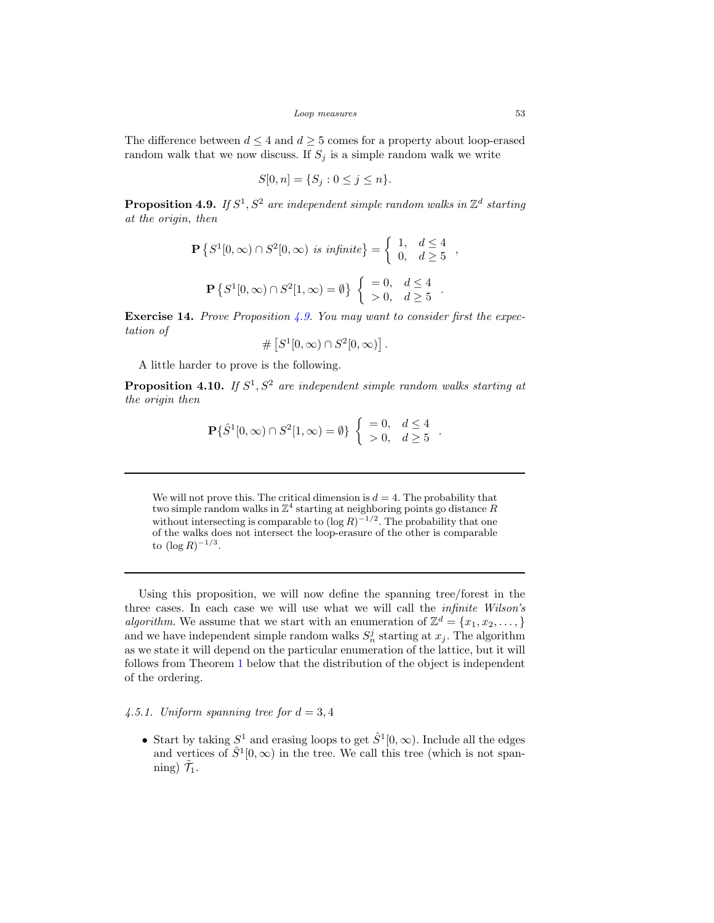Loop measures 53

The difference between  $d \leq 4$  and  $d \geq 5$  comes for a property about loop-erased random walk that we now discuss. If  $S_j$  is a simple random walk we write

$$
S[0, n] = \{ S_j : 0 \le j \le n \}.
$$

<span id="page-25-0"></span>**Proposition 4.9.** If  $S^1$ ,  $S^2$  are independent simple random walks in  $\mathbb{Z}^d$  starting at the origin, then

$$
\mathbf{P} \left\{ S^{1}[0,\infty) \cap S^{2}[0,\infty) \text{ is infinite} \right\} = \begin{cases} 1, & d \le 4 \\ 0, & d \ge 5 \end{cases},
$$

$$
\mathbf{P} \left\{ S^{1}[0,\infty) \cap S^{2}[1,\infty) = \emptyset \right\} \begin{cases} = 0, & d \le 4 \\ > 0, & d \ge 5 \end{cases}.
$$

**Exercise 14.** Prove Proposition [4.9.](#page-25-0) You may want to consider first the expectation of

$$
\#\left[S^1[0,\infty)\cap S^2[0,\infty)\right].
$$

A little harder to prove is the following.

<span id="page-25-1"></span>**Proposition 4.10.** If  $S^1$ ,  $S^2$  are independent simple random walks starting at the origin then

$$
\mathbf{P}\{\hat{S}^{1}[0,\infty) \cap S^{2}[1,\infty) = \emptyset\} \begin{cases} = 0, & d \le 4 \\ > 0, & d \ge 5 \end{cases}.
$$

We will not prove this. The critical dimension is  $d = 4$ . The probability that two simple random walks in  $\mathbb{Z}^4$  starting at neighboring points go distance R without intersecting is comparable to  $(\log R)^{-1/2}$ . The probability that one of the walks does not intersect the loop-erasure of the other is comparable to  $(\log R)^{-1/3}$ .

Using this proposition, we will now define the spanning tree/forest in the three cases. In each case we will use what we will call the infinite Wilson's algorithm. We assume that we start with an enumeration of  $\mathbb{Z}^d = \{x_1, x_2, \ldots, \}$ and we have independent simple random walks  $S_n^j$  starting at  $x_j$ . The algorithm as we state it will depend on the particular enumeration of the lattice, but it will follows from Theorem [1](#page-27-0) below that the distribution of the object is independent of the ordering.

# 4.5.1. Uniform spanning tree for  $d = 3, 4$

• Start by taking  $S^1$  and erasing loops to get  $\hat{S}^1[0,\infty)$ . Include all the edges and vertices of  $\hat{S}^1[0,\infty)$  in the tree. We call this tree (which is not spanning)  $\tilde{\mathcal{T}}_1$ .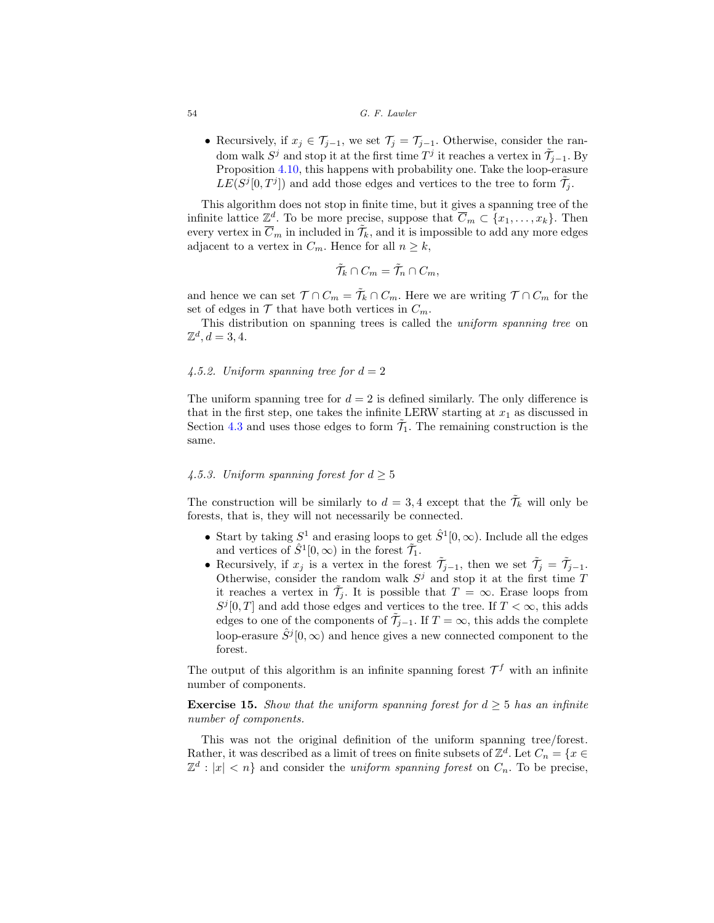54 G. F. Lawler

• Recursively, if  $x_j \in \mathcal{T}_{j-1}$ , we set  $\mathcal{T}_j = \mathcal{T}_{j-1}$ . Otherwise, consider the random walk  $S^j$  and stop it at the first time  $T^j$  it reaches a vertex in  $\tilde{\mathcal{T}}_{j-1}$ . By Proposition [4.10,](#page-25-1) this happens with probability one. Take the loop-erasure  $LE(S^j[0,T^j])$  and add those edges and vertices to the tree to form  $\tilde{\mathcal{T}}_j$ .

This algorithm does not stop in finite time, but it gives a spanning tree of the infinite lattice  $\mathbb{Z}^d$ . To be more precise, suppose that  $\overline{C}_m \subset \{x_1,\ldots,x_k\}$ . Then every vertex in  $\overline{C}_m$  in included in  $\tilde{\mathcal{T}}_k$ , and it is impossible to add any more edges adjacent to a vertex in  $C_m$ . Hence for all  $n \geq k$ ,

$$
\tilde{\mathcal{T}}_k \cap C_m = \tilde{\mathcal{T}}_n \cap C_m,
$$

and hence we can set  $\mathcal{T} \cap C_m = \tilde{\mathcal{T}}_k \cap C_m$ . Here we are writing  $\mathcal{T} \cap C_m$  for the set of edges in  $\mathcal T$  that have both vertices in  $C_m$ .

This distribution on spanning trees is called the uniform spanning tree on  $\mathbb{Z}^d, d = 3, 4.$ 

# 4.5.2. Uniform spanning tree for  $d = 2$

The uniform spanning tree for  $d = 2$  is defined similarly. The only difference is that in the first step, one takes the infinite LERW starting at  $x_1$  as discussed in Section [4.3](#page-19-2) and uses those edges to form  $\tilde{\mathcal{T}}_1$ . The remaining construction is the same.

# 4.5.3. Uniform spanning forest for  $d \geq 5$

The construction will be similarly to  $d = 3, 4$  except that the  $\tilde{\mathcal{T}}_k$  will only be forests, that is, they will not necessarily be connected.

- Start by taking  $S^1$  and erasing loops to get  $\hat{S}^1[0,\infty)$ . Include all the edges and vertices of  $\hat{S}^1[0,\infty)$  in the forest  $\tilde{\mathcal{T}}_1$ .
- Recursively, if  $x_j$  is a vertex in the forest  $\tilde{\mathcal{T}}_{j-1}$ , then we set  $\tilde{\mathcal{T}}_j = \tilde{\mathcal{T}}_{j-1}$ . Otherwise, consider the random walk  $S<sup>j</sup>$  and stop it at the first time T it reaches a vertex in  $\tilde{\mathcal{T}}_j$ . It is possible that  $T = \infty$ . Erase loops from  $S<sup>j</sup>[0,T]$  and add those edges and vertices to the tree. If  $T < \infty$ , this adds edges to one of the components of  $\tilde{\mathcal{T}}_{j-1}$ . If  $T = \infty$ , this adds the complete loop-erasure  $\hat{S}^{j}[0,\infty)$  and hence gives a new connected component to the forest.

The output of this algorithm is an infinite spanning forest  $\mathcal{T}^f$  with an infinite number of components.

**Exercise 15.** Show that the uniform spanning forest for  $d \geq 5$  has an infinite number of components.

This was not the original definition of the uniform spanning tree/forest. Rather, it was described as a limit of trees on finite subsets of  $\mathbb{Z}^d$ . Let  $C_n = \{x \in$  $\mathbb{Z}^d : |x| < n$  and consider the *uniform spanning forest* on  $C_n$ . To be precise,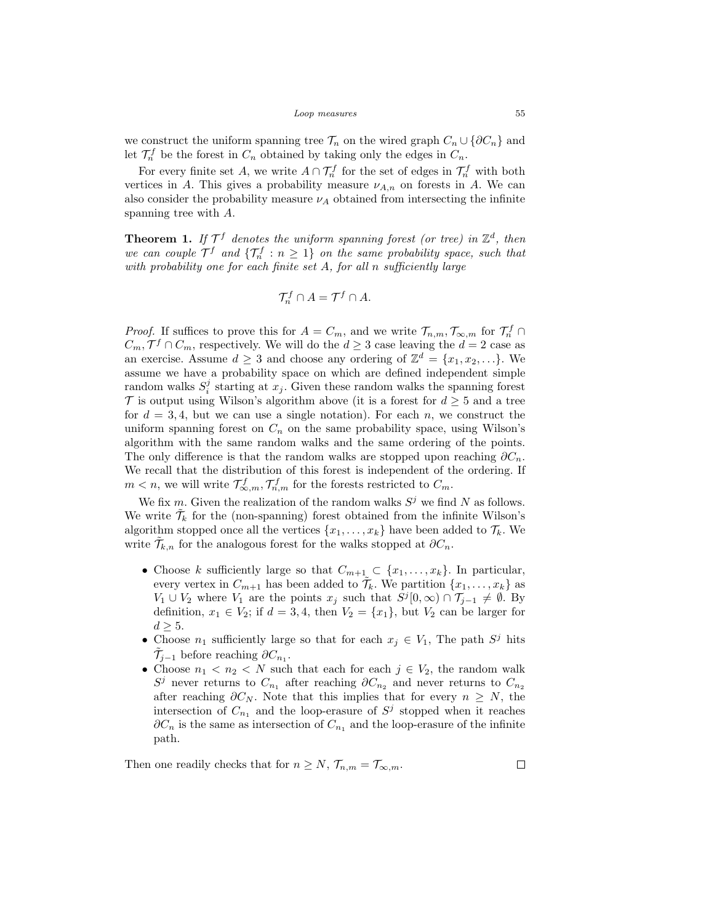Loop measures 55

we construct the uniform spanning tree  $\mathcal{T}_n$  on the wired graph  $C_n \cup {\partial C_n}$  and let  $\mathcal{T}_n^f$  be the forest in  $C_n$  obtained by taking only the edges in  $C_n$ .

For every finite set A, we write  $A \cap \mathcal{T}_n^f$  for the set of edges in  $\mathcal{T}_n^f$  with both vertices in A. This gives a probability measure  $\nu_{A,n}$  on forests in A. We can also consider the probability measure  $\nu_A$  obtained from intersecting the infinite spanning tree with A.

<span id="page-27-0"></span>**Theorem 1.** If  $\mathcal{T}^f$  denotes the uniform spanning forest (or tree) in  $\mathbb{Z}^d$ , then we can couple  $\mathcal{T}^f$  and  $\{\mathcal{T}^f_n : n \geq 1\}$  on the same probability space, such that with probability one for each finite set A, for all n sufficiently large

$$
\mathcal{T}_n^f \cap A = \mathcal{T}^f \cap A.
$$

*Proof.* If suffices to prove this for  $A = C_m$ , and we write  $\mathcal{T}_{n,m}, \mathcal{T}_{\infty,m}$  for  $\mathcal{T}_{n}^f \cap$  $C_m, \mathcal{T}^f \cap C_m$ , respectively. We will do the  $d \geq 3$  case leaving the  $d = 2$  case as an exercise. Assume  $d \geq 3$  and choose any ordering of  $\mathbb{Z}^d = \{x_1, x_2, \ldots\}$ . We assume we have a probability space on which are defined independent simple random walks  $S_i^j$  starting at  $x_j$ . Given these random walks the spanning forest  $\mathcal T$  is output using Wilson's algorithm above (it is a forest for  $d \geq 5$  and a tree for  $d = 3, 4$ , but we can use a single notation). For each n, we construct the uniform spanning forest on  $C_n$  on the same probability space, using Wilson's algorithm with the same random walks and the same ordering of the points. The only difference is that the random walks are stopped upon reaching  $\partial C_n$ . We recall that the distribution of this forest is independent of the ordering. If  $m < n$ , we will write  $\mathcal{T}^f_{\infty,m}, \mathcal{T}^f_{n,m}$  for the forests restricted to  $C_m$ .

We fix m. Given the realization of the random walks  $S^j$  we find N as follows. We write  $\tilde{\mathcal{T}}_k$  for the (non-spanning) forest obtained from the infinite Wilson's algorithm stopped once all the vertices  $\{x_1,\ldots,x_k\}$  have been added to  $\mathcal{T}_k$ . We write  $\tilde{\mathcal{T}}_{k,n}$  for the analogous forest for the walks stopped at  $\partial C_n$ .

- Choose k sufficiently large so that  $C_{m+1} \subset \{x_1, \ldots, x_k\}$ . In particular, every vertex in  $C_{m+1}$  has been added to  $\tilde{\mathcal{T}}_k$ . We partition  $\{x_1, \ldots, x_k\}$  as  $V_1 \cup V_2$  where  $V_1$  are the points  $x_j$  such that  $S^j[0,\infty) \cap \mathcal{T}_{j-1} \neq \emptyset$ . By definition,  $x_1 \in V_2$ ; if  $d = 3, 4$ , then  $V_2 = \{x_1\}$ , but  $V_2$  can be larger for  $d \geq 5$ .
- Choose  $n_1$  sufficiently large so that for each  $x_j \in V_1$ , The path  $S^j$  hits  $\tilde{\mathcal{T}}_{j-1}$  before reaching  $\partial C_{n_1}$ .
- Choose  $n_1 < n_2 < N$  such that each for each  $j \in V_2$ , the random walk  $S^j$  never returns to  $C_{n_1}$  after reaching  $\partial C_{n_2}$  and never returns to  $C_{n_2}$ after reaching  $\partial C_N$ . Note that this implies that for every  $n \geq N$ , the intersection of  $C_{n_1}$  and the loop-erasure of  $S^j$  stopped when it reaches  $\partial C_n$  is the same as intersection of  $C_{n_1}$  and the loop-erasure of the infinite path.

Then one readily checks that for  $n \geq N$ ,  $\mathcal{T}_{n,m} = \mathcal{T}_{\infty,m}$ .  $\Box$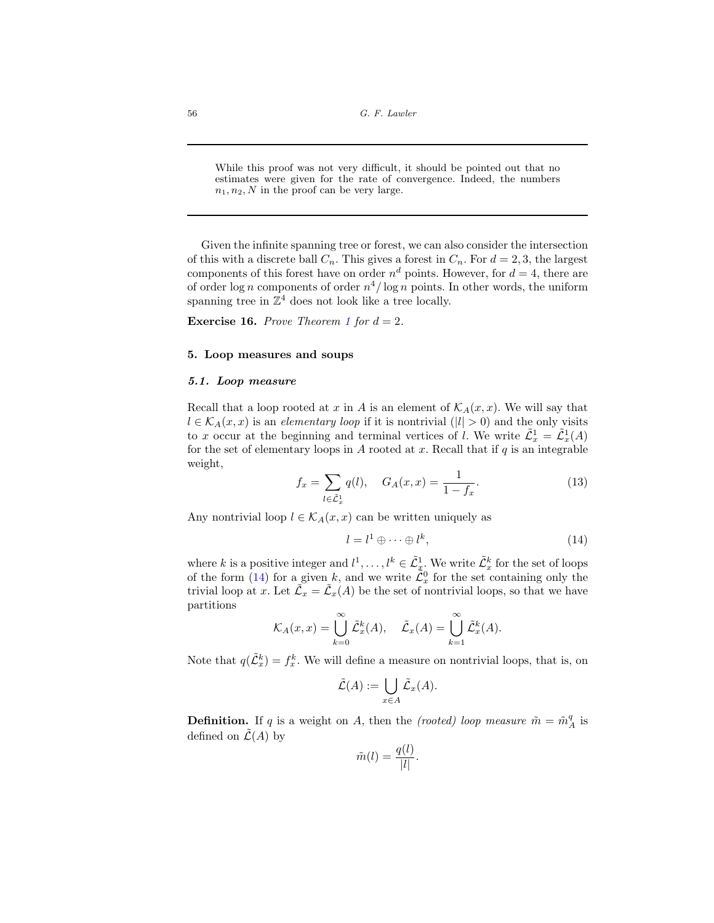While this proof was not very difficult, it should be pointed out that no estimates were given for the rate of convergence. Indeed, the numbers  $n_1, n_2, N$  in the proof can be very large.

Given the infinite spanning tree or forest, we can also consider the intersection of this with a discrete ball  $C_n$ . This gives a forest in  $C_n$ . For  $d = 2, 3$ , the largest components of this forest have on order  $n^d$  points. However, for  $d = 4$ , there are of order log n components of order  $n^4/\log n$  points. In other words, the uniform spanning tree in  $\mathbb{Z}^4$  does not look like a tree locally.

**Exercise [1](#page-27-0)6.** Prove Theorem 1 for  $d = 2$ .

# <span id="page-28-0"></span>**5. Loop measures and soups**

# <span id="page-28-1"></span>*5.1. Loop measure*

Recall that a loop rooted at x in A is an element of  $\mathcal{K}_A(x, x)$ . We will say that  $l \in \mathcal{K}_A(x,x)$  is an *elementary loop* if it is nontrivial  $(|l| > 0)$  and the only visits to x occur at the beginning and terminal vertices of l. We write  $\tilde{\mathcal{L}}_x^1 = \tilde{\mathcal{L}}_x^1(A)$ for the set of elementary loops in  $A$  rooted at  $x$ . Recall that if  $q$  is an integrable weight,

<span id="page-28-3"></span>
$$
f_x = \sum_{l \in \tilde{\mathcal{L}}_x^1} q(l), \quad G_A(x, x) = \frac{1}{1 - f_x}.
$$
 (13)

Any nontrivial loop  $l \in \mathcal{K}_A(x, x)$  can be written uniquely as

<span id="page-28-2"></span>
$$
l = l^1 \oplus \dots \oplus l^k,\tag{14}
$$

where k is a positive integer and  $l^1, \ldots, l^k \in \tilde{\mathcal{L}}_{x}^1$ . We write  $\tilde{\mathcal{L}}_x^k$  for the set of loops of the form [\(14\)](#page-28-2) for a given k, and we write  $\tilde{\mathcal{L}}_x^0$  for the set containing only the trivial loop at x. Let  $\tilde{\mathcal{L}}_x = \tilde{\mathcal{L}}_x(A)$  be the set of nontrivial loops, so that we have partitions

$$
\mathcal{K}_A(x,x) = \bigcup_{k=0}^{\infty} \tilde{\mathcal{L}}_x^k(A), \quad \tilde{\mathcal{L}}_x(A) = \bigcup_{k=1}^{\infty} \tilde{\mathcal{L}}_x^k(A).
$$

Note that  $q(\tilde{\mathcal{L}}_x^k) = f_x^k$ . We will define a measure on nontrivial loops, that is, on

$$
\tilde{\mathcal{L}}(A) := \bigcup_{x \in A} \tilde{\mathcal{L}}_x(A).
$$

**Definition.** If q is a weight on A, then the *(rooted) loop measure*  $\tilde{m} = \tilde{m}_A^q$  is defined on  $\mathcal{L}(A)$  by

$$
\tilde{m}(l) = \frac{q(l)}{|l|}.
$$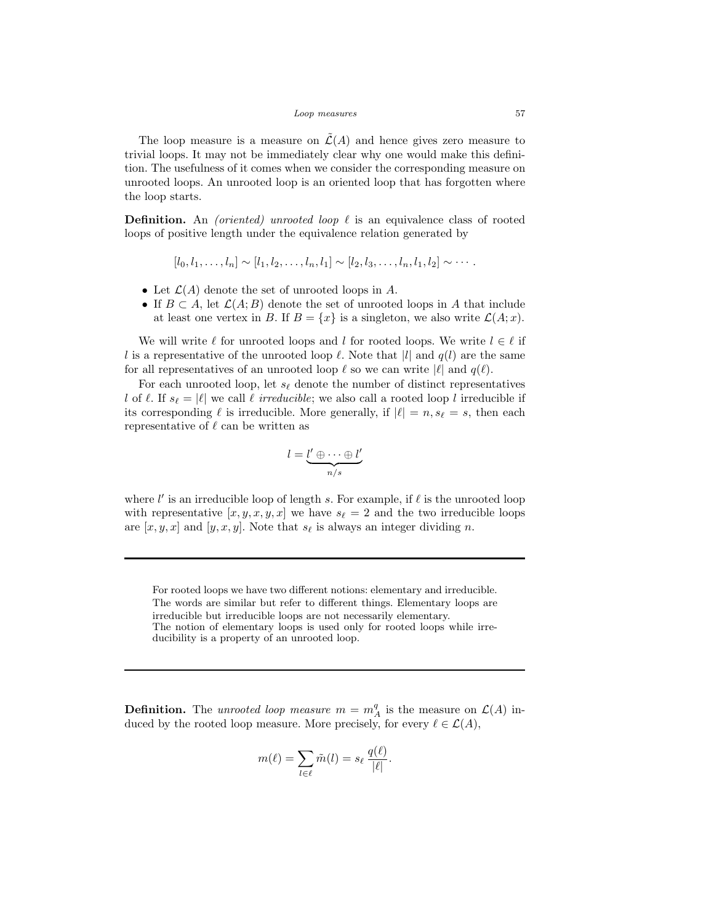The loop measure is a measure on  $\tilde{\mathcal{L}}(A)$  and hence gives zero measure to trivial loops. It may not be immediately clear why one would make this definition. The usefulness of it comes when we consider the corresponding measure on unrooted loops. An unrooted loop is an oriented loop that has forgotten where the loop starts.

**Definition.** An *(oriented)* unrooted loop  $\ell$  is an equivalence class of rooted loops of positive length under the equivalence relation generated by

 $[l_0, l_1, \ldots, l_n] \sim [l_1, l_2, \ldots, l_n, l_1] \sim [l_2, l_3, \ldots, l_n, l_1, l_2] \sim \cdots$ 

- Let  $\mathcal{L}(A)$  denote the set of unrooted loops in A.
- If  $B \subset A$ , let  $\mathcal{L}(A;B)$  denote the set of unrooted loops in A that include at least one vertex in B. If  $B = \{x\}$  is a singleton, we also write  $\mathcal{L}(A; x)$ .

We will write  $\ell$  for unrooted loops and l for rooted loops. We write  $l \in \ell$  if l is a representative of the unrooted loop  $\ell$ . Note that |l| and  $q(l)$  are the same for all representatives of an unrooted loop  $\ell$  so we can write  $|\ell|$  and  $q(\ell)$ .

For each unrooted loop, let  $s_{\ell}$  denote the number of distinct representatives l of l. If  $s_\ell = |\ell|$  we call  $\ell$  irreducible; we also call a rooted loop l irreducible if its corresponding  $\ell$  is irreducible. More generally, if  $|\ell| = n$ ,  $s_{\ell} = s$ , then each representative of  $\ell$  can be written as

$$
l=\underbrace{l'\oplus\cdots\oplus l'}_{n/s}
$$

where  $l'$  is an irreducible loop of length s. For example, if  $\ell$  is the unrooted loop with representative  $[x, y, x, y, x]$  we have  $s_{\ell} = 2$  and the two irreducible loops are  $[x, y, x]$  and  $[y, x, y]$ . Note that  $s_{\ell}$  is always an integer dividing n.

For rooted loops we have two different notions: elementary and irreducible. The words are similar but refer to different things. Elementary loops are irreducible but irreducible loops are not necessarily elementary. The notion of elementary loops is used only for rooted loops while irreducibility is a property of an unrooted loop.

**Definition.** The unrooted loop measure  $m = m_A^q$  is the measure on  $\mathcal{L}(A)$  induced by the rooted loop measure. More precisely, for every  $\ell \in \mathcal{L}(A)$ ,

$$
m(\ell) = \sum_{l \in \ell} \tilde{m}(l) = s_{\ell} \, \frac{q(\ell)}{|\ell|}.
$$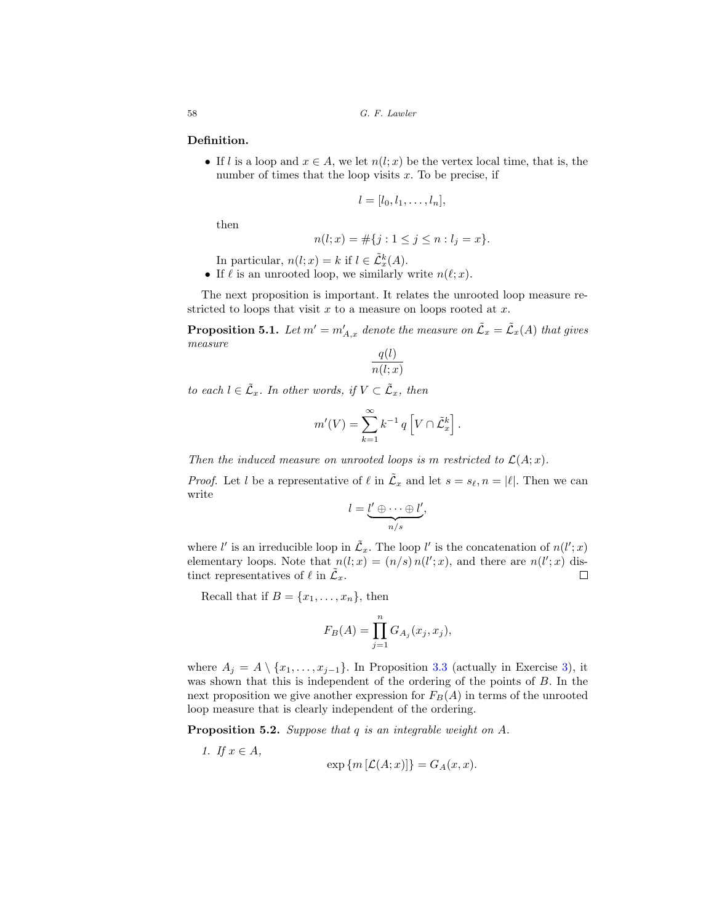58 G. F. Lawler

## **Definition.**

• If l is a loop and  $x \in A$ , we let  $n(l; x)$  be the vertex local time, that is, the number of times that the loop visits  $x$ . To be precise, if

$$
l=[l_0,l_1,\ldots,l_n],
$$

then

$$
n(l; x) = \#\{j : 1 \le j \le n : l_j = x\}.
$$

In particular,  $n(l; x) = k$  if  $l \in \tilde{\mathcal{L}}_x^k(A)$ .

• If  $\ell$  is an unrooted loop, we similarly write  $n(\ell; x)$ .

The next proposition is important. It relates the unrooted loop measure restricted to loops that visit  $x$  to a measure on loops rooted at  $x$ .

<span id="page-30-1"></span>**Proposition 5.1.** Let  $m' = m'_{A,x}$  denote the measure on  $\tilde{\mathcal{L}}_x = \tilde{\mathcal{L}}_x(A)$  that gives measure

$$
\frac{q(l)}{n(l;x)}
$$

to each  $l \in \tilde{\mathcal{L}}_x$ . In other words, if  $V \subset \tilde{\mathcal{L}}_x$ , then

$$
m'(V) = \sum_{k=1}^{\infty} k^{-1} q \left[ V \cap \tilde{\mathcal{L}}_x^k \right].
$$

Then the induced measure on unrooted loops is m restricted to  $\mathcal{L}(A; x)$ .

*Proof.* Let l be a representative of  $\ell$  in  $\tilde{\mathcal{L}}_x$  and let  $s = s_{\ell}, n = |\ell|$ . Then we can write

$$
l=\underbrace{l'\oplus\cdots\oplus l'}_{n/s},
$$

where l' is an irreducible loop in  $\mathcal{L}_x$ . The loop l' is the concatenation of  $n(l';x)$ elementary loops. Note that  $n(l; x) = (n/s) n(l'; x)$ , and there are  $n(l'; x)$  distinct representatives of  $\ell$  in  $\mathcal{L}_x$ .  $\Box$ 

Recall that if  $B = \{x_1, \ldots, x_n\}$ , then

$$
F_B(A) = \prod_{j=1}^n G_{A_j}(x_j, x_j),
$$

where  $A_j = A \setminus \{x_1, \ldots, x_{j-1}\}.$  In Proposition [3.3](#page-12-1) (actually in Exercise [3\)](#page-12-0), it was shown that this is independent of the ordering of the points of B. In the next proposition we give another expression for  $F_B(A)$  in terms of the unrooted loop measure that is clearly independent of the ordering.

<span id="page-30-0"></span>**Proposition 5.2.** Suppose that q is an integrable weight on A.

1. If 
$$
x \in A
$$
,  
 
$$
\exp \{m \left[ \mathcal{L}(A; x) \right] \} = G_A(x, x).
$$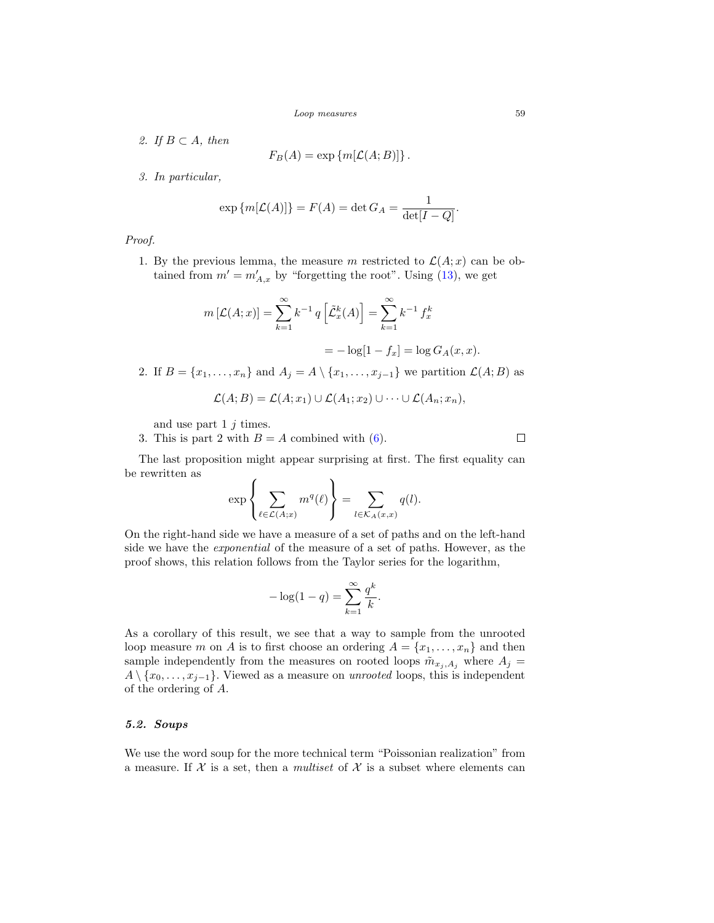Loop measures 59

2. If  $B \subset A$ , then

$$
F_B(A) = \exp \{m[\mathcal{L}(A;B)]\}.
$$

3. In particular,

$$
\exp\{m[\mathcal{L}(A)]\} = F(A) = \det G_A = \frac{1}{\det[I - Q]}.
$$

Proof.

1. By the previous lemma, the measure m restricted to  $\mathcal{L}(A; x)$  can be obtained from  $m' = m'_{A,x}$  by "forgetting the root". Using [\(13\)](#page-28-3), we get

$$
m\left[\mathcal{L}(A;x)\right] = \sum_{k=1}^{\infty} k^{-1} q \left[\tilde{\mathcal{L}}_x^k(A)\right] = \sum_{k=1}^{\infty} k^{-1} f_x^k
$$

$$
= -\log[1 - f_x] = \log G_A(x,x).
$$

2. If  $B = \{x_1, \ldots, x_n\}$  and  $A_j = A \setminus \{x_1, \ldots, x_{j-1}\}$  we partition  $\mathcal{L}(A;B)$  as

$$
\mathcal{L}(A;B) = \mathcal{L}(A;x_1) \cup \mathcal{L}(A_1;x_2) \cup \cdots \cup \mathcal{L}(A_n;x_n),
$$

and use part  $1 \, j$  times.

3. This is part 2 with  $B = A$  combined with  $(6)$ .

The last proposition might appear surprising at first. The first equality can be rewritten as

$$
\exp\left\{\sum_{\ell\in\mathcal{L}(A;x)} m^q(\ell)\right\} = \sum_{l\in\mathcal{K}_A(x,x)} q(l).
$$

On the right-hand side we have a measure of a set of paths and on the left-hand side we have the exponential of the measure of a set of paths. However, as the proof shows, this relation follows from the Taylor series for the logarithm,

$$
-\log(1-q) = \sum_{k=1}^{\infty} \frac{q^k}{k}.
$$

As a corollary of this result, we see that a way to sample from the unrooted loop measure m on A is to first choose an ordering  $A = \{x_1, \ldots, x_n\}$  and then sample independently from the measures on rooted loops  $\tilde{m}_{x_j, A_j}$  where  $A_j =$  $A \setminus \{x_0, \ldots, x_{j-1}\}.$  Viewed as a measure on *unrooted* loops, this is independent of the ordering of A.

# *5.2. Soups*

We use the word soup for the more technical term "Poissonian realization" from a measure. If  $\mathcal X$  is a set, then a *multiset* of  $\mathcal X$  is a subset where elements can

 $\Box$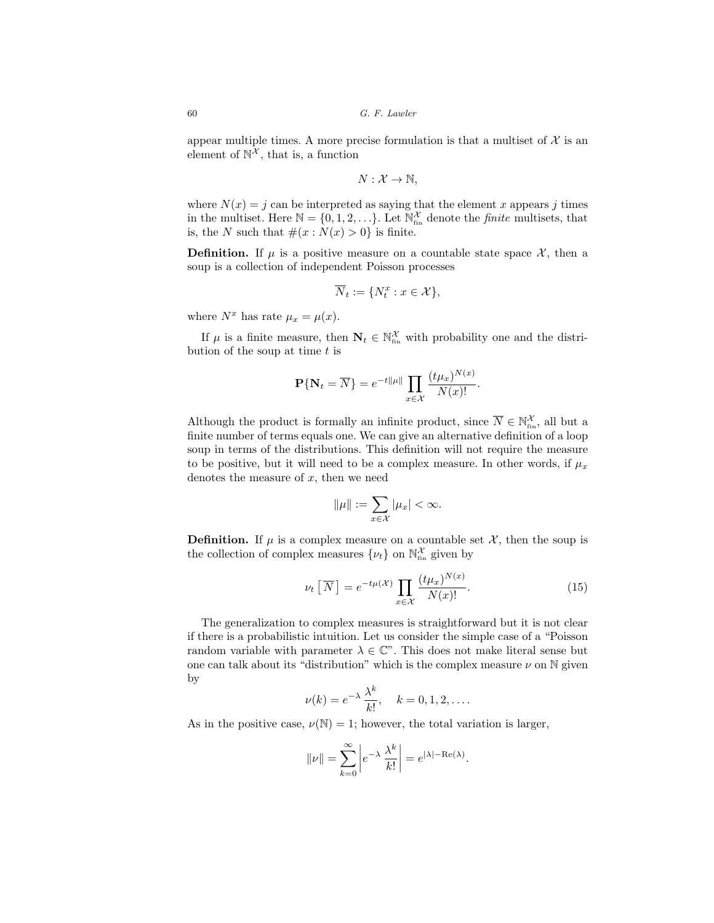appear multiple times. A more precise formulation is that a multiset of  $\mathcal{X}$  is an element of  $\mathbb{N}^{\mathcal{X}}$ , that is, a function

$$
N: \mathcal{X} \to \mathbb{N},
$$

where  $N(x) = j$  can be interpreted as saying that the element x appears j times in the multiset. Here  $\mathbb{N} = \{0, 1, 2, \ldots\}$ . Let  $\mathbb{N}_{\text{fin}}^{\mathcal{X}}$  denote the *finite* multisets, that is, the N such that  $\#(x : N(x) > 0)$  is finite.

**Definition.** If  $\mu$  is a positive measure on a countable state space  $\mathcal{X}$ , then a soup is a collection of independent Poisson processes

$$
\overline{N}_t := \{ N_t^x : x \in \mathcal{X} \},
$$

where  $N^x$  has rate  $\mu_x = \mu(x)$ .

If  $\mu$  is a finite measure, then  $\mathbf{N}_t \in \mathbb{N}_{\text{fin}}^{\mathcal{X}}$  with probability one and the distribution of the soup at time  $t$  is

$$
\mathbf{P}\{\mathbf{N}_t = \overline{N}\} = e^{-t\|\mu\|} \prod_{x \in \mathcal{X}} \frac{(t\mu_x)^{N(x)}}{N(x)!}.
$$

Although the product is formally an infinite product, since  $\overline{N} \in \mathbb{N}_{\text{fin}}^{\mathcal{X}}$ , all but a finite number of terms equals one. We can give an alternative definition of a loop soup in terms of the distributions. This definition will not require the measure to be positive, but it will need to be a complex measure. In other words, if  $\mu_x$ denotes the measure of  $x$ , then we need

$$
\|\mu\| := \sum_{x \in \mathcal{X}} |\mu_x| < \infty.
$$

**Definition.** If  $\mu$  is a complex measure on a countable set  $\mathcal{X}$ , then the soup is the collection of complex measures  $\{\nu_t\}$  on  $\mathbb{N}_{\text{fin}}^{\mathcal{X}}$  given by

<span id="page-32-0"></span>
$$
\nu_t\left[\overline{N}\right] = e^{-t\mu(X)} \prod_{x \in \mathcal{X}} \frac{(t\mu_x)^{N(x)}}{N(x)!}.
$$
\n(15)

The generalization to complex measures is straightforward but it is not clear if there is a probabilistic intuition. Let us consider the simple case of a "Poisson random variable with parameter  $\lambda \in \mathbb{C}^n$ . This does not make literal sense but one can talk about its "distribution" which is the complex measure  $\nu$  on N given by

$$
\nu(k) = e^{-\lambda} \frac{\lambda^k}{k!}, \quad k = 0, 1, 2, \dots
$$

As in the positive case,  $\nu(\mathbb{N}) = 1$ ; however, the total variation is larger,

$$
\|\nu\| = \sum_{k=0}^{\infty} \left| e^{-\lambda} \frac{\lambda^k}{k!} \right| = e^{|\lambda| - \text{Re}(\lambda)}.
$$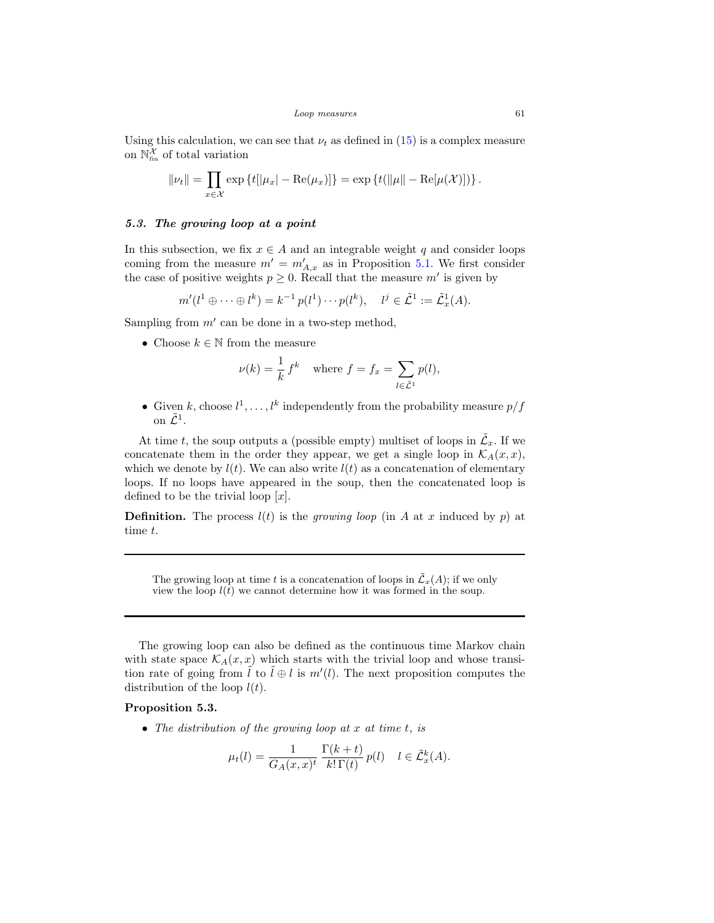Using this calculation, we can see that  $\nu_t$  as defined in [\(15\)](#page-32-0) is a complex measure on  $\mathbb{N}_{\text{fin}}^{\mathcal{X}}$  of total variation

$$
\|\nu_t\| = \prod_{x \in \mathcal{X}} \exp \{t[\mu_x] - \text{Re}(\mu_x)]\} = \exp \{t(\|\mu\| - \text{Re}[\mu(\mathcal{X})])\}.
$$

## <span id="page-33-0"></span>*5.3. The growing loop at a point*

In this subsection, we fix  $x \in A$  and an integrable weight q and consider loops coming from the measure  $m' = m'_{A,x}$  as in Proposition [5.1.](#page-30-1) We first consider the case of positive weights  $p \geq 0$ . Recall that the measure m' is given by

 $m'(l^1 \oplus \cdots \oplus l^k) = k^{-1} p(l^1) \cdots p(l^k), \quad l^j \in \tilde{\mathcal{L}}^1 := \tilde{\mathcal{L}}_x^1(A).$ 

Sampling from  $m'$  can be done in a two-step method,

• Choose  $k \in \mathbb{N}$  from the measure

$$
\nu(k) = \frac{1}{k} f^k \quad \text{where } f = f_x = \sum_{l \in \tilde{\mathcal{L}}^1} p(l),
$$

• Given k, choose  $l^1, \ldots, l^k$  independently from the probability measure  $p/f$ on  $\tilde{\mathcal{L}}^1$ .

At time t, the soup outputs a (possible empty) multiset of loops in  $\mathcal{L}_x$ . If we concatenate them in the order they appear, we get a single loop in  $\mathcal{K}_A(x,x)$ , which we denote by  $l(t)$ . We can also write  $l(t)$  as a concatenation of elementary loops. If no loops have appeared in the soup, then the concatenated loop is defined to be the trivial loop  $[x]$ .

**Definition.** The process  $l(t)$  is the *growing loop* (in A at x induced by p) at time t.

The growing loop at time t is a concatenation of loops in  $\mathcal{L}_x(A)$ ; if we only view the loop  $l(t)$  we cannot determine how it was formed in the soup.

The growing loop can also be defined as the continuous time Markov chain with state space  $\mathcal{K}_A(x, x)$  which starts with the trivial loop and whose transition rate of going from  $\tilde{l}$  to  $\tilde{l} \oplus l$  is  $m'(l)$ . The next proposition computes the distribution of the loop  $l(t)$ .

# **Proposition 5.3.**

• The distribution of the growing loop at x at time t, is

$$
\mu_t(l) = \frac{1}{G_A(x,x)^t} \frac{\Gamma(k+t)}{k!\,\Gamma(t)} \, p(l) \quad l \in \tilde{\mathcal{L}}_x^k(A).
$$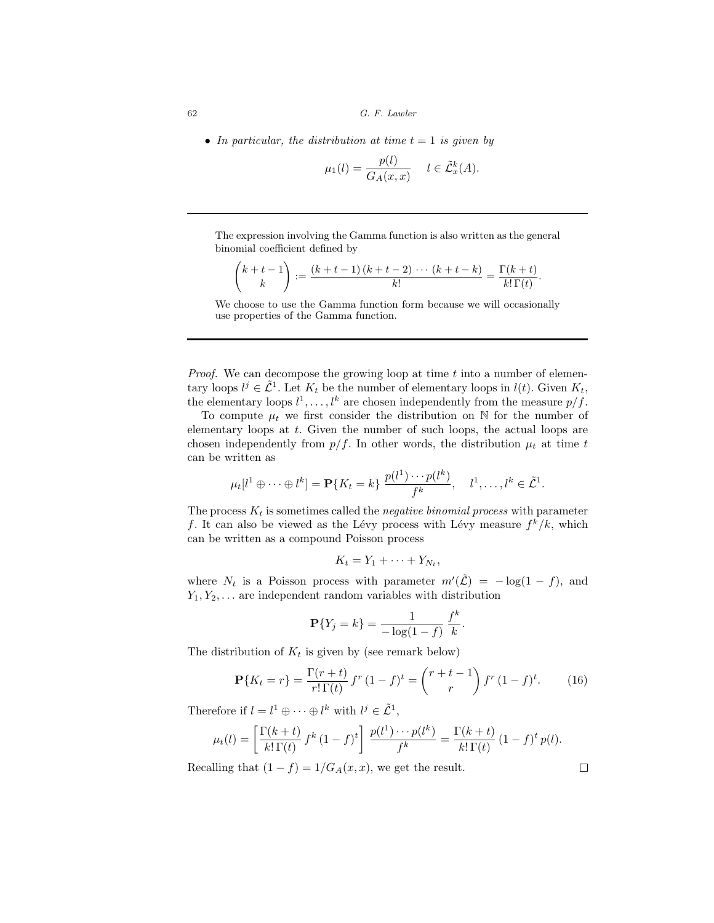62 G. F. Lawler

• In particular, the distribution at time  $t = 1$  is given by

$$
\mu_1(l) = \frac{p(l)}{G_A(x,x)} \quad l \in \tilde{\mathcal{L}}_x^k(A).
$$

The expression involving the Gamma function is also written as the general binomial coefficient defined by

$$
\begin{pmatrix} k+t-1 \ k \end{pmatrix} := \frac{(k+t-1)(k+t-2)\cdots(k+t-k)}{k!} = \frac{\Gamma(k+t)}{k!\,\Gamma(t)}.
$$

We choose to use the Gamma function form because we will occasionally use properties of the Gamma function.

*Proof.* We can decompose the growing loop at time  $t$  into a number of elementary loops  $l^j \in \tilde{\mathcal{L}}^1$ . Let  $K_t$  be the number of elementary loops in  $l(t)$ . Given  $K_t$ , the elementary loops  $l^1, \ldots, l^k$  are chosen independently from the measure  $p/f$ .

To compute  $\mu_t$  we first consider the distribution on N for the number of elementary loops at t. Given the number of such loops, the actual loops are chosen independently from  $p/f$ . In other words, the distribution  $\mu_t$  at time t can be written as

$$
\mu_t[l^1 \oplus \cdots \oplus l^k] = \mathbf{P}\{K_t = k\} \frac{p(l^1) \cdots p(l^k)}{f^k}, \quad l^1, \ldots, l^k \in \tilde{\mathcal{L}}^1.
$$

The process  $K_t$  is sometimes called the *negative binomial process* with parameter f. It can also be viewed as the Lévy process with Lévy measure  $f^k/k$ , which can be written as a compound Poisson process

$$
K_t=Y_1+\cdots+Y_{N_t},
$$

where  $N_t$  is a Poisson process with parameter  $m'(\tilde{\mathcal{L}}) = -\log(1-f)$ , and  $Y_1, Y_2, \ldots$  are independent random variables with distribution

$$
\mathbf{P}\{Y_j = k\} = \frac{1}{-\log(1-f)} \, \frac{f^k}{k}.
$$

The distribution of  $K_t$  is given by (see remark below)

<span id="page-34-0"></span>
$$
\mathbf{P}\{K_t = r\} = \frac{\Gamma(r+t)}{r!\,\Gamma(t)}\,f^r\,(1-f)^t = \binom{r+t-1}{r}\,f^r\,(1-f)^t.\tag{16}
$$

Therefore if  $l = l^1 \oplus \cdots \oplus l^k$  with  $l^j \in \tilde{\mathcal{L}}^1$ ,

$$
\mu_t(l) = \left[\frac{\Gamma(k+t)}{k!\,\Gamma(t)}\,f^k\,(1-f)^t\right]\,\frac{p(l^1)\cdots p(l^k)}{f^k} = \frac{\Gamma(k+t)}{k!\,\Gamma(t)}\,(1-f)^t\,p(l).
$$

Recalling that  $(1 - f) = 1/G_A(x, x)$ , we get the result.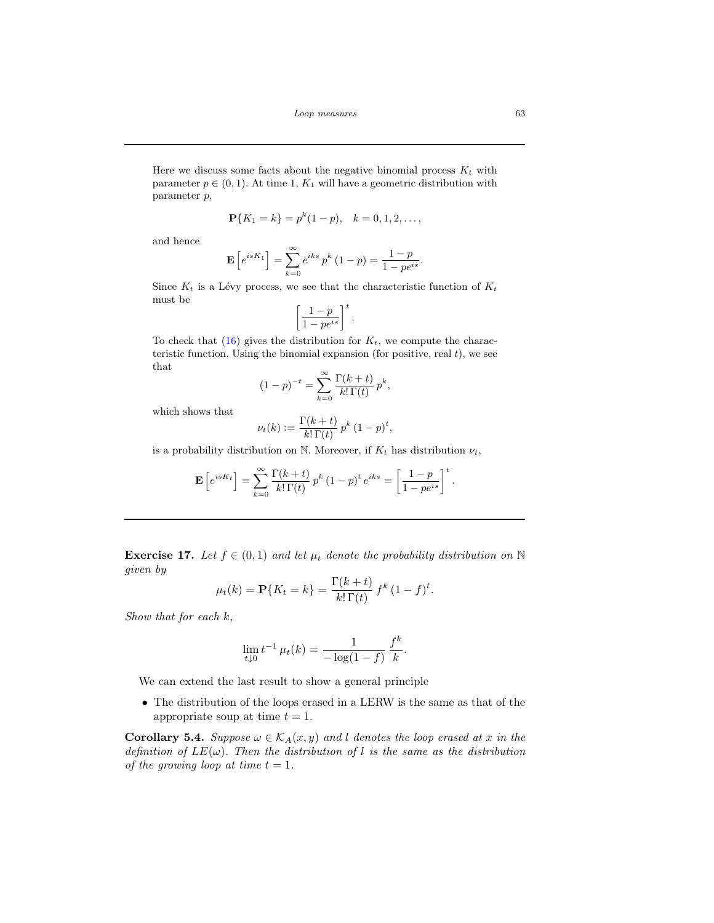Here we discuss some facts about the negative binomial process  $K_t$  with parameter  $p \in (0, 1)$ . At time 1,  $K_1$  will have a geometric distribution with parameter p,

$$
\mathbf{P}\{K_1 = k\} = p^k(1-p), \quad k = 0, 1, 2, \dots,
$$

and hence

$$
\mathbf{E}\left[e^{isK_1}\right] = \sum_{k=0}^{\infty} e^{iks} p^k (1-p) = \frac{1-p}{1-pe^{is}}.
$$

Since  $K_t$  is a Lévy process, we see that the characteristic function of  $K_t$ must be

$$
\left[\frac{1-p}{1-pe^{is}}\right]^t.
$$

To check that  $(16)$  gives the distribution for  $K_t$ , we compute the characteristic function. Using the binomial expansion (for positive, real  $t$ ), we see that

$$
(1-p)^{-t} = \sum_{k=0}^{\infty} \frac{\Gamma(k+t)}{k! \Gamma(t)} p^{k},
$$

which shows that

$$
\nu_t(k) := \frac{\Gamma(k+t)}{k!\,\Gamma(t)}\,p^k\,(1-p)^t,
$$

is a probability distribution on N. Moreover, if  $K_t$  has distribution  $\nu_t$ ,

$$
\mathbf{E}\left[e^{isK_t}\right] = \sum_{k=0}^{\infty} \frac{\Gamma(k+t)}{k!\,\Gamma(t)} p^k (1-p)^t e^{iks} = \left[\frac{1-p}{1-pe^{is}}\right]^t.
$$

**Exercise 17.** Let  $f \in (0,1)$  and let  $\mu_t$  denote the probability distribution on N given by

$$
\mu_t(k) = \mathbf{P}\{K_t = k\} = \frac{\Gamma(k+t)}{k!\,\Gamma(t)} f^k (1-f)^t.
$$

Show that for each k,

$$
\lim_{t \downarrow 0} t^{-1} \mu_t(k) = \frac{1}{-\log(1-f)} \frac{f^k}{k}.
$$

We can extend the last result to show a general principle

• The distribution of the loops erased in a LERW is the same as that of the appropriate soup at time  $t = 1$ .

**Corollary 5.4.** Suppose  $\omega \in \mathcal{K}_A(x, y)$  and l denotes the loop erased at x in the definition of  $LE(\omega)$ . Then the distribution of l is the same as the distribution of the growing loop at time  $t = 1$ .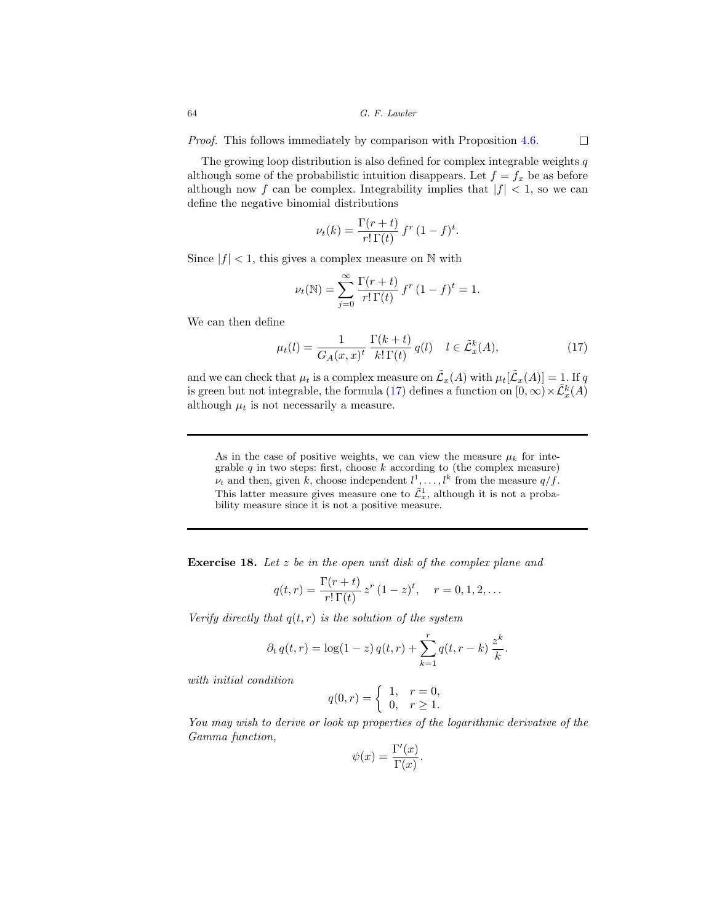Proof. This follows immediately by comparison with Proposition [4.6.](#page-18-0)

The growing loop distribution is also defined for complex integrable weights  $q$ although some of the probabilistic intuition disappears. Let  $f = f_x$  be as before although now f can be complex. Integrability implies that  $|f| < 1$ , so we can define the negative binomial distributions

$$
\nu_t(k) = \frac{\Gamma(r+t)}{r!\,\Gamma(t)}\,f^r\,(1-f)^t.
$$

Since  $|f| < 1$ , this gives a complex measure on N with

$$
\nu_t(\mathbb{N}) = \sum_{j=0}^{\infty} \frac{\Gamma(r+t)}{r! \Gamma(t)} f^r (1-f)^t = 1.
$$

We can then define

<span id="page-36-0"></span>
$$
\mu_t(l) = \frac{1}{G_A(x,x)^t} \frac{\Gamma(k+t)}{k!\,\Gamma(t)} q(l) \quad l \in \tilde{\mathcal{L}}_x^k(A),\tag{17}
$$

 $\Box$ 

and we can check that  $\mu_t$  is a complex measure on  $\mathcal{L}_x(A)$  with  $\mu_t[\mathcal{L}_x(A)] = 1$ . If q is green but not integrable, the formula [\(17\)](#page-36-0) defines a function on  $[0, \infty) \times \tilde{\mathcal{L}}_x^k(A)$ although  $\mu_t$  is not necessarily a measure.

As in the case of positive weights, we can view the measure  $\mu_k$  for integrable  $q$  in two steps: first, choose  $k$  according to (the complex measure)  $\nu_t$  and then, given k, choose independent  $l^1, \ldots, l^k$  from the measure  $q/f$ . This latter measure gives measure one to  $\tilde{\mathcal{L}}_x^1$ , although it is not a probability measure since it is not a positive measure.

**Exercise 18.** Let z be in the open unit disk of the complex plane and

$$
q(t,r) = \frac{\Gamma(r+t)}{r!\,\Gamma(t)}\,z^r\,(1-z)^t, \quad r = 0, 1, 2, \ldots
$$

Verify directly that  $q(t, r)$  is the solution of the system

$$
\partial_t q(t, r) = \log(1 - z) q(t, r) + \sum_{k=1}^r q(t, r - k) \frac{z^k}{k}.
$$

with initial condition

$$
q(0,r) = \begin{cases} 1, & r = 0, \\ 0, & r \ge 1. \end{cases}
$$

You may wish to derive or look up properties of the logarithmic derivative of the Gamma function,

$$
\psi(x) = \frac{\Gamma'(x)}{\Gamma(x)}.
$$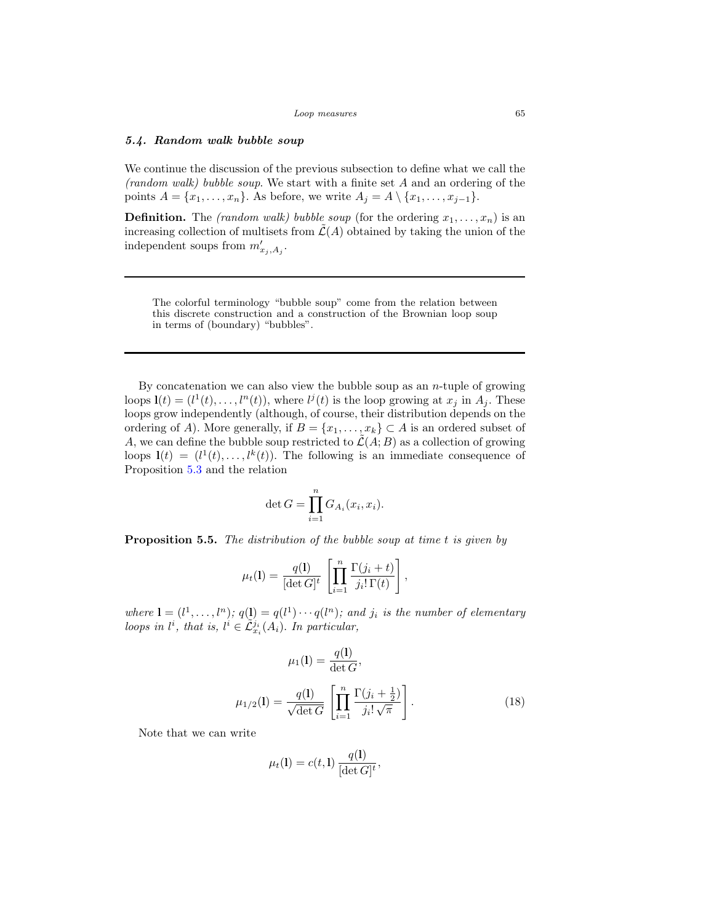### *5.4. Random walk bubble soup*

We continue the discussion of the previous subsection to define what we call the (random walk) bubble soup. We start with a finite set A and an ordering of the points  $A = \{x_1, \ldots, x_n\}$ . As before, we write  $A_j = A \setminus \{x_1, \ldots, x_{j-1}\}.$ 

**Definition.** The *(random walk) bubble soup* (for the ordering  $x_1, \ldots, x_n$ ) is an increasing collection of multisets from  $\tilde{\mathcal{L}}(A)$  obtained by taking the union of the independent soups from  $m'_{x_j, A_j}$ .

The colorful terminology "bubble soup" come from the relation between this discrete construction and a construction of the Brownian loop soup in terms of (boundary) "bubbles".

By concatenation we can also view the bubble soup as an  $n$ -tuple of growing loops  $\mathbf{l}(t) = (l^1(t), \ldots, l^n(t))$ , where  $l^j(t)$  is the loop growing at  $x_j$  in  $A_j$ . These loops grow independently (although, of course, their distribution depends on the ordering of A). More generally, if  $B = \{x_1, \ldots, x_k\} \subset A$  is an ordered subset of A, we can define the bubble soup restricted to  $\tilde{\mathcal{L}}(A;B)$  as a collection of growing loops  $\mathbf{l}(t) = (l^1(t),...,l^k(t))$ . The following is an immediate consequence of Proposition [5.3](#page-33-0) and the relation

$$
\det G = \prod_{i=1}^{n} G_{A_i}(x_i, x_i).
$$

**Proposition 5.5.** The distribution of the bubble soup at time t is given by

$$
\mu_t(1) = \frac{q(1)}{[\det G]^t} \left[ \prod_{i=1}^n \frac{\Gamma(j_i + t)}{j_i! \Gamma(t)} \right],
$$

where  $\mathbf{l} = (l^1, \ldots, l^n); q(\mathbf{l}) = q(l^1) \cdots q(l^n);$  and  $j_i$  is the number of elementary loops in  $l^i$ , that is,  $l^i \in \widetilde{\mathcal{L}}_{x_i}^{j_i}(A_i)$ . In particular,

<span id="page-37-0"></span>
$$
\mu_1(1) = \frac{q(1)}{\det G},
$$

$$
\mu_{1/2}(1) = \frac{q(1)}{\sqrt{\det G}} \left[ \prod_{i=1}^n \frac{\Gamma(j_i + \frac{1}{2})}{j_i! \sqrt{\pi}} \right].
$$
(18)

Note that we can write

$$
\mu_t(\mathbf{l}) = c(t, \mathbf{l}) \frac{q(\mathbf{l})}{|\det G|^t},
$$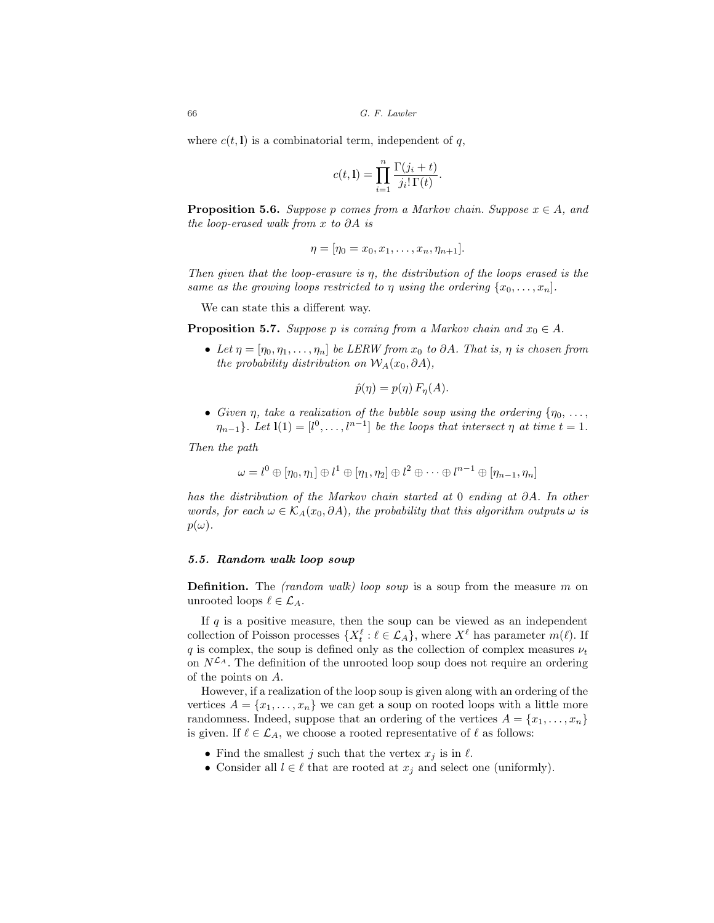where  $c(t, l)$  is a combinatorial term, independent of q,

$$
c(t, \mathbf{l}) = \prod_{i=1}^{n} \frac{\Gamma(j_i + t)}{j_i! \Gamma(t)}.
$$

**Proposition 5.6.** Suppose p comes from a Markov chain. Suppose  $x \in A$ , and the loop-erased walk from x to  $\partial A$  is

$$
\eta = [\eta_0 = x_0, x_1, \dots, x_n, \eta_{n+1}].
$$

Then given that the loop-erasure is  $\eta$ , the distribution of the loops erased is the same as the growing loops restricted to  $\eta$  using the ordering  $\{x_0, \ldots, x_n\}$ .

We can state this a different way.

**Proposition 5.7.** Suppose p is coming from a Markov chain and  $x_0 \in A$ .

• Let  $\eta = [\eta_0, \eta_1, \dots, \eta_n]$  be LERW from  $x_0$  to  $\partial A$ . That is,  $\eta$  is chosen from the probability distribution on  $W_A(x_0, \partial A)$ ,

$$
\hat{p}(\eta) = p(\eta) F_{\eta}(A).
$$

• Given  $\eta$ , take a realization of the bubble soup using the ordering  $\{\eta_0, \ldots, \eta_n\}$  $\{\eta_{n-1}\}\.$  Let  $\mathbf{l}(1) = [l^0, \ldots, l^{n-1}]$  be the loops that intersect  $\eta$  at time  $t = 1$ .

Then the path

$$
\omega = l^0 \oplus [\eta_0, \eta_1] \oplus l^1 \oplus [\eta_1, \eta_2] \oplus l^2 \oplus \cdots \oplus l^{n-1} \oplus [\eta_{n-1}, \eta_n]
$$

has the distribution of the Markov chain started at 0 ending at ∂A. In other words, for each  $\omega \in \mathcal{K}_A(x_0, \partial A)$ , the probability that this algorithm outputs  $\omega$  is  $p(\omega)$ .

#### *5.5. Random walk loop soup*

**Definition.** The *(random walk) loop soup* is a soup from the measure m on unrooted loops  $\ell \in \mathcal{L}_A$ .

If  $q$  is a positive measure, then the soup can be viewed as an independent collection of Poisson processes  $\{X_t^{\ell} : \ell \in \mathcal{L}_A\}$ , where  $X^{\ell}$  has parameter  $m(\ell)$ . If q is complex, the soup is defined only as the collection of complex measures  $\nu_t$ on  $N^{\mathcal{L}_A}$ . The definition of the unrooted loop soup does not require an ordering of the points on A.

However, if a realization of the loop soup is given along with an ordering of the vertices  $A = \{x_1, \ldots, x_n\}$  we can get a soup on rooted loops with a little more randomness. Indeed, suppose that an ordering of the vertices  $A = \{x_1, \ldots, x_n\}$ is given. If  $\ell \in \mathcal{L}_A$ , we choose a rooted representative of  $\ell$  as follows:

- Find the smallest j such that the vertex  $x_j$  is in  $\ell$ .
- Consider all  $l \in \ell$  that are rooted at  $x_i$  and select one (uniformly).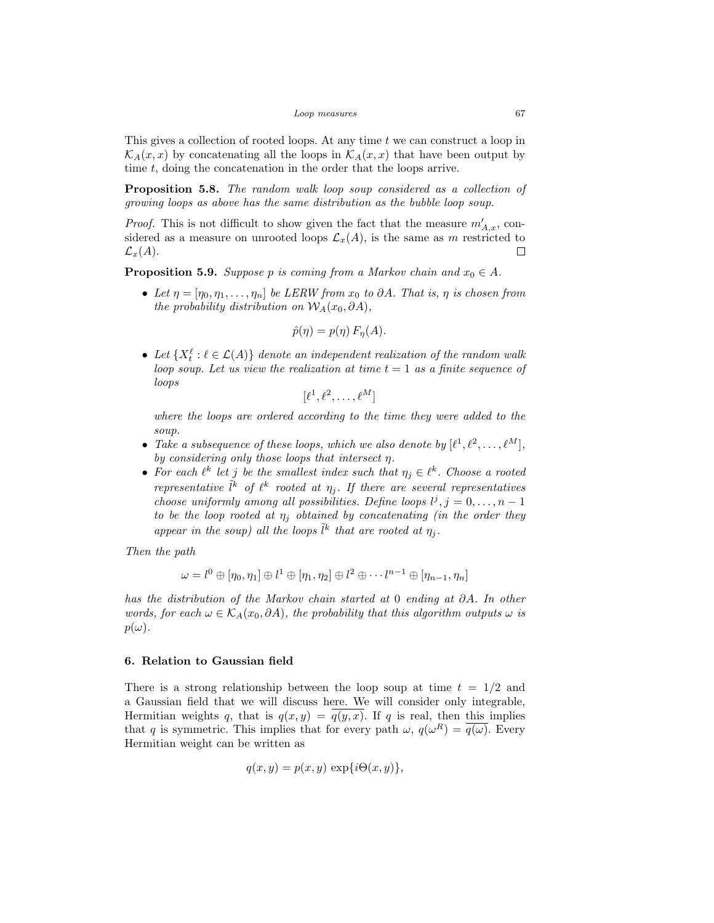This gives a collection of rooted loops. At any time  $t$  we can construct a loop in  $\mathcal{K}_A(x,x)$  by concatenating all the loops in  $\mathcal{K}_A(x,x)$  that have been output by time t, doing the concatenation in the order that the loops arrive.

**Proposition 5.8.** The random walk loop soup considered as a collection of growing loops as above has the same distribution as the bubble loop soup.

*Proof.* This is not difficult to show given the fact that the measure  $m'_{A,x}$ , considered as a measure on unrooted loops  $\mathcal{L}_x(A)$ , is the same as m restricted to  $\mathcal{L}_x(A)$ . □

**Proposition 5.9.** Suppose p is coming from a Markov chain and  $x_0 \in A$ .

• Let  $\eta = [\eta_0, \eta_1, \ldots, \eta_n]$  be LERW from  $x_0$  to  $\partial A$ . That is,  $\eta$  is chosen from the probability distribution on  $W_A(x_0, \partial A)$ ,

$$
\hat{p}(\eta) = p(\eta) F_{\eta}(A).
$$

• Let  $\{X_t^{\ell} : \ell \in \mathcal{L}(A)\}\$  denote an independent realization of the random walk loop soup. Let us view the realization at time  $t = 1$  as a finite sequence of loops

$$
[\ell^1, \ell^2, \ldots, \ell^M]
$$

where the loops are ordered according to the time they were added to the soup.

- Take a subsequence of these loops, which we also denote by  $[\ell^1, \ell^2, \ldots, \ell^M]$ , by considering only those loops that intersect η.
- For each  $\ell^k$  let j be the smallest index such that  $\eta_j \in \ell^k$ . Choose a rooted representative  $\tilde{l}^k$  of  $\ell^k$  rooted at  $\eta_j$ . If there are several representatives choose uniformly among all possibilities. Define loops  $l^j, j = 0, \ldots, n-1$ to be the loop rooted at  $\eta_i$  obtained by concatenating (in the order they appear in the soup) all the loops  $\tilde{l}^k$  that are rooted at  $\eta_j$ .

Then the path

$$
\omega = l^0 \oplus [\eta_0, \eta_1] \oplus l^1 \oplus [\eta_1, \eta_2] \oplus l^2 \oplus \cdots l^{n-1} \oplus [\eta_{n-1}, \eta_n]
$$

has the distribution of the Markov chain started at 0 ending at ∂A. In other words, for each  $\omega \in \mathcal{K}_A(x_0, \partial A)$ , the probability that this algorithm outputs  $\omega$  is  $p(\omega)$ .

### <span id="page-39-0"></span>**6. Relation to Gaussian field**

There is a strong relationship between the loop soup at time  $t = 1/2$  and a Gaussian field that we will discuss here. We will consider only integrable, Hermitian weights q, that is  $q(x, y) = \overline{q(y, x)}$ . If q is real, then this implies that q is symmetric. This implies that for every path  $\omega$ ,  $q(\omega^R) = \overline{q(\omega)}$ . Every Hermitian weight can be written as

$$
q(x, y) = p(x, y) \exp{i\Theta(x, y)},
$$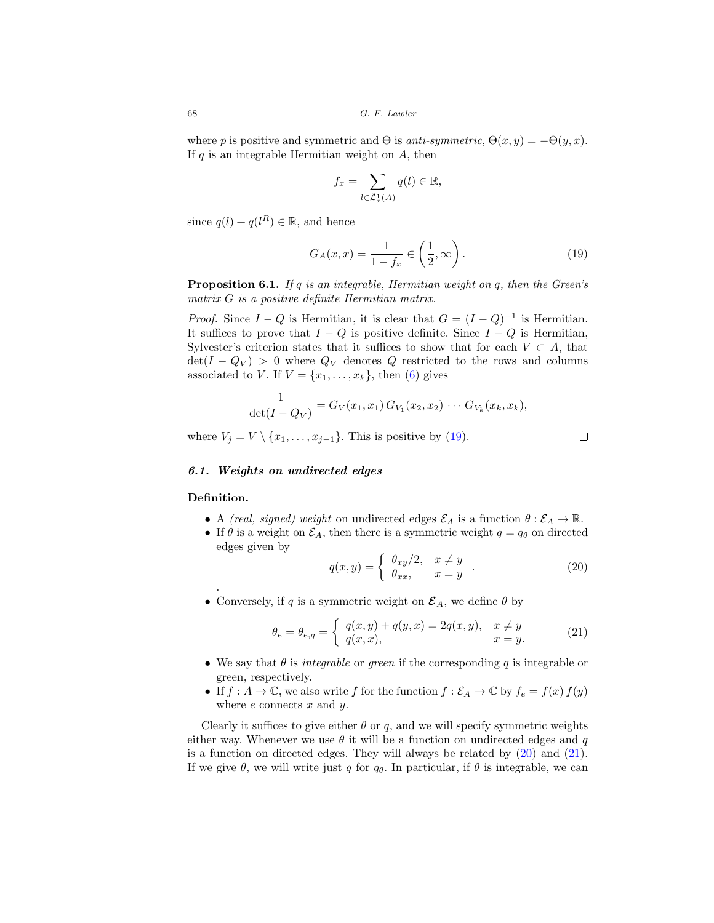where p is positive and symmetric and  $\Theta$  is *anti-symmetric*,  $\Theta(x, y) = -\Theta(y, x)$ . If  $q$  is an integrable Hermitian weight on  $A$ , then

$$
f_x = \sum_{l \in \tilde{\mathcal{L}}_x^1(A)} q(l) \in \mathbb{R},
$$

since  $q(l) + q(l^R) \in \mathbb{R}$ , and hence

<span id="page-40-0"></span>
$$
G_A(x,x) = \frac{1}{1 - f_x} \in \left(\frac{1}{2}, \infty\right). \tag{19}
$$

**Proposition 6.1.** If q is an integrable, Hermitian weight on q, then the Green's matrix G is a positive definite Hermitian matrix.

*Proof.* Since  $I - Q$  is Hermitian, it is clear that  $G = (I - Q)^{-1}$  is Hermitian. It suffices to prove that  $I - Q$  is positive definite. Since  $I - Q$  is Hermitian, Sylvester's criterion states that it suffices to show that for each  $V \subset A$ , that  $\det(I - Q_V) > 0$  where  $Q_V$  denotes Q restricted to the rows and columns associated to V. If  $V = \{x_1, \ldots, x_k\}$ , then [\(6\)](#page-13-0) gives

$$
\frac{1}{\det(I - Q_V)} = G_V(x_1, x_1) G_{V_1}(x_2, x_2) \cdots G_{V_k}(x_k, x_k),
$$

where  $V_j = V \setminus \{x_1, \ldots, x_{j-1}\}.$  This is positive by [\(19\)](#page-40-0).

$$
\square
$$

### *6.1. Weights on undirected edges*

#### **Definition.**

.

- A *(real, signed)* weight on undirected edges  $\mathcal{E}_A$  is a function  $\theta : \mathcal{E}_A \to \mathbb{R}$ .
- If  $\theta$  is a weight on  $\mathcal{E}_A$ , then there is a symmetric weight  $q = q_\theta$  on directed edges given by

<span id="page-40-1"></span>
$$
q(x,y) = \begin{cases} \theta_{xy}/2, & x \neq y \\ \theta_{xx}, & x = y \end{cases} . \tag{20}
$$

• Conversely, if q is a symmetric weight on  $\mathcal{E}_A$ , we define  $\theta$  by

<span id="page-40-2"></span>
$$
\theta_e = \theta_{e,q} = \begin{cases} q(x,y) + q(y,x) = 2q(x,y), & x \neq y \\ q(x,x), & x = y. \end{cases}
$$
 (21)

- We say that  $\theta$  is *integrable* or *green* if the corresponding q is integrable or green, respectively.
- If  $f : A \to \mathbb{C}$ , we also write f for the function  $f : \mathcal{E}_A \to \mathbb{C}$  by  $f_e = f(x) f(y)$ where  $e$  connects  $x$  and  $y$ .

Clearly it suffices to give either  $\theta$  or q, and we will specify symmetric weights either way. Whenever we use  $\theta$  it will be a function on undirected edges and q is a function on directed edges. They will always be related by [\(20\)](#page-40-1) and [\(21\)](#page-40-2). If we give  $\theta$ , we will write just q for  $q_{\theta}$ . In particular, if  $\theta$  is integrable, we can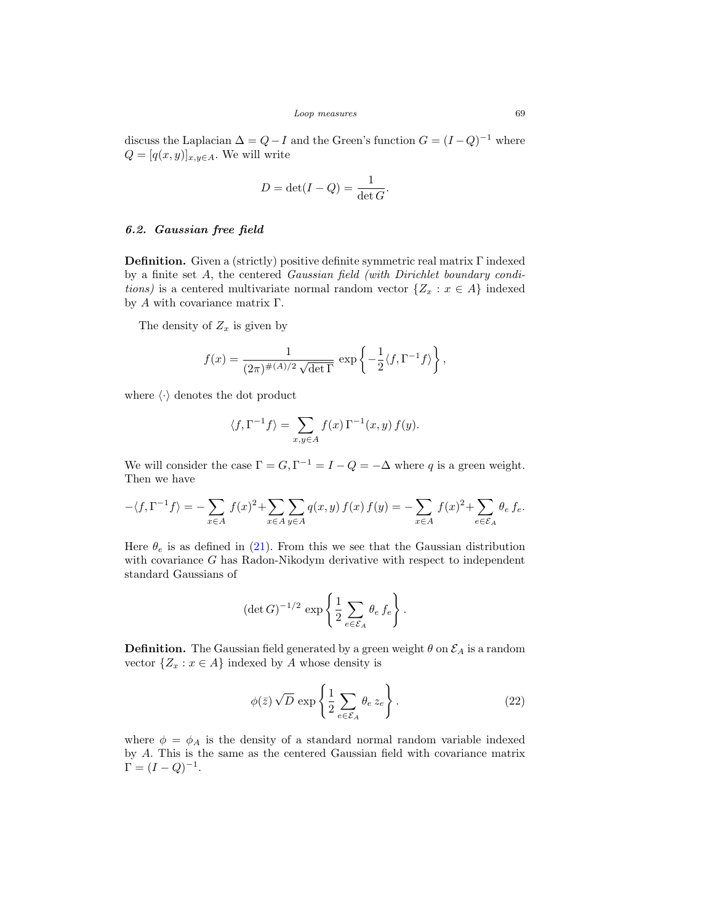discuss the Laplacian  $\Delta = Q - I$  and the Green's function  $G = (I - Q)^{-1}$  where  $Q = [q(x, y)]_{x, y \in A}$ . We will write

$$
D = \det(I - Q) = \frac{1}{\det G}.
$$

# *6.2. Gaussian free field*

**Definition.** Given a (strictly) positive definite symmetric real matrix  $\Gamma$  indexed by a finite set A, the centered Gaussian field (with Dirichlet boundary conditions) is a centered multivariate normal random vector  $\{Z_x : x \in A\}$  indexed by  $A$  with covariance matrix  $\Gamma$ .

The density of  $Z_x$  is given by

$$
f(x) = \frac{1}{(2\pi)^{\#(A)/2} \sqrt{\det \Gamma}} \exp \left\{-\frac{1}{2} \langle f, \Gamma^{-1} f \rangle \right\},\,
$$

where  $\langle \cdot \rangle$  denotes the dot product

$$
\langle f, \Gamma^{-1} f \rangle = \sum_{x,y \in A} f(x) \Gamma^{-1}(x,y) f(y).
$$

We will consider the case  $\Gamma = G, \Gamma^{-1} = I - Q = -\Delta$  where q is a green weight. Then we have

$$
-\langle f, \Gamma^{-1}f \rangle = -\sum_{x \in A} f(x)^2 + \sum_{x \in A} \sum_{y \in A} q(x, y) f(x) f(y) = -\sum_{x \in A} f(x)^2 + \sum_{e \in \mathcal{E}_A} \theta_e f_e.
$$

Here  $\theta_e$  is as defined in [\(21\)](#page-40-2). From this we see that the Gaussian distribution with covariance G has Radon-Nikodym derivative with respect to independent standard Gaussians of

$$
(\det G)^{-1/2} \, \exp\left\{\frac{1}{2} \sum_{e \in \mathcal{E}_A} \theta_e \, f_e\right\}.
$$

**Definition.** The Gaussian field generated by a green weight  $\theta$  on  $\mathcal{E}_A$  is a random vector  $\{Z_x : x \in A\}$  indexed by A whose density is

<span id="page-41-0"></span>
$$
\phi(\bar{z})\sqrt{D}\,\exp\left\{\frac{1}{2}\sum_{e\in\mathcal{E}_A}\theta_e\,z_e\right\}.\tag{22}
$$

where  $\phi = \phi_A$  is the density of a standard normal random variable indexed by A. This is the same as the centered Gaussian field with covariance matrix  $\Gamma = (I - Q)^{-1}.$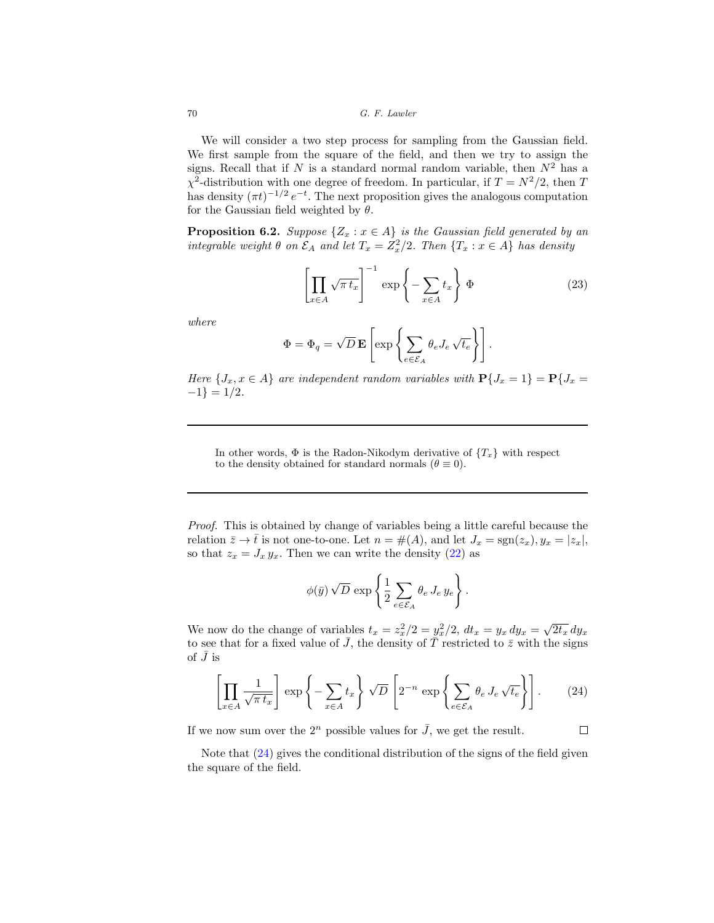We will consider a two step process for sampling from the Gaussian field. We first sample from the square of the field, and then we try to assign the signs. Recall that if N is a standard normal random variable, then  $N^2$  has a  $\chi^2$ -distribution with one degree of freedom. In particular, if  $T = N^2/2$ , then T has density  $(\pi t)^{-1/2} e^{-t}$ . The next proposition gives the analogous computation for the Gaussian field weighted by  $\theta$ .

**Proposition 6.2.** Suppose  $\{Z_x : x \in A\}$  is the Gaussian field generated by an integrable weight  $\theta$  on  $\mathcal{E}_A$  and let  $T_x = Z_x^2/2$ . Then  $\{T_x : x \in A\}$  has density

<span id="page-42-1"></span>
$$
\left[\prod_{x\in A} \sqrt{\pi t_x}\right]^{-1} \exp\left\{-\sum_{x\in A} t_x\right\} \Phi\tag{23}
$$

.

where

$$
\Phi = \Phi_q = \sqrt{D} \mathbf{E} \left[ \exp \left\{ \sum_{e \in \mathcal{E}_A} \theta_e J_e \sqrt{t_e} \right\} \right]
$$

Here  $\{J_x, x \in A\}$  are independent random variables with  $P\{J_x = 1\} = P\{J_x = 1\}$  $-1$ } = 1/2.

In other words,  $\Phi$  is the Radon-Nikodym derivative of  $\{T_x\}$  with respect to the density obtained for standard normals ( $\theta \equiv 0$ ).

Proof. This is obtained by change of variables being a little careful because the relation  $\bar{z} \to \bar{t}$  is not one-to-one. Let  $n = \#(A)$ , and let  $J_x = \text{sgn}(z_x)$ ,  $y_x = |z_x|$ , so that  $z_x = J_x y_x$ . Then we can write the density [\(22\)](#page-41-0) as

$$
\phi(\bar{y})\sqrt{D}\,\exp\left\{\frac{1}{2}\sum_{e\in\mathcal{E}_A}\theta_e J_e y_e\right\}.
$$

We now do the change of variables  $t_x = z_x^2/2 = y_x^2/2$ ,  $dt_x = y_x dy_x = \sqrt{2t_x} dy_x$ to see that for a fixed value of  $\bar{J}$ , the density of  $\bar{T}$  restricted to  $\bar{z}$  with the signs of  $\bar{J}$  is

<span id="page-42-0"></span>
$$
\left[\prod_{x \in A} \frac{1}{\sqrt{\pi t_x}}\right] \exp\left\{-\sum_{x \in A} t_x\right\} \sqrt{D} \left[2^{-n} \exp\left\{\sum_{e \in \mathcal{E}_A} \theta_e J_e \sqrt{t_e}\right\}\right].
$$
 (24)

If we now sum over the  $2^n$  possible values for  $\overline{J}$ , we get the result.

 $\Box$ 

Note that [\(24\)](#page-42-0) gives the conditional distribution of the signs of the field given the square of the field.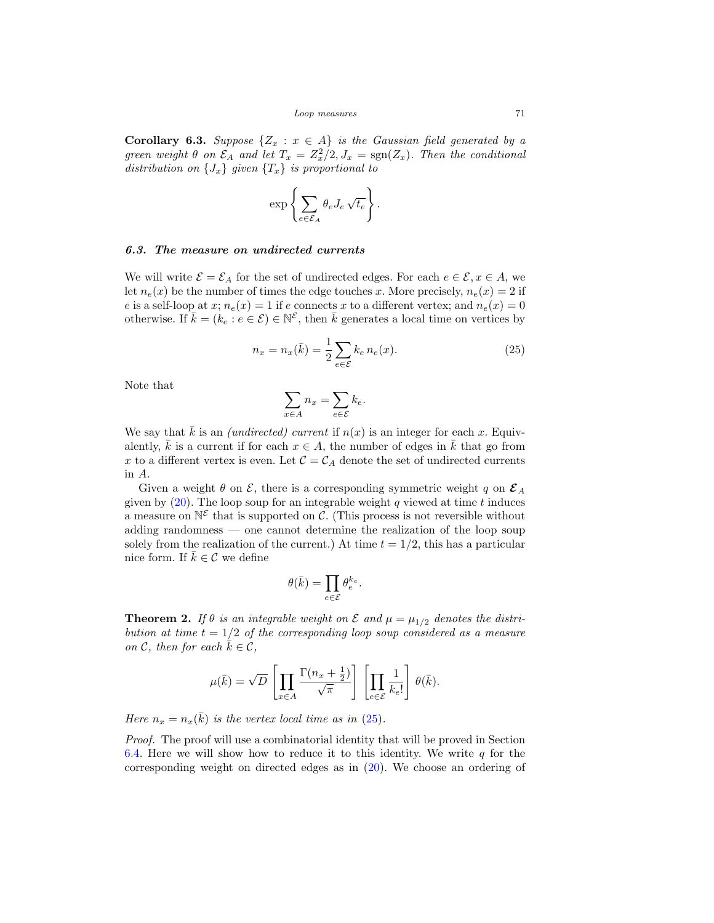**Corollary 6.3.** Suppose  $\{Z_x : x \in A\}$  is the Gaussian field generated by a green weight  $\theta$  on  $\mathcal{E}_A$  and let  $T_x = Z_x^2/2, J_x = \text{sgn}(Z_x)$ . Then the conditional distribution on  $\{J_x\}$  given  $\{T_x\}$  is proportional to

$$
\exp\left\{\sum_{e\in\mathcal{E}_A}\theta_eJ_e\sqrt{t_e}\right\}.
$$

### *6.3. The measure on undirected currents*

We will write  $\mathcal{E} = \mathcal{E}_A$  for the set of undirected edges. For each  $e \in \mathcal{E}, x \in A$ , we let  $n_e(x)$  be the number of times the edge touches x. More precisely,  $n_e(x) = 2$  if e is a self-loop at x;  $n_e(x) = 1$  if e connects x to a different vertex; and  $n_e(x) = 0$ otherwise. If  $\bar{k} = (k_e : e \in \mathcal{E}) \in \mathbb{N}^{\mathcal{E}}$ , then  $\bar{k}$  generates a local time on vertices by

<span id="page-43-0"></span>
$$
n_x = n_x(\bar{k}) = \frac{1}{2} \sum_{e \in \mathcal{E}} k_e \, n_e(x). \tag{25}
$$

Note that

$$
\sum_{x \in A} n_x = \sum_{e \in \mathcal{E}} k_e.
$$

We say that  $\bar{k}$  is an *(undirected) current* if  $n(x)$  is an integer for each x. Equivalently,  $\bar{k}$  is a current if for each  $x \in A$ , the number of edges in  $\bar{k}$  that go from x to a different vertex is even. Let  $C = C_A$  denote the set of undirected currents in A.

Given a weight  $\theta$  on  $\mathcal{E}$ , there is a corresponding symmetric weight q on  $\mathcal{E}_A$ given by  $(20)$ . The loop soup for an integrable weight q viewed at time t induces a measure on  $\mathbb{N}^{\mathcal{E}}$  that is supported on C. (This process is not reversible without adding randomness — one cannot determine the realization of the loop soup solely from the realization of the current.) At time  $t = 1/2$ , this has a particular nice form. If  $\bar{k} \in \mathcal{C}$  we define

$$
\theta(\bar{k}) = \prod_{e \in \mathcal{E}} \theta_e^{k_e}.
$$

<span id="page-43-1"></span>**Theorem 2.** If  $\theta$  is an integrable weight on  $\mathcal E$  and  $\mu = \mu_{1/2}$  denotes the distribution at time  $t = 1/2$  of the corresponding loop soup considered as a measure on C, then for each  $\overline{k} \in \mathcal{C}$ ,

$$
\mu(\bar{k}) = \sqrt{D} \left[ \prod_{x \in A} \frac{\Gamma(n_x + \frac{1}{2})}{\sqrt{\pi}} \right] \left[ \prod_{e \in \mathcal{E}} \frac{1}{k_e!} \right] \theta(\bar{k}).
$$

Here  $n_x = n_x(\bar{k})$  is the vertex local time as in [\(25\)](#page-43-0).

Proof. The proof will use a combinatorial identity that will be proved in Section [6.4.](#page-44-0) Here we will show how to reduce it to this identity. We write  $q$  for the corresponding weight on directed edges as in [\(20\)](#page-40-1). We choose an ordering of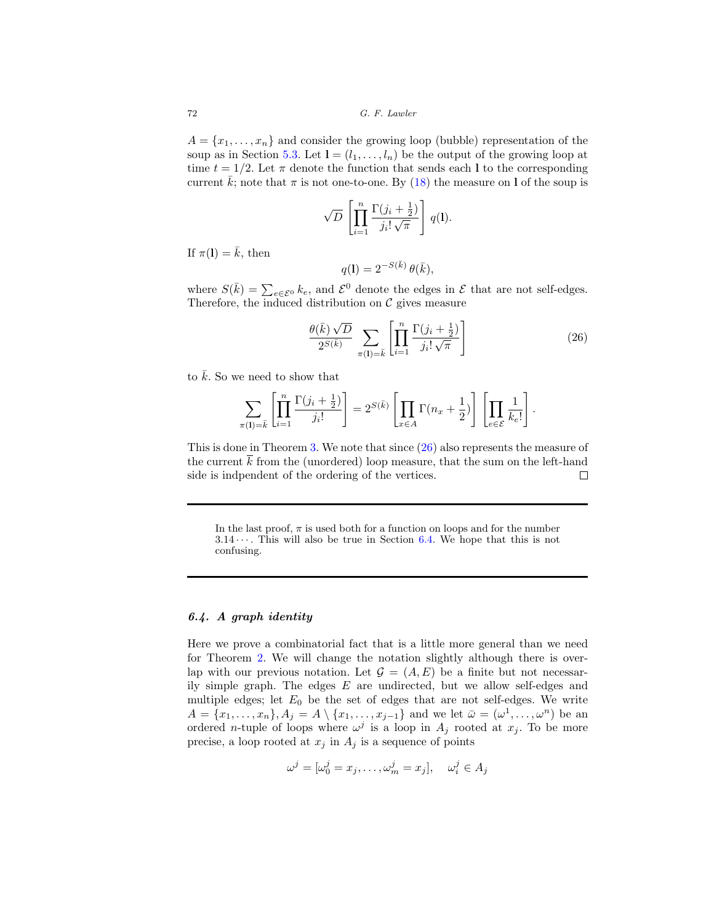$A = \{x_1, \ldots, x_n\}$  and consider the growing loop (bubble) representation of the soup as in Section [5.3.](#page-33-1) Let  $\mathbf{l} = (l_1, \ldots, l_n)$  be the output of the growing loop at time  $t = 1/2$ . Let  $\pi$  denote the function that sends each 1 to the corresponding current  $\bar{k}$ ; note that  $\pi$  is not one-to-one. By [\(18\)](#page-37-0) the measure on **l** of the soup is

$$
\sqrt{D}\left[\prod_{i=1}^n\frac{\Gamma(j_i+\frac{1}{2})}{j_i!\sqrt{\pi}}\right]q(\mathbf{l}).
$$

If  $\pi(\mathbf{l}) = \bar{k}$ , then

$$
q(1) = 2^{-S(\bar{k})} \theta(\bar{k}),
$$

where  $S(\bar{k}) = \sum_{e \in \mathcal{E}^0} k_e$ , and  $\mathcal{E}^0$  denote the edges in  $\mathcal{E}$  that are not self-edges. Therefore, the induced distribution on  $\mathcal C$  gives measure

<span id="page-44-1"></span>
$$
\frac{\theta(\bar{k})\sqrt{D}}{2^{S(\bar{k})}}\sum_{\pi(1)=\bar{k}}\left[\prod_{i=1}^{n}\frac{\Gamma(j_i+\frac{1}{2})}{j_i!\sqrt{\pi}}\right]
$$
(26)

to  $\bar{k}$ . So we need to show that

$$
\sum_{\pi(1)=\bar{k}}\left[\prod_{i=1}^n\frac{\Gamma(j_i+\frac{1}{2})}{j_i!}\right]=2^{S(\bar{k})}\left[\prod_{x\in A}\Gamma(n_x+\frac{1}{2})\right]\left[\prod_{e\in\mathcal{E}}\frac{1}{k_e!}\right].
$$

This is done in Theorem [3.](#page-45-0) We note that since [\(26\)](#page-44-1) also represents the measure of the current  $\overline{k}$  from the (unordered) loop measure, that the sum on the left-hand side is indpendent of the ordering of the vertices.  $\Box$ 

In the last proof,  $\pi$  is used both for a function on loops and for the number  $3.14 \cdots$ . This will also be true in Section [6.4.](#page-44-0) We hope that this is not confusing.

## <span id="page-44-0"></span>*6.4. A graph identity*

Here we prove a combinatorial fact that is a little more general than we need for Theorem [2.](#page-43-1) We will change the notation slightly although there is overlap with our previous notation. Let  $\mathcal{G} = (A, E)$  be a finite but not necessarily simple graph. The edges  $E$  are undirected, but we allow self-edges and multiple edges; let  $E_0$  be the set of edges that are not self-edges. We write  $A = \{x_1, \ldots, x_n\}, A_j = A \setminus \{x_1, \ldots, x_{j-1}\}$  and we let  $\bar{\omega} = (\omega^1, \ldots, \omega^n)$  be an ordered *n*-tuple of loops where  $\omega^{j}$  is a loop in  $A_{j}$  rooted at  $x_{j}$ . To be more precise, a loop rooted at  $x_j$  in  $A_j$  is a sequence of points

$$
\omega^j = [\omega_0^j = x_j, \dots, \omega_m^j = x_j], \quad \omega_i^j \in A_j
$$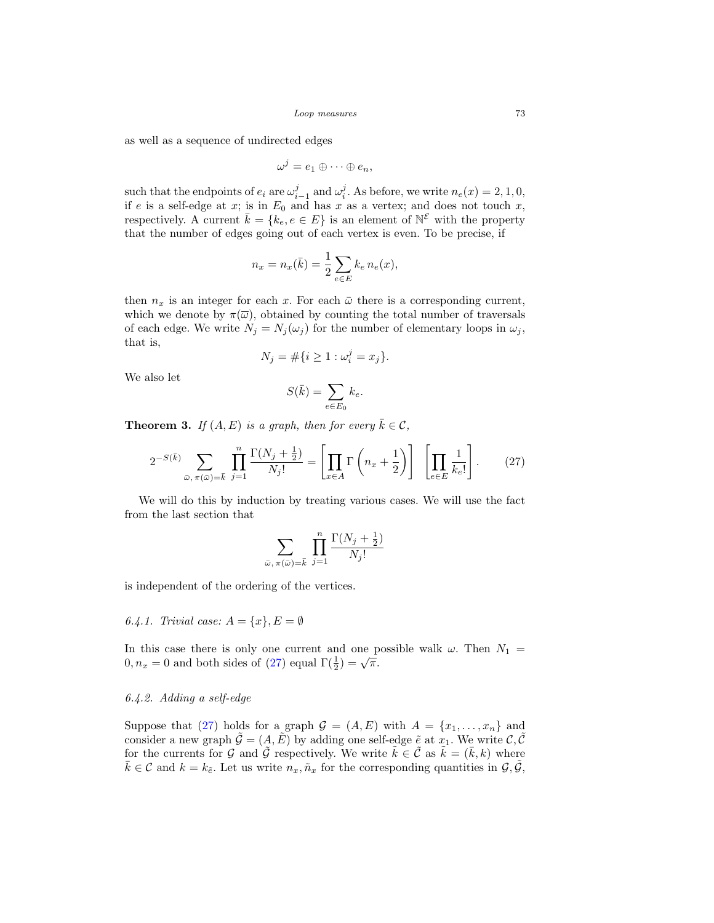as well as a sequence of undirected edges

$$
\omega^j = e_1 \oplus \cdots \oplus e_n,
$$

such that the endpoints of  $e_i$  are  $\omega_{i-1}^j$  and  $\omega_i^j$ . As before, we write  $n_e(x)=2, 1, 0$ , if e is a self-edge at x; is in  $E_0$  and has x as a vertex; and does not touch x, respectively. A current  $\bar{k} = \{k_e, e \in E\}$  is an element of  $\mathbb{N}^{\mathcal{E}}$  with the property that the number of edges going out of each vertex is even. To be precise, if

$$
n_x = n_x(\bar{k}) = \frac{1}{2} \sum_{e \in E} k_e \, n_e(x),
$$

then  $n_x$  is an integer for each x. For each  $\bar{\omega}$  there is a corresponding current, which we denote by  $\pi(\overline{\omega})$ , obtained by counting the total number of traversals of each edge. We write  $N_j = N_j(\omega_j)$  for the number of elementary loops in  $\omega_j$ , that is,

$$
N_j = \# \{ i \ge 1 : \omega_i^j = x_j \}.
$$

We also let

$$
S(\bar{k}) = \sum_{e \in E_0} k_e.
$$

<span id="page-45-0"></span>**Theorem 3.** If  $(A, E)$  is a graph, then for every  $\bar{k} \in \mathcal{C}$ ,

<span id="page-45-1"></span>
$$
2^{-S(\bar{k})} \sum_{\bar{\omega}, \pi(\bar{\omega}) = \bar{k}} \prod_{j=1}^{n} \frac{\Gamma(N_j + \frac{1}{2})}{N_j!} = \left[ \prod_{x \in A} \Gamma\left(n_x + \frac{1}{2}\right) \right] \left[ \prod_{e \in E} \frac{1}{k_e!} \right].
$$
 (27)

We will do this by induction by treating various cases. We will use the fact from the last section that

$$
\sum_{\bar{\omega}, \pi(\bar{\omega}) = \bar{k}} \prod_{j=1}^n \frac{\Gamma(N_j + \frac{1}{2})}{N_j!}
$$

is independent of the ordering of the vertices.

6.4.1. Trivial case:  $A = \{x\}, E = \emptyset$ 

In this case there is only one current and one possible walk  $\omega$ . Then  $N_1$  =  $0, n_x = 0$  and both sides of [\(27\)](#page-45-1) equal  $\Gamma(\frac{1}{2}) = \sqrt{\pi}$ .

### 6.4.2. Adding a self-edge

Suppose that [\(27\)](#page-45-1) holds for a graph  $\mathcal{G} = (A, E)$  with  $A = \{x_1, \ldots, x_n\}$  and consider a new graph  $\mathcal{G} = (A, E)$  by adding one self-edge  $\tilde{e}$  at  $x_1$ . We write  $\mathcal{C}, \tilde{\mathcal{C}}$ for the currents for G and  $\tilde{\mathcal{G}}$  respectively. We write  $\tilde{k} \in \tilde{\mathcal{C}}$  as  $\tilde{k} = (\bar{k}, k)$  where  $\bar{k} \in \mathcal{C}$  and  $k = k_{\tilde{\sigma}}$ . Let us write  $n_{\tilde{\sigma}}$ ,  $\tilde{n}_{\tilde{\sigma}}$  for the corresponding quantities in  $\tilde{\mathcal{$  $\bar{k} \in \mathcal{C}$  and  $k = k_{\tilde{e}}$ . Let us write  $n_x, \tilde{n}_x$  for the corresponding quantities in  $\mathcal{G}, \tilde{\mathcal{G}},$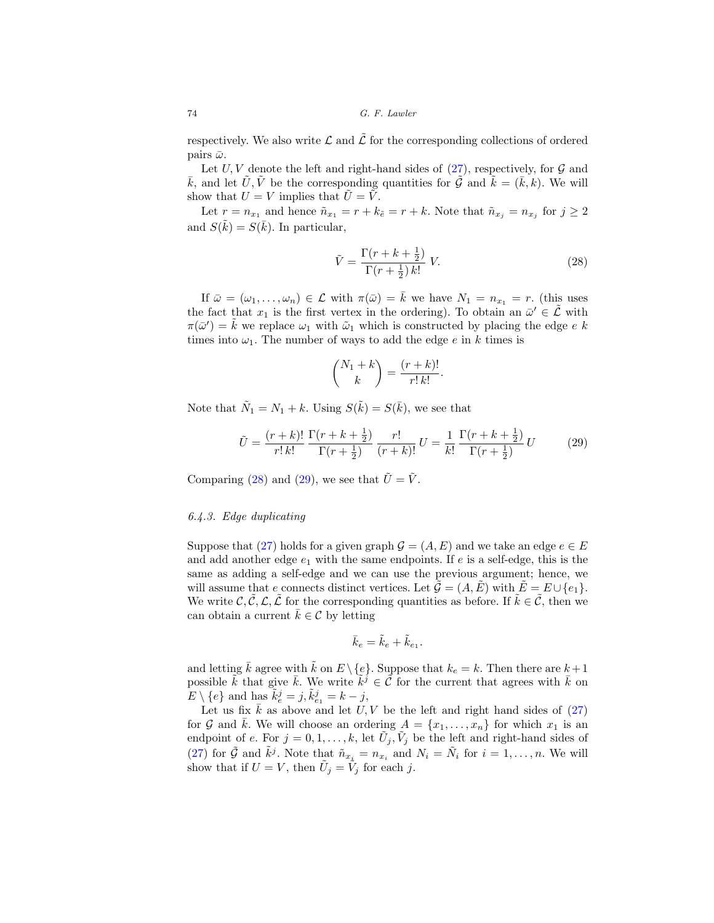respectively. We also write  $\mathcal L$  and  $\mathcal L$  for the corresponding collections of ordered pairs  $\bar{\omega}$ .

Let U, V denote the left and right-hand sides of  $(27)$ , respectively, for G and  $\bar{k}$ , and let  $\tilde{U}, \tilde{V}$  be the corresponding quantities for  $\tilde{\mathcal{G}}$  and  $\tilde{k} = (\bar{k}, k)$ . We will show that  $U = V$  implies that  $\hat{U} = \hat{V}$ .

Let  $r = n_{x_1}$  and hence  $\tilde{n}_{x_1} = r + k_{\tilde{e}} = r + k$ . Note that  $\tilde{n}_{x_i} = n_{x_i}$  for  $j \geq 2$ and  $S(\tilde{k}) = S(\bar{k})$ . In particular,

<span id="page-46-0"></span>
$$
\tilde{V} = \frac{\Gamma(r+k+\frac{1}{2})}{\Gamma(r+\frac{1}{2})k!} V.
$$
\n(28)

If  $\bar{\omega} = (\omega_1, \dots, \omega_n) \in \mathcal{L}$  with  $\pi(\bar{\omega}) = \bar{k}$  we have  $N_1 = n_{x_1} = r$ . (this uses the fact that  $x_1$  is the first vertex in the ordering). To obtain an  $\bar{\omega}' \in \mathcal{L}$  with  $\pi(\bar{\omega}') = \tilde{k}$  we replace  $\omega_1$  with  $\tilde{\omega}_1$  which is constructed by placing the edge e k times into  $\omega_1$ . The number of ways to add the edge e in k times is

$$
\binom{N_1+k}{k} = \frac{(r+k)!}{r!\,k!}.
$$

Note that  $\tilde{N}_1 = N_1 + k$ . Using  $S(\tilde{k}) = S(\bar{k})$ , we see that

<span id="page-46-1"></span>
$$
\tilde{U} = \frac{(r+k)!}{r!\,k!} \, \frac{\Gamma(r+k+\frac{1}{2})}{\Gamma(r+\frac{1}{2})} \, \frac{r!}{(r+k)!} \, U = \frac{1}{k!} \, \frac{\Gamma(r+k+\frac{1}{2})}{\Gamma(r+\frac{1}{2})} \, U \tag{29}
$$

Comparing [\(28\)](#page-46-0) and [\(29\)](#page-46-1), we see that  $\tilde{U} = \tilde{V}$ .

## 6.4.3. Edge duplicating

Suppose that [\(27\)](#page-45-1) holds for a given graph  $\mathcal{G} = (A, E)$  and we take an edge  $e \in E$ and add another edge  $e_1$  with the same endpoints. If  $e$  is a self-edge, this is the same as adding a self-edge and we can use the previous argument; hence, we will assume that e connects distinct vertices. Let  $\mathcal{G} = (A, E)$  with  $E = E \cup \{e_1\}$ . We write  $\mathcal{C}, \tilde{\mathcal{C}}, \mathcal{L}, \tilde{\mathcal{L}}$  for the corresponding quantities as before. If  $\tilde{k} \in \tilde{\mathcal{C}}$ , then we can obtain a current  $\bar{k} \in \mathcal{C}$  by letting

$$
\bar{k}_e = \tilde{k}_e + \tilde{k}_{e_1}.
$$

and letting  $\bar{k}$  agree with  $\tilde{k}$  on  $E \setminus \{e\}$ . Suppose that  $k_e = k$ . Then there are  $k+1$ possible  $\tilde{k}$  that give  $\bar{k}$ . We write  $\tilde{k}^j \in \tilde{C}$  for the current that agrees with  $\bar{k}$  on  $E \setminus \{e\}$  and  $\lim_{k \to \infty} \tilde{k}_{e}^{j} = j, \tilde{k}_{e_1}^{j} = k - j,$ 

Let us fix  $\bar{k}$  as above and let U, V be the left and right hand sides of [\(27\)](#page-45-1) for G and  $\bar{k}$ . We will choose an ordering  $A = \{x_1, \ldots, x_n\}$  for which  $x_1$  is an endpoint of e. For  $j = 0, 1, ..., k$ , let  $\tilde{U}_j, \tilde{V}_j$  be the left and right-hand sides of [\(27\)](#page-45-1) for  $\tilde{G}$  and  $\tilde{k}^j$ . Note that  $\tilde{n}_{x_i} = n_{x_i}$  and  $N_i = \tilde{N}_i$  for  $i = 1, \ldots, n$ . We will show that if  $U = V$ , then  $\tilde{U}_j = \tilde{V}_j$  for each j.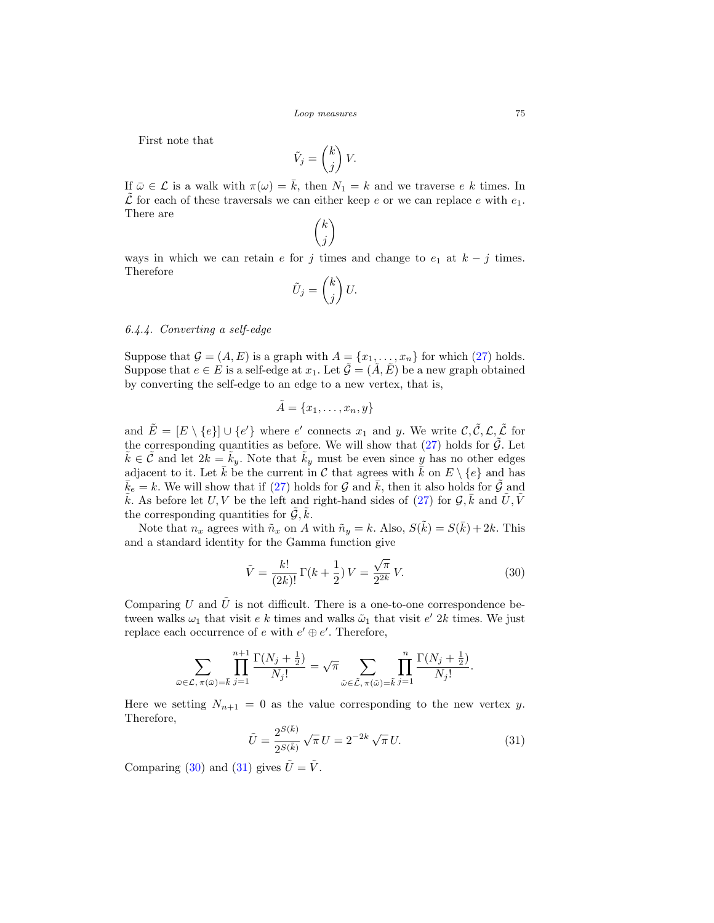First note that

$$
\tilde{V}_j = \binom{k}{j} V.
$$

If  $\bar{\omega} \in \mathcal{L}$  is a walk with  $\pi(\omega) = \bar{k}$ , then  $N_1 = k$  and we traverse e k times. In  $\mathcal L$  for each of these traversals we can either keep e or we can replace e with  $e_1$ . There are

$$
\binom{k}{j}
$$

ways in which we can retain e for j times and change to  $e_1$  at  $k - j$  times. Therefore

$$
\tilde{U}_j = \binom{k}{j} U.
$$

### 6.4.4. Converting a self-edge

Suppose that  $\mathcal{G} = (A, E)$  is a graph with  $A = \{x_1, \ldots, x_n\}$  for which  $(27)$  holds. Suppose that  $e \in E$  is a self-edge at  $x_1$ . Let  $\tilde{\mathcal{G}} = (\tilde{A}, \tilde{E})$  be a new graph obtained by converting the self-edge to an edge to a new vertex, that is,

$$
\tilde{A} = \{x_1, \ldots, x_n, y\}
$$

and  $\tilde{E} = [E \setminus \{e\}] \cup \{e'\}$  where e' connects  $x_1$  and y. We write  $\mathcal{C}, \tilde{\mathcal{C}}, \mathcal{L}, \tilde{\mathcal{L}}$  for the corresponding quantities as before. We will show that  $(27)$  holds for  $\tilde{G}$ . Let  $\tilde{k} \in \tilde{\mathcal{C}}$  and let  $2k = \tilde{k}_y$ . Note that  $\tilde{k}_y$  must be even since y has no other edges adjacent to it. Let  $\bar{k}$  be the current in C that agrees with  $\bar{k}$  on  $E \setminus \{e\}$  and has  $\bar{k}_e = k$ . We will show that if (27) holds for G and  $\bar{k}$ , then it also holds for  $\tilde{G}$  and  $\bar{k}_e = k$ . We will show that if [\(27\)](#page-45-1) holds for  $\mathcal G$  and  $\bar{k}$ , then it also holds for  $\tilde{\mathcal G}$  and  $\tilde{k}$ . As before let U. V be the left and right-hand sides of (27) for  $\mathcal G$ ,  $\bar{k}$  and  $\tilde{U}$ ,  $\tilde{V}$  $\tilde{k}$ . As before let U, V be the left and right-hand sides of [\(27\)](#page-45-1) for  $\mathcal{G}, \bar{k}$  and  $\tilde{U}, \tilde{V}$ the corresponding quantities for  $\tilde{\mathcal{G}}, \tilde{k}$ .

Note that  $n_x$  agrees with  $\tilde{n}_x$  on A with  $\tilde{n}_y = k$ . Also,  $S(\tilde{k}) = S(\bar{k}) + 2k$ . This and a standard identity for the Gamma function give

<span id="page-47-0"></span>
$$
\tilde{V} = \frac{k!}{(2k)!} \Gamma(k + \frac{1}{2}) V = \frac{\sqrt{\pi}}{2^{2k}} V.
$$
\n(30)

Comparing U and  $\tilde{U}$  is not difficult. There is a one-to-one correspondence between walks  $\omega_1$  that visit e k times and walks  $\tilde{\omega}_1$  that visit e' 2k times. We just replace each occurrence of e with  $e' \oplus e'$ . Therefore,

$$
\sum_{\bar{\omega}\in\mathcal{L}, \pi(\bar{\omega})=\bar{k}}\prod_{j=1}^{n+1}\frac{\Gamma(N_j+\frac{1}{2})}{N_j!}=\sqrt{\pi}\sum_{\tilde{\omega}\in\tilde{\mathcal{L}}, \pi(\tilde{\omega})=\tilde{k}}\prod_{j=1}^n\frac{\Gamma(N_j+\frac{1}{2})}{N_j!}.
$$

Here we setting  $N_{n+1} = 0$  as the value corresponding to the new vertex y. Therefore,

<span id="page-47-1"></span>
$$
\tilde{U} = \frac{2^{S(\bar{k})}}{2^{S(\bar{k})}} \sqrt{\pi} U = 2^{-2k} \sqrt{\pi} U.
$$
\n(31)

Comparing [\(30\)](#page-47-0) and [\(31\)](#page-47-1) gives  $\tilde{U} = \tilde{V}$ .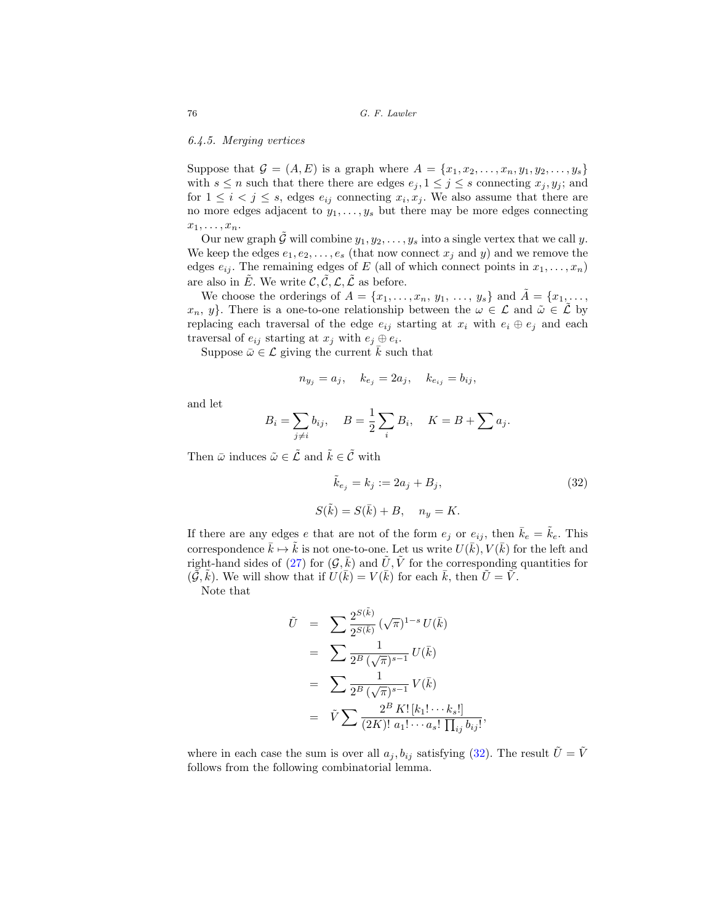### 6.4.5. Merging vertices

Suppose that  $\mathcal{G} = (A, E)$  is a graph where  $A = \{x_1, x_2, \ldots, x_n, y_1, y_2, \ldots, y_s\}$ with  $s \leq n$  such that there there are edges  $e_j, 1 \leq j \leq s$  connecting  $x_j, y_j$ ; and for  $1 \leq i < j \leq s$ , edges  $e_{ij}$  connecting  $x_i, x_j$ . We also assume that there are no more edges adjacent to  $y_1, \ldots, y_s$  but there may be more edges connecting  $x_1,\ldots,x_n.$ 

Our new graph  $\tilde{\mathcal{G}}$  will combine  $y_1, y_2, \ldots, y_s$  into a single vertex that we call  $y$ . We keep the edges  $e_1, e_2, \ldots, e_s$  (that now connect  $x_j$  and y) and we remove the edges  $e_{ij}$ . The remaining edges of E (all of which connect points in  $x_1, \ldots, x_n$ ) are also in  $\tilde{E}$ . We write  $\mathcal{C}, \tilde{\mathcal{C}}, \mathcal{L}, \tilde{\mathcal{L}}$  as before.

We choose the orderings of  $A = \{x_1, \ldots, x_n, y_1, \ldots, y_s\}$  and  $\tilde{A} = \{x_1, \ldots, x_n\}$  $x_n, y$ . There is a one-to-one relationship between the  $\omega \in \mathcal{L}$  and  $\tilde{\omega} \in \mathcal{L}$  by replacing each traversal of the edge  $e_{ij}$  starting at  $x_i$  with  $e_i \oplus e_j$  and each traversal of  $e_{ij}$  starting at  $x_j$  with  $e_j \oplus e_i$ .

Suppose  $\bar{\omega} \in \mathcal{L}$  giving the current  $\bar{k}$  such that

$$
n_{y_j} = a_j, \quad k_{e_j} = 2a_j, \quad k_{e_{ij}} = b_{ij},
$$

and let

$$
B_i = \sum_{j \neq i} b_{ij}, \quad B = \frac{1}{2} \sum_i B_i, \quad K = B + \sum a_j.
$$

Then  $\bar{\omega}$  induces  $\tilde{\omega} \in \tilde{\mathcal{L}}$  and  $\tilde{k} \in \tilde{\mathcal{C}}$  with

<span id="page-48-0"></span>
$$
\tilde{k}_{e_j} = k_j := 2a_j + B_j,
$$
\n
$$
S(\tilde{k}) = S(\bar{k}) + B, \quad n_y = K.
$$
\n(32)

If there are any edges e that are not of the form  $e_j$  or  $e_{ij}$ , then  $\bar{k}_e = \tilde{k}_e$ . This correspondence  $\bar{k} \mapsto \tilde{k}$  is not one-to-one. Let us write  $U(\bar{k}), V(\bar{k})$  for the left and right-hand sides of [\(27\)](#page-45-1) for  $(G, \overline{k})$  and  $\tilde{U}, \tilde{V}$  for the corresponding quantities for  $(\tilde{\mathcal{G}}, \tilde{k})$ . We will show that if  $U(\bar{k}) = V(\bar{k})$  for each  $\bar{k}$ , then  $\tilde{U} = \tilde{V}$ .

Note that

$$
\tilde{U} = \sum \frac{2^{S(\bar{k})}}{2^{S(\bar{k})}} (\sqrt{\pi})^{1-s} U(\bar{k})
$$
  
\n
$$
= \sum \frac{1}{2^B (\sqrt{\pi})^{s-1}} U(\bar{k})
$$
  
\n
$$
= \sum \frac{1}{2^B (\sqrt{\pi})^{s-1}} V(\bar{k})
$$
  
\n
$$
= \tilde{V} \sum \frac{2^B K! [k_1! \cdots k_s!]}{(2K)! a_1! \cdots a_s! \prod_{ij} b_{ij}!},
$$

where in each case the sum is over all  $a_j, b_{ij}$  satisfying [\(32\)](#page-48-0). The result  $\tilde{U} = \tilde{V}$ follows from the following combinatorial lemma.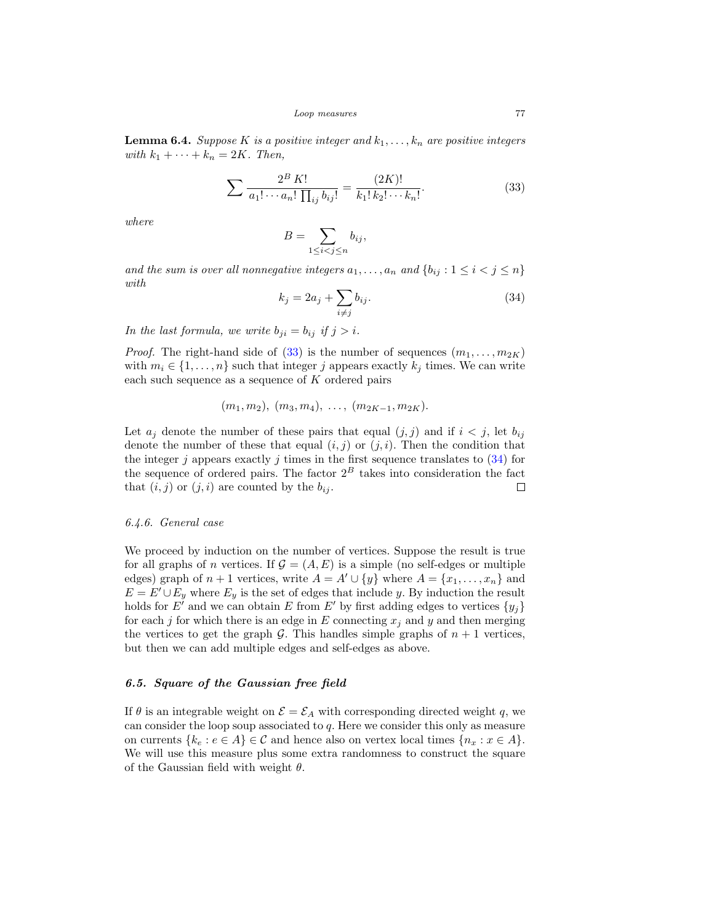**Lemma 6.4.** Suppose K is a positive integer and  $k_1, \ldots, k_n$  are positive integers with  $k_1 + \cdots + k_n = 2K$ . Then,

<span id="page-49-0"></span>
$$
\sum \frac{2^B K!}{a_1! \cdots a_n! \prod_{ij} b_{ij}!} = \frac{(2K)!}{k_1! k_2! \cdots k_n!}.
$$
\n(33)

where

$$
B = \sum_{1 \le i < j \le n} b_{ij},
$$

and the sum is over all nonnegative integers  $a_1, \ldots, a_n$  and  $\{b_{ij} : 1 \leq i < j \leq n\}$ with

<span id="page-49-1"></span>
$$
k_j = 2a_j + \sum_{i \neq j} b_{ij}.\tag{34}
$$

In the last formula, we write  $b_{ji} = b_{ij}$  if  $j > i$ .

*Proof.* The right-hand side of [\(33\)](#page-49-0) is the number of sequences  $(m_1, \ldots, m_{2K})$ with  $m_i \in \{1, \ldots, n\}$  such that integer j appears exactly  $k_j$  times. We can write each such sequence as a sequence of K ordered pairs

$$
(m_1, m_2), (m_3, m_4), \ldots, (m_{2K-1}, m_{2K}).
$$

Let  $a_j$  denote the number of these pairs that equal  $(j, j)$  and if  $i < j$ , let  $b_{ij}$ denote the number of these that equal  $(i, j)$  or  $(j, i)$ . Then the condition that the integer j appears exactly j times in the first sequence translates to  $(34)$  for the sequence of ordered pairs. The factor  $2^B$  takes into consideration the fact that  $(i, j)$  or  $(j, i)$  are counted by the  $b_{ij}$ .  $\Box$ 

#### 6.4.6. General case

We proceed by induction on the number of vertices. Suppose the result is true for all graphs of *n* vertices. If  $\mathcal{G} = (A, E)$  is a simple (no self-edges or multiple edges) graph of  $n + 1$  vertices, write  $A = A' \cup \{y\}$  where  $A = \{x_1, \ldots, x_n\}$  and  $E = E' \cup E_y$  where  $E_y$  is the set of edges that include y. By induction the result holds for E' and we can obtain E from E' by first adding edges to vertices  $\{y_j\}$ for each j for which there is an edge in E connecting  $x_i$  and y and then merging the vertices to get the graph G. This handles simple graphs of  $n + 1$  vertices, but then we can add multiple edges and self-edges as above.

### *6.5. Square of the Gaussian free field*

If  $\theta$  is an integrable weight on  $\mathcal{E} = \mathcal{E}_A$  with corresponding directed weight q, we can consider the loop soup associated to  $q$ . Here we consider this only as measure on currents  $\{k_e : e \in A\} \in C$  and hence also on vertex local times  $\{n_x : x \in A\}$ . We will use this measure plus some extra randomness to construct the square of the Gaussian field with weight  $\theta$ .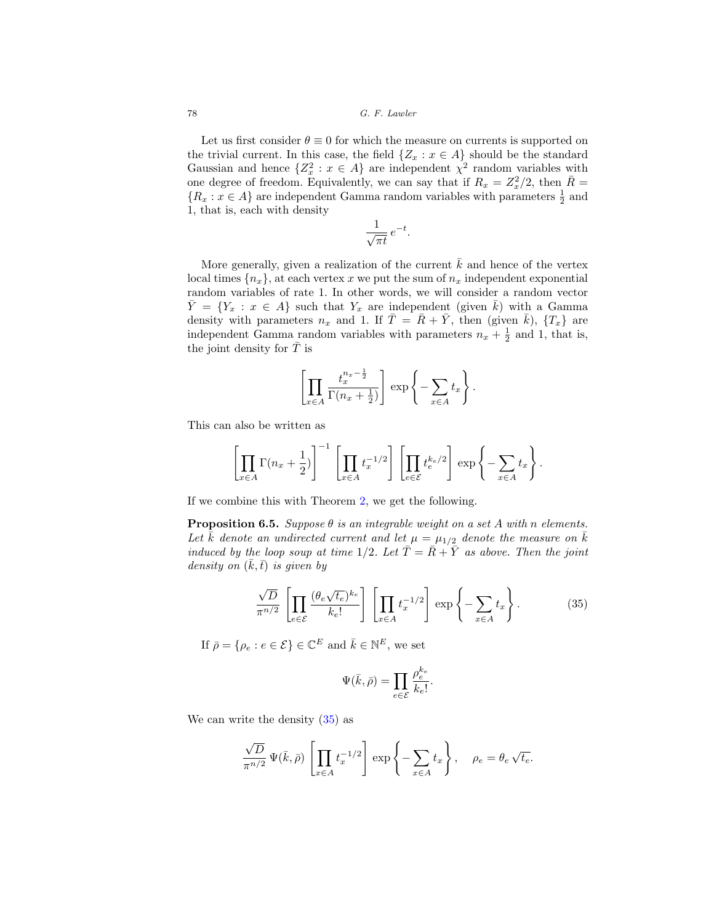Let us first consider  $\theta \equiv 0$  for which the measure on currents is supported on the trivial current. In this case, the field  $\{Z_x : x \in A\}$  should be the standard Gaussian and hence  $\{Z_x^2 : x \in A\}$  are independent  $\chi^2$  random variables with one degree of freedom. Equivalently, we can say that if  $R_x = Z_x^2/2$ , then  $\bar{R} =$  ${R_x : x \in A}$  are independent Gamma random variables with parameters  $\frac{1}{2}$  and 1, that is, each with density

$$
\frac{1}{\sqrt{\pi t}} e^{-t}.
$$

More generally, given a realization of the current  $\bar{k}$  and hence of the vertex local times  $\{n_x\}$ , at each vertex x we put the sum of  $n_x$  independent exponential random variables of rate 1. In other words, we will consider a random vector  $\bar{Y} = \{Y_x : x \in A\}$  such that  $Y_x$  are independent (given  $\bar{k}$ ) with a Gamma density with parameters  $n_x$  and 1. If  $\overline{T} = \overline{R} + \overline{Y}$ , then (given  $\overline{k}$ ),  $\{T_x\}$  are independent Gamma random variables with parameters  $n_x + \frac{1}{2}$  and 1, that is, the joint density for  $\overline{T}$  is

$$
\left[\prod_{x\in A} \frac{t_x^{n_x - \frac{1}{2}}}{\Gamma(n_x + \frac{1}{2})}\right] \exp\left\{-\sum_{x\in A} t_x\right\}.
$$

This can also be written as

$$
\left[\prod_{x\in A}\Gamma(n_x+\frac{1}{2})\right]^{-1}\left[\prod_{x\in A}t_x^{-1/2}\right]\left[\prod_{e\in \mathcal{E}}t_e^{k_e/2}\right]\exp\left\{-\sum_{x\in A}t_x\right\}.
$$

If we combine this with Theorem [2,](#page-43-1) we get the following.

**Proposition 6.5.** Suppose  $\theta$  is an integrable weight on a set A with n elements. Let  $\bar{k}$  denote an undirected current and let  $\mu = \mu_{1/2}$  denote the measure on  $\bar{k}$ induced by the loop soup at time 1/2. Let  $\overline{T} = \overline{R} + \overline{Y}$  as above. Then the joint density on  $(\bar{k},\bar{t})$  is given by

<span id="page-50-0"></span>
$$
\frac{\sqrt{D}}{\pi^{n/2}} \left[ \prod_{e \in \mathcal{E}} \frac{(\theta_e \sqrt{t_e})^{k_e}}{k_e!} \right] \left[ \prod_{x \in A} t_x^{-1/2} \right] \exp \left\{ - \sum_{x \in A} t_x \right\}.
$$
 (35)

If  $\bar{\rho} = \{\rho_e : e \in \mathcal{E}\}\in \mathbb{C}^E$  and  $\bar{k} \in \mathbb{N}^E$ , we set

$$
\Psi(\bar{k},\bar{\rho})=\prod_{e\in\mathcal{E}}\frac{\rho_e^{k_e}}{k_e!}.
$$

We can write the density  $(35)$  as

$$
\frac{\sqrt{D}}{\pi^{n/2}}\,\Psi(\bar{k},\bar{\rho})\,\left[\prod_{x\in A}t_x^{-1/2}\right]\,\exp\left\{-\sum_{x\in A}t_x\right\},\quad \rho_e=\theta_e\,\sqrt{t_e}.
$$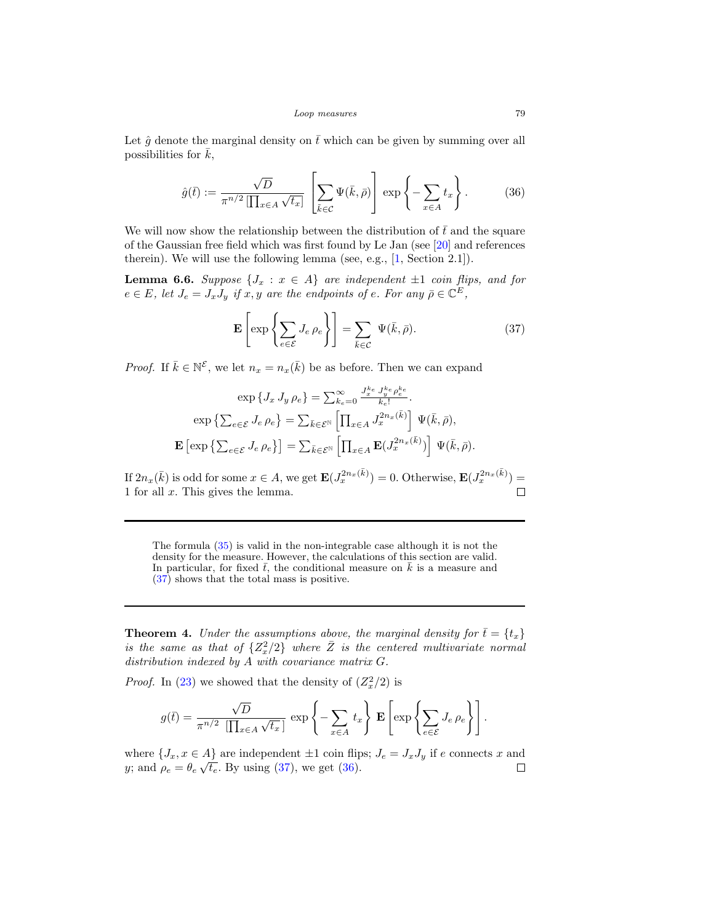Let  $\hat{g}$  denote the marginal density on  $\bar{t}$  which can be given by summing over all possibilities for  $\bar{k}$ ,

<span id="page-51-1"></span>
$$
\hat{g}(\bar{t}) := \frac{\sqrt{D}}{\pi^{n/2} \left[ \prod_{x \in A} \sqrt{t_x} \right]} \left[ \sum_{\bar{k} \in \mathcal{C}} \Psi(\bar{k}, \bar{\rho}) \right] \exp \left\{ - \sum_{x \in A} t_x \right\}.
$$
 (36)

We will now show the relationship between the distribution of  $\bar{t}$  and the square of the Gaussian free field which was first found by Le Jan (see [\[20](#page-73-0)] and references therein). We will use the following lemma (see, e.g., [\[1](#page-72-0), Section 2.1]).

**Lemma 6.6.** Suppose  $\{J_x : x \in A\}$  are independent  $\pm 1$  coin flips, and for  $e \in E$ , let  $J_e = J_x J_y$  if  $x, y$  are the endpoints of e. For any  $\bar{\rho} \in \mathbb{C}^E$ ,

<span id="page-51-0"></span>
$$
\mathbf{E}\left[\exp\left\{\sum_{e\in\mathcal{E}}J_e\,\rho_e\right\}\right] = \sum_{\bar{k}\in\mathcal{C}}\,\Psi(\bar{k},\bar{\rho}).\tag{37}
$$

*Proof.* If  $\bar{k} \in \mathbb{N}^{\mathcal{E}}$ , we let  $n_x = n_x(\bar{k})$  be as before. Then we can expand

$$
\exp\left\{J_x J_y \rho_e\right\} = \sum_{k_e=0}^{\infty} \frac{J_x^{k_e} J_y^{k_e} \rho_e^{k_e}}{k_e!}.
$$

$$
\exp\left\{\sum_{e \in \mathcal{E}} J_e \rho_e\right\} = \sum_{\bar{k} \in \mathcal{E}^{\mathbb{N}}} \left[\prod_{x \in A} J_x^{2n_x(\bar{k})}\right] \Psi(\bar{k}, \bar{\rho}),
$$

$$
\mathbf{E}\left[\exp\left\{\sum_{e \in \mathcal{E}} J_e \rho_e\right\}\right] = \sum_{\bar{k} \in \mathcal{E}^{\mathbb{N}}} \left[\prod_{x \in A} \mathbf{E}(J_x^{2n_x(\bar{k})})\right] \Psi(\bar{k}, \bar{\rho}).
$$

If  $2n_x(\bar{k})$  is odd for some  $x \in A$ , we get  $\mathbf{E}(J_x^{2n_x(\bar{k})}) = 0$ . Otherwise,  $\mathbf{E}(J_x^{2n_x(\bar{k})}) = 0$ 1 for all x. This gives the lemma.  $\Box$ 

The formula [\(35\)](#page-50-0) is valid in the non-integrable case although it is not the density for the measure. However, the calculations of this section are valid. In particular, for fixed  $\bar{t}$ , the conditional measure on  $\bar{k}$  is a measure and [\(37\)](#page-51-0) shows that the total mass is positive.

**Theorem 4.** Under the assumptions above, the marginal density for  $\bar{t} = \{t_x\}$ is the same as that of  $\{Z_x^2/2\}$  where  $\overline{Z}$  is the centered multivariate normal distribution indexed by  $A$  with covariance matrix  $G$ .

*Proof.* In [\(23\)](#page-42-1) we showed that the density of  $(Z_x^2/2)$  is

$$
g(\bar{t}) = \frac{\sqrt{D}}{\pi^{n/2} \left[ \prod_{x \in A} \sqrt{t_x} \right]} \exp \left\{-\sum_{x \in A} t_x \right\} \mathbf{E} \left[ \exp \left\{ \sum_{e \in \mathcal{E}} J_e \rho_e \right\} \right].
$$

where  $\{J_x, x \in A\}$  are independent  $\pm 1$  coin flips;  $J_e = J_x J_y$  if e connects x and where  $\{J_x, x \in A\}$  are independent  $\pm 1$  coin m<sub>p</sub><br>y; and  $\rho_e = \theta_e \sqrt{t_e}$ . By using [\(37\)](#page-51-0), we get [\(36\)](#page-51-1).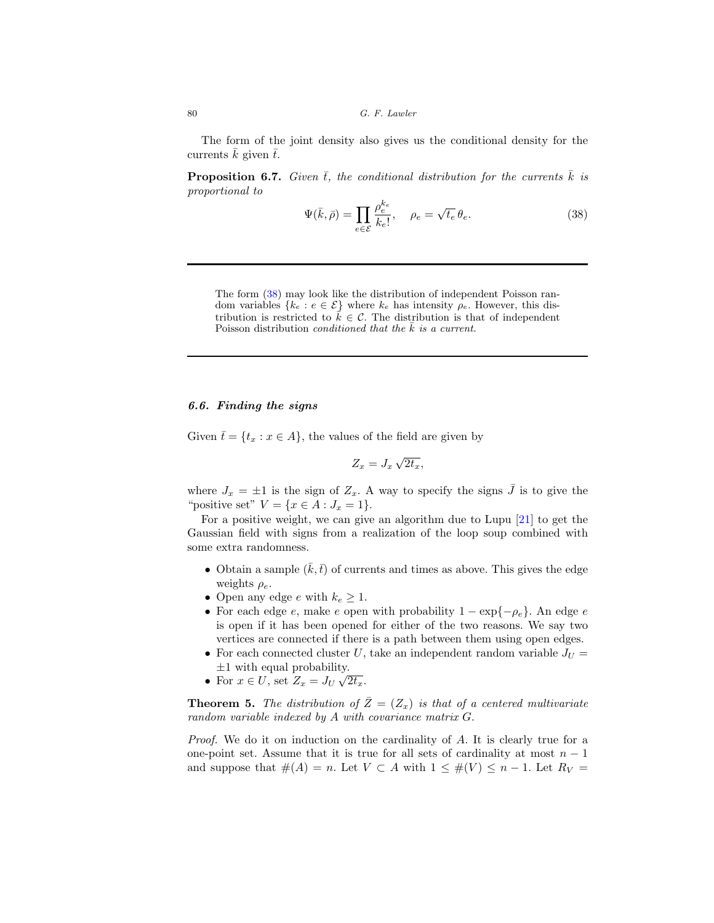The form of the joint density also gives us the conditional density for the currents  $\bar{k}$  given  $\bar{t}$ .

**Proposition 6.7.** Given  $\overline{t}$ , the conditional distribution for the currents  $\overline{k}$  is proportional to

<span id="page-52-0"></span>
$$
\Psi(\bar{k}, \bar{\rho}) = \prod_{e \in \mathcal{E}} \frac{\rho_e^{k_e}}{k_e!}, \quad \rho_e = \sqrt{t_e} \, \theta_e. \tag{38}
$$

The form [\(38\)](#page-52-0) may look like the distribution of independent Poisson random variables  $\{k_e : e \in \mathcal{E}\}\$  where  $k_e$  has intensity  $\rho_e$ . However, this distribution is restricted to  $\bar{k} \in \mathcal{C}$ . The distribution is that of independent Poisson distribution *conditioned that the k is a current*.

# *6.6. Finding the signs*

Given  $\bar{t} = \{t_x : x \in A\}$ , the values of the field are given by

$$
Z_x = J_x \sqrt{2t_x},
$$

where  $J_x = \pm 1$  is the sign of  $Z_x$ . A way to specify the signs  $\overline{J}$  is to give the "positive set"  $V = \{x \in A : J_x = 1\}.$ 

For a positive weight, we can give an algorithm due to Lupu [\[21](#page-73-1)] to get the Gaussian field with signs from a realization of the loop soup combined with some extra randomness.

- Obtain a sample  $(\bar{k}, \bar{t})$  of currents and times as above. This gives the edge weights  $\rho_e$ .
- Open any edge  $e$  with  $k_e \geq 1$ .
- For each edge e, make e open with probability  $1 \exp\{-\rho_e\}$ . An edge e is open if it has been opened for either of the two reasons. We say two vertices are connected if there is a path between them using open edges.
- For each connected cluster U, take an independent random variable  $J_U =$  $\pm 1$  with equal probability.
- For  $x \in U$ , set  $Z_x = J_U \sqrt{2t_x}$ .

**Theorem 5.** The distribution of  $\overline{Z} = (Z_x)$  is that of a centered multivariate random variable indexed by A with covariance matrix G.

Proof. We do it on induction on the cardinality of A. It is clearly true for a one-point set. Assume that it is true for all sets of cardinality at most  $n-1$ and suppose that  $\#(A) = n$ . Let  $V \subset A$  with  $1 \leq \#(V) \leq n-1$ . Let  $R_V =$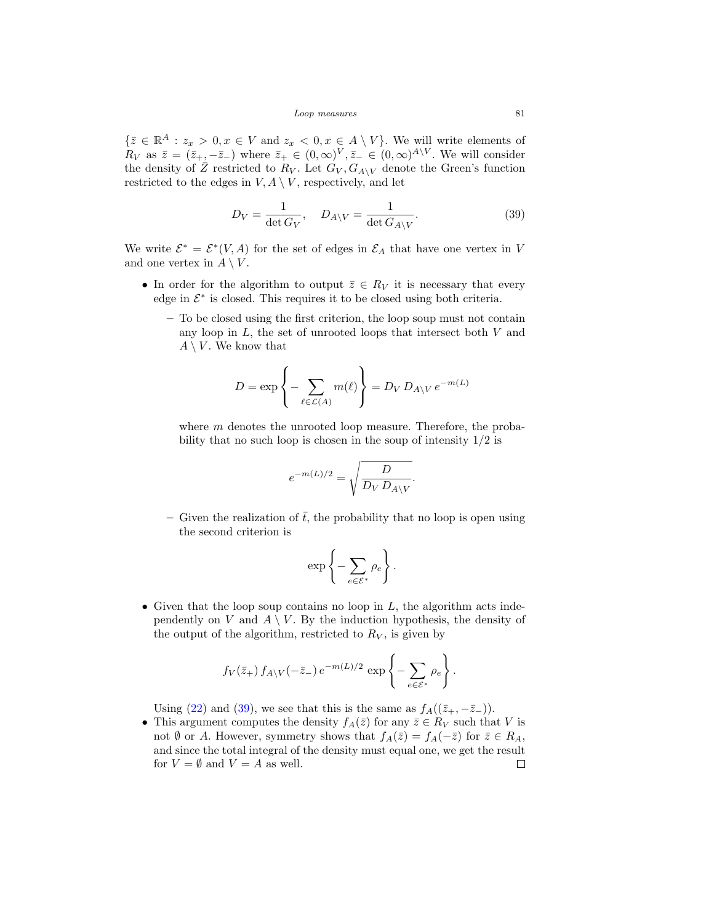$\{\bar{z} \in \mathbb{R}^A : z_x > 0, x \in V \text{ and } z_x < 0, x \in A \setminus V\}.$  We will write elements of  $R_V$  as  $\bar{z} = (\bar{z}_+, -\bar{z}_-)$  where  $\bar{z}_+ \in (0, \infty)^V, \bar{z}_- \in (0, \infty)^{A \setminus V}$ . We will consider the density of  $\overline{Z}$  restricted to  $R_V$ . Let  $G_V, G_{A\setminus V}$  denote the Green's function restricted to the edges in  $V, A \setminus V$ , respectively, and let

<span id="page-53-0"></span>
$$
D_V = \frac{1}{\det G_V}, \quad D_{A\backslash V} = \frac{1}{\det G_{A\backslash V}}.\tag{39}
$$

We write  $\mathcal{E}^* = \mathcal{E}^*(V, A)$  for the set of edges in  $\mathcal{E}_A$  that have one vertex in V and one vertex in  $A \setminus V$ .

- In order for the algorithm to output  $\bar{z} \in R_V$  it is necessary that every edge in  $\mathcal{E}^*$  is closed. This requires it to be closed using both criteria.
	- **–** To be closed using the first criterion, the loop soup must not contain any loop in  $L$ , the set of unrooted loops that intersect both  $V$  and  $A \setminus V$ . We know that

$$
D = \exp\left\{-\sum_{\ell \in \mathcal{L}(A)} m(\ell)\right\} = D_V D_{A \setminus V} e^{-m(L)}
$$

where  $m$  denotes the unrooted loop measure. Therefore, the probability that no such loop is chosen in the soup of intensity  $1/2$  is

$$
e^{-m(L)/2} = \sqrt{\frac{D}{D_V D_{A\setminus V}}}.
$$

 $-$  Given the realization of  $\bar{t}$ , the probability that no loop is open using the second criterion is

$$
\exp\left\{-\sum_{e\in\mathcal{E}^*}\rho_e\right\}.
$$

• Given that the loop soup contains no loop in  $L$ , the algorithm acts independently on V and  $A \setminus V$ . By the induction hypothesis, the density of the output of the algorithm, restricted to  $R_V$ , is given by

$$
f_V(\bar{z}_+) f_{A\setminus V}(-\bar{z}_-) e^{-m(L)/2} \exp\left\{-\sum_{e \in \mathcal{E}^*} \rho_e\right\}.
$$

Using [\(22\)](#page-41-0) and [\(39\)](#page-53-0), we see that this is the same as  $f_A((\bar{z}_+,-\bar{z}_-))$ .

• This argument computes the density  $f_A(\overline{z})$  for any  $\overline{z} \in R_V$  such that V is not Ø or A. However, symmetry shows that  $f_A(\overline{z}) = f_A(-\overline{z})$  for  $\overline{z} \in R_A$ , and since the total integral of the density must equal one, we get the result for  $V = \emptyset$  and  $V = A$  as well.  $\Box$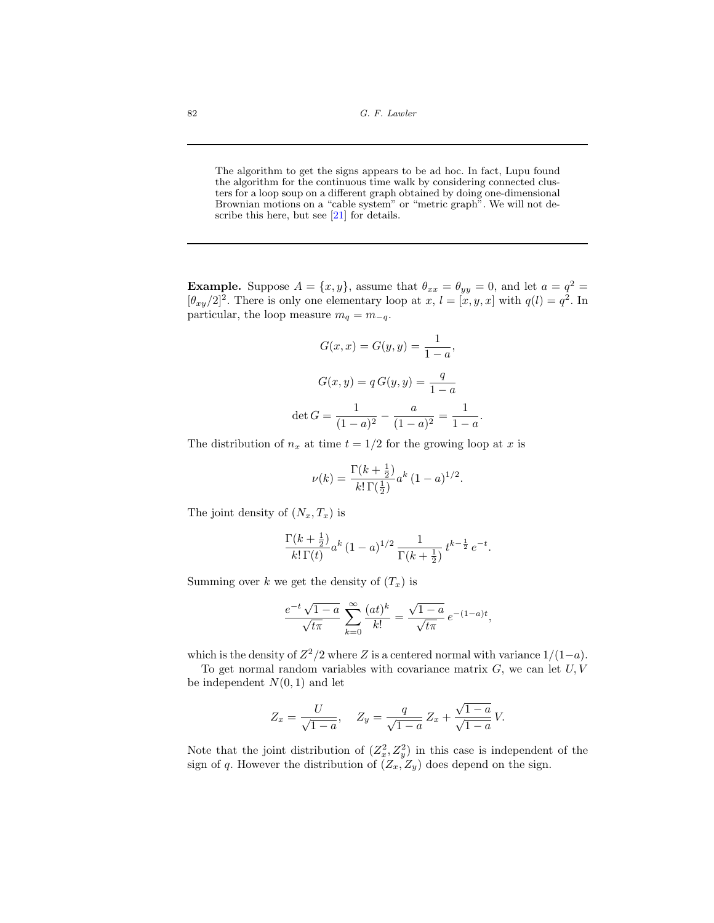The algorithm to get the signs appears to be ad hoc. In fact, Lupu found the algorithm for the continuous time walk by considering connected clusters for a loop soup on a different graph obtained by doing one-dimensional Brownian motions on a "cable system" or "metric graph". We will not describe this here, but see  $[21]$  $[21]$  for details.

**Example.** Suppose  $A = \{x, y\}$ , assume that  $\theta_{xx} = \theta_{yy} = 0$ , and let  $a = q^2 =$  $[\theta_{xy}/2]^2$ . There is only one elementary loop at x,  $l = [x, y, x]$  with  $q(l) = q^2$ . In particular, the loop measure  $m_q = m_{-q}$ .

$$
G(x, x) = G(y, y) = \frac{1}{1 - a},
$$

$$
G(x, y) = q G(y, y) = \frac{q}{1 - a}
$$

$$
\det G = \frac{1}{(1 - a)^2} - \frac{a}{(1 - a)^2} = \frac{1}{1 - a}.
$$

The distribution of  $n_x$  at time  $t = 1/2$  for the growing loop at x is

$$
\nu(k) = \frac{\Gamma(k + \frac{1}{2})}{k! \Gamma(\frac{1}{2})} a^k (1 - a)^{1/2}.
$$

The joint density of  $(N_x, T_x)$  is

$$
\frac{\Gamma(k+\frac{1}{2})}{k!\,\Gamma(t)}a^k\,(1-a)^{1/2}\,\frac{1}{\Gamma(k+\frac{1}{2})}\,t^{k-\frac{1}{2}}\,e^{-t}.
$$

Summing over k we get the density of  $(T_x)$  is

$$
\frac{e^{-t}\sqrt{1-a}}{\sqrt{t\pi}}\sum_{k=0}^{\infty}\frac{(at)^k}{k!}=\frac{\sqrt{1-a}}{\sqrt{t\pi}}e^{-(1-a)t},
$$

which is the density of  $Z^2/2$  where Z is a centered normal with variance  $1/(1-a)$ .

To get normal random variables with covariance matrix  $G$ , we can let  $U, V$ be independent  $N(0, 1)$  and let

$$
Z_x = \frac{U}{\sqrt{1-a}}, \quad Z_y = \frac{q}{\sqrt{1-a}} Z_x + \frac{\sqrt{1-a}}{\sqrt{1-a}} V.
$$

Note that the joint distribution of  $(Z_x^2, Z_y^2)$  in this case is independent of the sign of q. However the distribution of  $(Z_x, Z_y)$  does depend on the sign.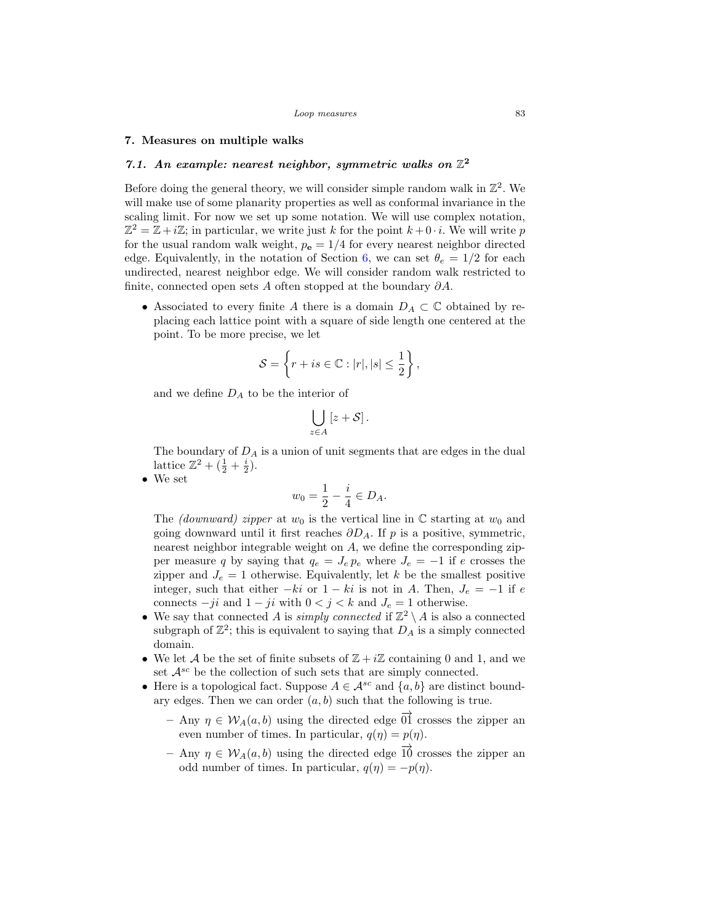### <span id="page-55-0"></span>**7. Measures on multiple walks**

# *7.1. An example: nearest neighbor, symmetric walks on* Z**<sup>2</sup>**

Before doing the general theory, we will consider simple random walk in  $\mathbb{Z}^2$ . We will make use of some planarity properties as well as conformal invariance in the scaling limit. For now we set up some notation. We will use complex notation,  $\mathbb{Z}^2 = \mathbb{Z} + i\mathbb{Z}$ ; in particular, we write just k for the point  $k + 0 \cdot i$ . We will write p for the usual random walk weight,  $p_e = 1/4$  for every nearest neighbor directed edge. Equivalently, in the notation of Section [6,](#page-39-0) we can set  $\theta_e = 1/2$  for each undirected, nearest neighbor edge. We will consider random walk restricted to finite, connected open sets A often stopped at the boundary  $\partial A$ .

• Associated to every finite A there is a domain  $D_A \subset \mathbb{C}$  obtained by replacing each lattice point with a square of side length one centered at the point. To be more precise, we let

$$
\mathcal{S} = \left\{ r + is \in \mathbb{C} : |r|, |s| \le \frac{1}{2} \right\},\
$$

and we define  $D_A$  to be the interior of

$$
\bigcup_{z\in A} [z+\mathcal{S}].
$$

The boundary of  $D_A$  is a union of unit segments that are edges in the dual lattice  $\mathbb{Z}^2 + (\frac{1}{2} + \frac{i}{2}).$ 

• We set

$$
w_0 = \frac{1}{2} - \frac{i}{4} \in D_A.
$$

The *(downward)* zipper at  $w_0$  is the vertical line in  $\mathbb C$  starting at  $w_0$  and going downward until it first reaches  $\partial D_A$ . If p is a positive, symmetric, nearest neighbor integrable weight on A, we define the corresponding zipper measure q by saying that  $q_e = J_e p_e$  where  $J_e = -1$  if e crosses the zipper and  $J_e = 1$  otherwise. Equivalently, let k be the smallest positive integer, such that either  $-ki$  or  $1 - ki$  is not in A. Then,  $J_e = -1$  if e connects  $-ji$  and  $1 - ji$  with  $0 < j < k$  and  $J_e = 1$  otherwise.

- We say that connected A is *simply connected* if  $\mathbb{Z}^2 \setminus A$  is also a connected subgraph of  $\mathbb{Z}^2$ ; this is equivalent to saying that  $D_A$  is a simply connected domain.
- We let A be the set of finite subsets of  $\mathbb{Z} + i\mathbb{Z}$  containing 0 and 1, and we set  $\mathcal{A}^{sc}$  be the collection of such sets that are simply connected.
- Here is a topological fact. Suppose  $A \in \mathcal{A}^{sc}$  and  $\{a, b\}$  are distinct boundary edges. Then we can order  $(a, b)$  such that the following is true.
	- $-$  Any  $η ∈ W<sub>A</sub>(a, b)$  using the directed edge  $\overrightarrow{01}$  crosses the zipper an even number of times. In particular,  $q(\eta) = p(\eta)$ .
	- $-$  Any  $η ∈ W<sub>A</sub>(a, b)$  using the directed edge  $\overrightarrow{10}$  crosses the zipper an odd number of times. In particular,  $q(\eta) = -p(\eta)$ .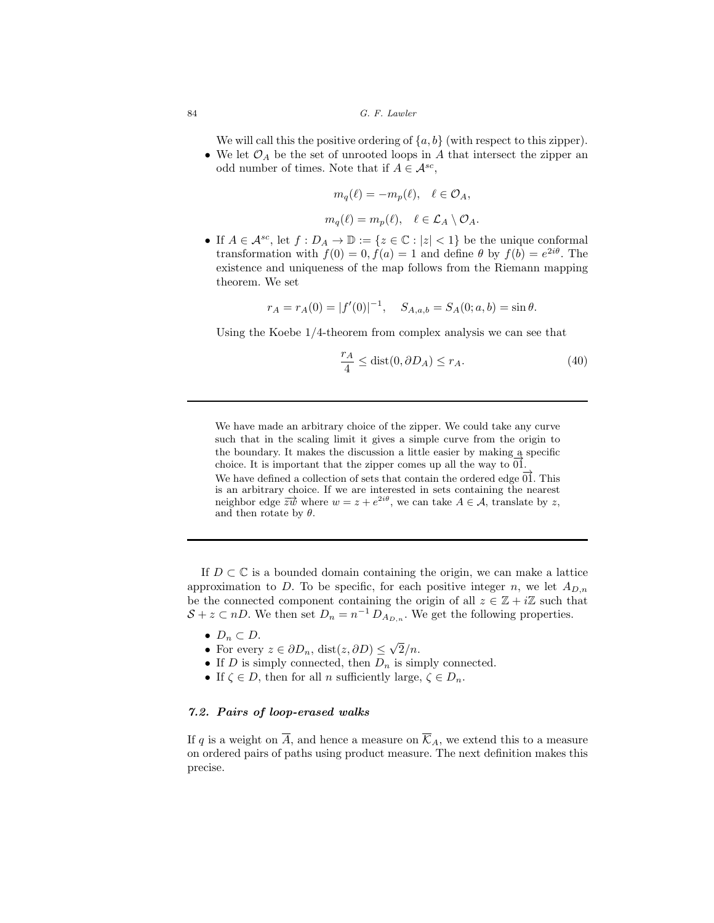We will call this the positive ordering of  $\{a, b\}$  (with respect to this zipper).

• We let  $\mathcal{O}_A$  be the set of unrooted loops in  $A$  that intersect the zipper an odd number of times. Note that if  $A \in \mathcal{A}^{sc}$ ,

$$
m_q(\ell) = -m_p(\ell), \quad \ell \in \mathcal{O}_A,
$$
  

$$
m_q(\ell) = m_p(\ell), \quad \ell \in \mathcal{L}_A \setminus \mathcal{O}_A.
$$

• If  $A \in \mathcal{A}^{sc}$ , let  $f : D_A \to \mathbb{D} := \{z \in \mathbb{C} : |z| < 1\}$  be the unique conformal transformation with  $f(0) = 0, f(a) = 1$  and define  $\theta$  by  $f(b) = e^{2i\theta}$ . The existence and uniqueness of the map follows from the Riemann mapping theorem. We set

$$
r_A = r_A(0) = |f'(0)|^{-1}, \quad S_{A,a,b} = S_A(0; a, b) = \sin \theta.
$$

Using the Koebe 1/4-theorem from complex analysis we can see that

<span id="page-56-0"></span>
$$
\frac{r_A}{4} \le \text{dist}(0, \partial D_A) \le r_A. \tag{40}
$$

We have made an arbitrary choice of the zipper. We could take any curve such that in the scaling limit it gives a simple curve from the origin to the boundary. It makes the discussion a little easier by making a specific choice. It is important that the zipper comes up all the way to  $01$ . We have defined a collection of sets that contain the ordered edge  $\overline{01}$ . This is an arbitrary choice. If we are interested in sets containing the nearest neighbor edge  $\overline{z}\overline{w}$  where  $w = z + e^{2i\theta}$ , we can take  $A \in \mathcal{A}$ , translate by z, and then rotate by  $\theta$ .

If  $D \subset \mathbb{C}$  is a bounded domain containing the origin, we can make a lattice approximation to D. To be specific, for each positive integer n, we let  $A_{D,n}$ be the connected component containing the origin of all  $z \in \mathbb{Z} + i\mathbb{Z}$  such that  $S + z \subset nD$ . We then set  $D_n = n^{-1} D_{A_{D,n}}$ . We get the following properties.

- $D_n \subset D$ .
- For every  $z \in \partial D_n$ , dist $(z, \partial D) \leq \sqrt{2}/n$ .
- If D is simply connected, then  $D_n$  is simply connected.
- If  $\zeta \in D$ , then for all n sufficiently large,  $\zeta \in D_n$ .

# *7.2. Pairs of loop-erased walks*

If q is a weight on  $\overline{A}$ , and hence a measure on  $\overline{K}_A$ , we extend this to a measure on ordered pairs of paths using product measure. The next definition makes this precise.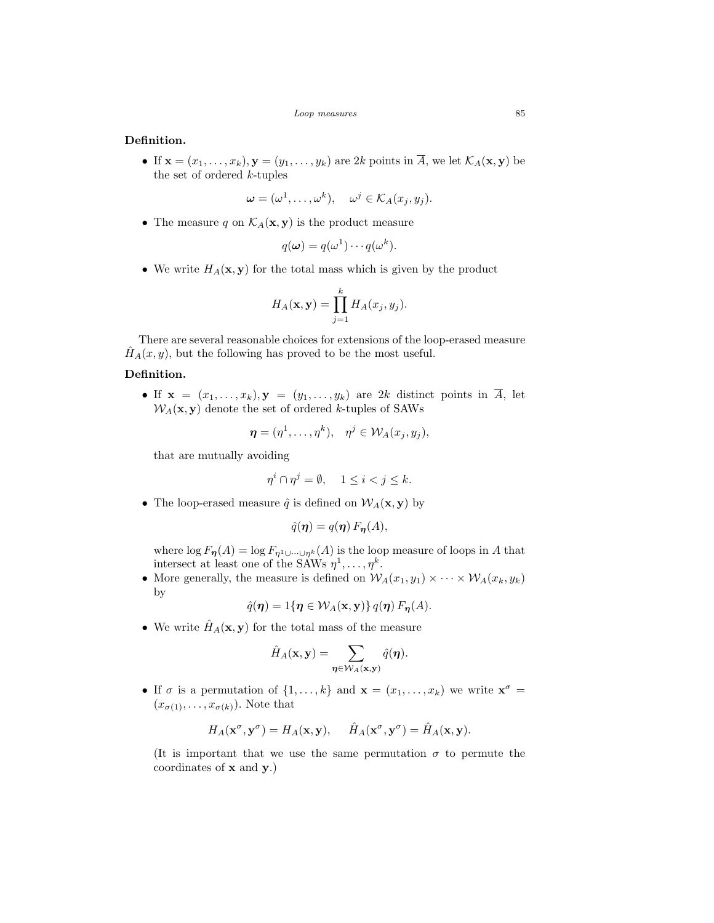# **Definition.**

• If  $\mathbf{x} = (x_1, \ldots, x_k), \mathbf{y} = (y_1, \ldots, y_k)$  are 2k points in  $\overline{A}$ , we let  $\mathcal{K}_A(\mathbf{x}, \mathbf{y})$  be the set of ordered k-tuples

$$
\boldsymbol{\omega} = (\omega^1, \dots, \omega^k), \quad \omega^j \in \mathcal{K}_A(x_j, y_j).
$$

• The measure q on  $\mathcal{K}_A(\mathbf{x}, \mathbf{y})$  is the product measure

$$
q(\boldsymbol{\omega}) = q(\omega^1) \cdots q(\omega^k).
$$

• We write  $H_A(\mathbf{x}, \mathbf{y})$  for the total mass which is given by the product

$$
H_A(\mathbf{x}, \mathbf{y}) = \prod_{j=1}^k H_A(x_j, y_j).
$$

There are several reasonable choices for extensions of the loop-erased measure  $H_A(x, y)$ , but the following has proved to be the most useful.

# **Definition.**

• If  $\mathbf{x} = (x_1, \ldots, x_k), \mathbf{y} = (y_1, \ldots, y_k)$  are 2k distinct points in  $\overline{A}$ , let  $\mathcal{W}_A(\mathbf{x}, \mathbf{y})$  denote the set of ordered *k*-tuples of SAWs

$$
\boldsymbol{\eta}=(\eta^1,\ldots,\eta^k),\quad \eta^j\in \mathcal{W}_A(x_j,y_j),
$$

that are mutually avoiding

$$
\eta^i \cap \eta^j = \emptyset, \quad 1 \le i < j \le k.
$$

• The loop-erased measure  $\hat{q}$  is defined on  $\mathcal{W}_A(\mathbf{x}, \mathbf{y})$  by

$$
\hat{q}(\boldsymbol{\eta}) = q(\boldsymbol{\eta}) F_{\boldsymbol{\eta}}(A),
$$

where  $\log F_{\eta}(A) = \log F_{\eta^1 \cup \cdots \cup \eta^k}(A)$  is the loop measure of loops in A that intersect at least one of the SAWs  $\eta^1, \ldots, \eta^k$ .

• More generally, the measure is defined on  $\mathcal{W}_A(x_1, y_1) \times \cdots \times \mathcal{W}_A(x_k, y_k)$ by

$$
\hat{q}(\boldsymbol{\eta}) = 1\{\boldsymbol{\eta} \in \mathcal{W}_A(\mathbf{x}, \mathbf{y})\} q(\boldsymbol{\eta}) F_{\boldsymbol{\eta}}(A).
$$

• We write  $\hat{H}_A(\mathbf{x}, \mathbf{y})$  for the total mass of the measure

$$
\hat{H}_A(\mathbf{x}, \mathbf{y}) = \sum_{\boldsymbol{\eta} \in \mathcal{W}_A(\mathbf{x}, \mathbf{y})} \hat{q}(\boldsymbol{\eta}).
$$

• If  $\sigma$  is a permutation of  $\{1,\ldots,k\}$  and  $\mathbf{x} = (x_1,\ldots,x_k)$  we write  $\mathbf{x}^{\sigma} =$  $(x_{\sigma(1)},\ldots,x_{\sigma(k)})$ . Note that

$$
H_A(\mathbf{x}^\sigma, \mathbf{y}^\sigma) = H_A(\mathbf{x}, \mathbf{y}), \quad \hat{H}_A(\mathbf{x}^\sigma, \mathbf{y}^\sigma) = \hat{H}_A(\mathbf{x}, \mathbf{y}).
$$

(It is important that we use the same permutation  $\sigma$  to permute the coordinates of **x** and **y**.)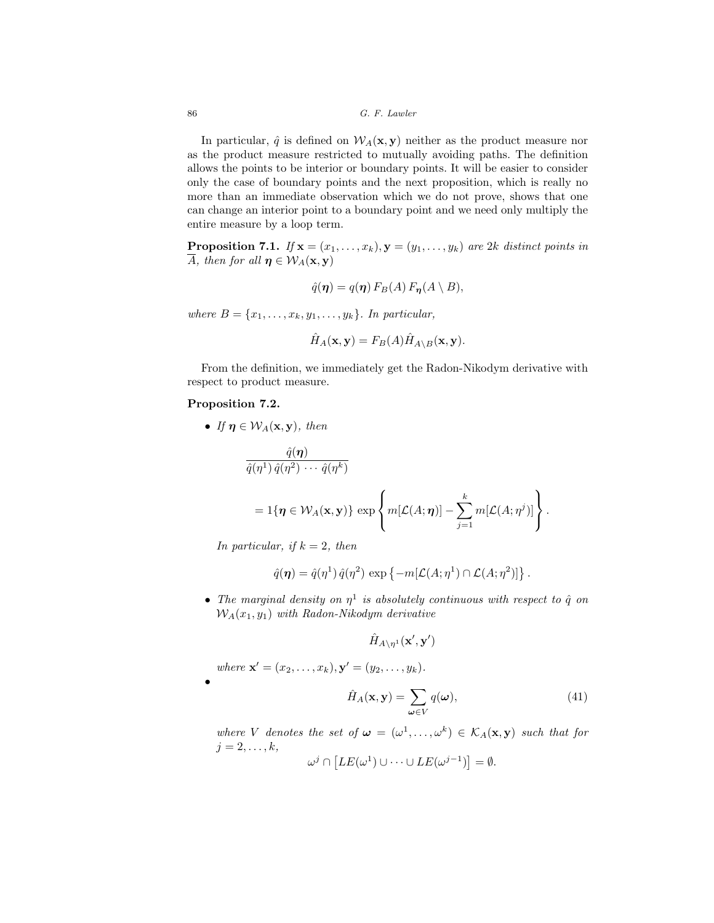In particular,  $\hat{q}$  is defined on  $W_A(\mathbf{x}, \mathbf{y})$  neither as the product measure nor as the product measure restricted to mutually avoiding paths. The definition allows the points to be interior or boundary points. It will be easier to consider only the case of boundary points and the next proposition, which is really no more than an immediate observation which we do not prove, shows that one can change an interior point to a boundary point and we need only multiply the entire measure by a loop term.

**Proposition 7.1.** If  $\mathbf{x} = (x_1, \ldots, x_k), \mathbf{y} = (y_1, \ldots, y_k)$  are 2k distinct points in  $\overline{A}$ *, then for all*  $\eta \in \mathcal{W}_A(\mathbf{x}, \mathbf{y})$ 

$$
\hat{q}(\boldsymbol{\eta}) = q(\boldsymbol{\eta}) F_B(A) F_{\boldsymbol{\eta}}(A \setminus B),
$$

where  $B = \{x_1, \ldots, x_k, y_1, \ldots, y_k\}$ . In particular,

$$
\hat{H}_A(\mathbf{x}, \mathbf{y}) = F_B(A)\hat{H}_{A \setminus B}(\mathbf{x}, \mathbf{y}).
$$

From the definition, we immediately get the Radon-Nikodym derivative with respect to product measure.

### **Proposition 7.2.**

•

• If 
$$
\eta \in W_A(\mathbf{x}, \mathbf{y})
$$
, then  
\n
$$
\frac{\hat{q}(\eta)}{\hat{q}(\eta^1)\hat{q}(\eta^2)\cdots\hat{q}(\eta^k)}
$$
\n
$$
= 1\{\eta \in W_A(\mathbf{x}, \mathbf{y})\} \exp\left\{m[\mathcal{L}(A; \eta)] - \sum_{j=1}^k m[\mathcal{L}(A; \eta^j)]\right\}.
$$

In particular, if  $k = 2$ , then

$$
\hat{q}(\boldsymbol{\eta}) = \hat{q}(\eta^1) \, \hat{q}(\eta^2) \, \exp \left\{ -m[\mathcal{L}(A; \eta^1) \cap \mathcal{L}(A; \eta^2)] \right\}.
$$

• The marginal density on  $\eta^1$  is absolutely continuous with respect to  $\hat{q}$  on  $W_A(x_1, y_1)$  with Radon-Nikodym derivative

$$
\hat{H}_{A\setminus \eta^1}(\mathbf{x}',\mathbf{y}')
$$

where  $\mathbf{x}' = (x_2, ..., x_k), \mathbf{y}' = (y_2, ..., y_k).$ 

<span id="page-58-0"></span>
$$
\hat{H}_A(\mathbf{x}, \mathbf{y}) = \sum_{\omega \in V} q(\omega),\tag{41}
$$

where V denotes the set of  $\boldsymbol{\omega} = (\omega^1, \dots, \omega^k) \in \mathcal{K}_A(\mathbf{x}, \mathbf{y})$  such that for  $j = 2, \ldots, k$ ,

$$
\omega^j \cap [LE(\omega^1) \cup \cdots \cup LE(\omega^{j-1})] = \emptyset.
$$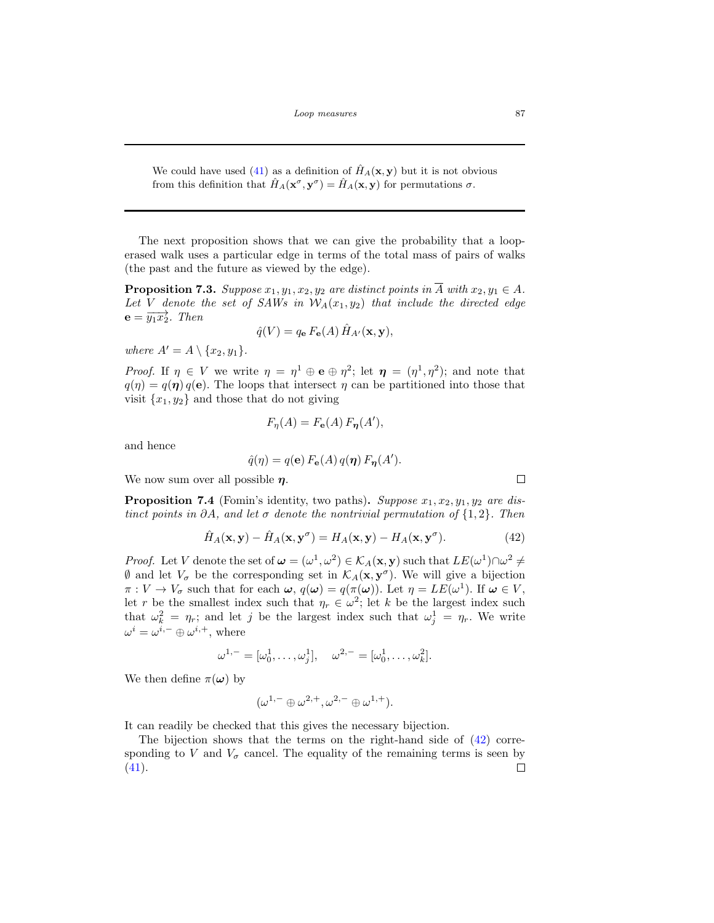We could have used [\(41\)](#page-58-0) as a definition of  $\hat{H}_A(\mathbf{x}, \mathbf{y})$  but it is not obvious from this definition that  $\hat{H}_A(\mathbf{x}^\sigma, \mathbf{y}^\sigma) = \hat{H}_A(\mathbf{x}, \mathbf{y})$  for permutations  $\sigma$ .

The next proposition shows that we can give the probability that a looperased walk uses a particular edge in terms of the total mass of pairs of walks (the past and the future as viewed by the edge).

**Proposition 7.3.** Suppose  $x_1, y_1, x_2, y_2$  are distinct points in  $\overline{A}$  with  $x_2, y_1 \in A$ . Let V denote the set of SAWs in  $W_A(x_1, y_2)$  that include the directed edge  $\mathbf{e} = \overrightarrow{y_1x_2}$ . Then

$$
\hat{q}(V) = q_{\mathbf{e}} F_{\mathbf{e}}(A) \hat{H}_{A'}(\mathbf{x}, \mathbf{y}),
$$

where  $A' = A \setminus \{x_2, y_1\}.$ 

*Proof.* If  $\eta \in V$  we write  $\eta = \eta^1 \oplus \mathbf{e} \oplus \eta^2$ ; let  $\eta = (\eta^1, \eta^2)$ ; and note that  $q(\eta) = q(\eta) q(e)$ . The loops that intersect  $\eta$  can be partitioned into those that visit  $\{x_1, y_2\}$  and those that do not giving

$$
F_{\eta}(A) = F_{\mathbf{e}}(A) F_{\eta}(A'),
$$

and hence

$$
\hat{q}(\eta) = q(\mathbf{e}) F_{\mathbf{e}}(A) q(\eta) F_{\eta}(A').
$$

We now sum over all possible *η*.

**Proposition 7.4** (Fomin's identity, two paths). Suppose  $x_1, x_2, y_1, y_2$  are distinct points in  $\partial A$ , and let  $\sigma$  denote the nontrivial permutation of  $\{1,2\}$ . Then

<span id="page-59-0"></span>
$$
\hat{H}_A(\mathbf{x}, \mathbf{y}) - \hat{H}_A(\mathbf{x}, \mathbf{y}^\sigma) = H_A(\mathbf{x}, \mathbf{y}) - H_A(\mathbf{x}, \mathbf{y}^\sigma). \tag{42}
$$

*Proof.* Let V denote the set of  $\boldsymbol{\omega} = (\omega^1, \omega^2) \in \mathcal{K}_A(\mathbf{x}, \mathbf{y})$  such that  $LE(\omega^1) \cap \omega^2 \neq$  $\emptyset$  and let  $V_{\sigma}$  be the corresponding set in  $\mathcal{K}_A(\mathbf{x}, \mathbf{y}^{\sigma})$ . We will give a bijection  $\pi: V \to V_{\sigma}$  such that for each  $\omega, q(\omega) = q(\pi(\omega))$ . Let  $\eta = LE(\omega^1)$ . If  $\omega \in V$ , let r be the smallest index such that  $\eta_r \in \omega^2$ ; let k be the largest index such that  $\omega_k^2 = \eta_r$ ; and let j be the largest index such that  $\omega_j^1 = \eta_r$ . We write  $\omega^i = \omega^{i,-} \oplus \omega^{i,+}$ , where

$$
\omega^{1,-} = [\omega_0^1, \ldots, \omega_j^1], \quad \omega^{2,-} = [\omega_0^1, \ldots, \omega_k^2].
$$

We then define  $\pi(\omega)$  by

$$
(\omega^{1,-}\oplus \omega^{2,+},\omega^{2,-}\oplus \omega^{1,+}).
$$

It can readily be checked that this gives the necessary bijection.

The bijection shows that the terms on the right-hand side of [\(42\)](#page-59-0) corresponding to V and  $V_{\sigma}$  cancel. The equality of the remaining terms is seen by  $(41).$  $(41).$  $\Box$ 

 $\Box$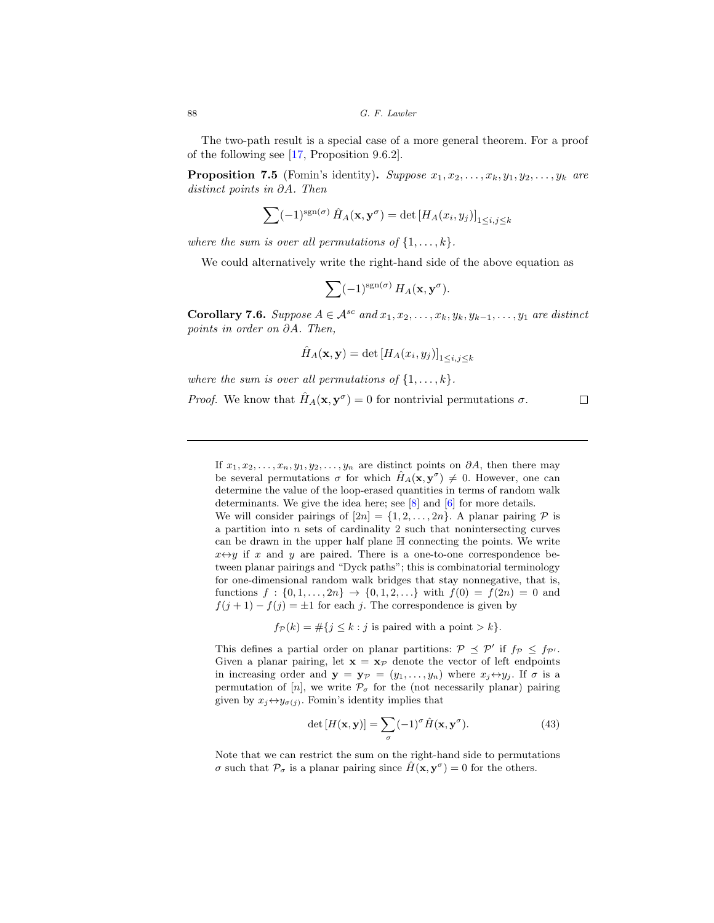The two-path result is a special case of a more general theorem. For a proof of the following see [\[17](#page-73-2), Proposition 9.6.2].

**Proposition 7.5** (Fomin's identity). Suppose  $x_1, x_2, \ldots, x_k, y_1, y_2, \ldots, y_k$  are distinct points in ∂A. Then

$$
\sum (-1)^{\operatorname{sgn}(\sigma)} \hat{H}_A(\mathbf{x}, \mathbf{y}^{\sigma}) = \det \left[ H_A(x_i, y_j) \right]_{1 \le i, j \le k}
$$

where the sum is over all permutations of  $\{1,\ldots,k\}$ .

We could alternatively write the right-hand side of the above equation as

$$
\sum (-1)^{\operatorname{sgn}(\sigma)} H_A(\mathbf{x}, \mathbf{y}^{\sigma}).
$$

<span id="page-60-1"></span>**Corollary 7.6.** Suppose  $A \in \mathcal{A}^{sc}$  and  $x_1, x_2, \ldots, x_k, y_k, y_{k-1}, \ldots, y_1$  are distinct points in order on ∂A. Then,

$$
\hat{H}_A(\mathbf{x}, \mathbf{y}) = \det \left[ H_A(x_i, y_j) \right]_{1 \le i, j \le k}
$$

where the sum is over all permutations of  $\{1,\ldots,k\}$ .

*Proof.* We know that  $H_A(\mathbf{x}, \mathbf{y}^{\sigma}) = 0$  for nontrivial permutations  $\sigma$ .

 $\Box$ 

If  $x_1, x_2, \ldots, x_n, y_1, y_2, \ldots, y_n$  are distinct points on  $\partial A$ , then there may be several permutations  $\sigma$  for which  $\hat{H}_A(\mathbf{x}, \mathbf{y}^{\sigma}) \neq 0$ . However, one can determine the value of the loop-erased quantities in terms of random walk determinants. We give the idea here; see [\[8\]](#page-72-1) and [\[6](#page-72-2)] for more details. We will consider pairings of  $[2n] = \{1, 2, ..., 2n\}$ . A planar pairing P is a partition into  $n$  sets of cardinality 2 such that nonintersecting curves can be drawn in the upper half plane  $\mathbb{H}$  connecting the points. We write  $x \leftrightarrow y$  if x and y are paired. There is a one-to-one correspondence between planar pairings and "Dyck paths"; this is combinatorial terminology for one-dimensional random walk bridges that stay nonnegative, that is, functions  $f : \{0, 1, ..., 2n\} \to \{0, 1, 2, ...\}$  with  $f(0) = f(2n) = 0$  and  $f(j + 1) - f(j) = \pm 1$  for each j. The correspondence is given by

 $f_{\mathcal{P}}(k) = #\{j \leq k : j \text{ is paired with a point } > k\}.$ 

This defines a partial order on planar partitions:  $\mathcal{P} \preceq \mathcal{P}'$  if  $f_{\mathcal{P}} \leq f_{\mathcal{P}'}$ . Given a planar pairing, let  $\mathbf{x} = \mathbf{x}_P$  denote the vector of left endpoints in increasing order and  $y = y_P = (y_1, \ldots, y_n)$  where  $x_j \leftrightarrow y_j$ . If  $\sigma$  is a permutation of [n], we write  $\mathcal{P}_{\sigma}$  for the (not necessarily planar) pairing given by  $x_j \leftrightarrow y_{\sigma(j)}$ . Fomin's identity implies that

<span id="page-60-0"></span>
$$
\det\left[H(\mathbf{x}, \mathbf{y})\right] = \sum_{\sigma} (-1)^{\sigma} \hat{H}(\mathbf{x}, \mathbf{y}^{\sigma}). \tag{43}
$$

Note that we can restrict the sum on the right-hand side to permutations σ such that  $\mathcal{P}_{\sigma}$  is a planar pairing since  $\hat{H}$ (**x**, **y**<sup>σ</sup>) = 0 for the others.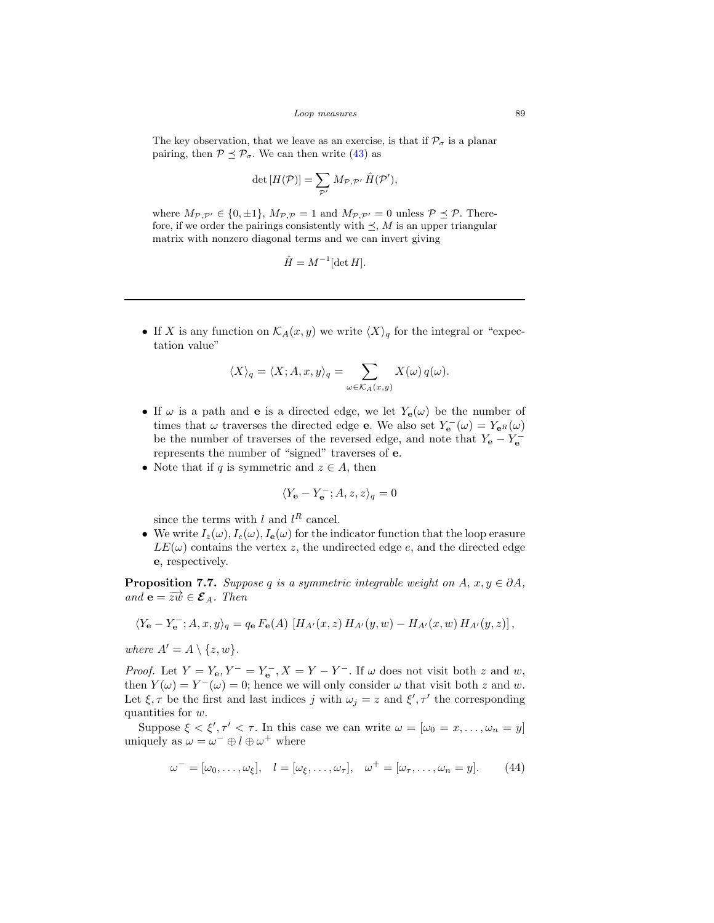The key observation, that we leave as an exercise, is that if  $\mathcal{P}_{\sigma}$  is a planar pairing, then  $\mathcal{P} \preceq \mathcal{P}_{\sigma}$ . We can then write [\(43\)](#page-60-0) as

$$
\det[H(\mathcal{P})] = \sum_{\mathcal{P}'} M_{\mathcal{P},\mathcal{P}'} \hat{H}(\mathcal{P}'),
$$

where  $M_{\mathcal{P},\mathcal{P}'} \in \{0,\pm 1\}$ ,  $M_{\mathcal{P},\mathcal{P}} = 1$  and  $M_{\mathcal{P},\mathcal{P}'} = 0$  unless  $\mathcal{P} \preceq \mathcal{P}$ . Therefore, if we order the pairings consistently with  $\preceq$ , M is an upper triangular matrix with nonzero diagonal terms and we can invert giving

$$
\hat{H} = M^{-1} [\det H].
$$

• If X is any function on  $\mathcal{K}_A(x, y)$  we write  $\langle X \rangle_q$  for the integral or "expectation value"

$$
\langle X \rangle_q = \langle X; A, x, y \rangle_q = \sum_{\omega \in \mathcal{K}_A(x, y)} X(\omega) q(\omega).
$$

- If  $\omega$  is a path and **e** is a directed edge, we let  $Y_e(\omega)$  be the number of times that  $\omega$  traverses the directed edge **e**. We also set  $Y_{\mathbf{e}}^{-}(\omega) = Y_{\mathbf{e}^{R}}(\omega)$ be the number of traverses of the reversed edge, and note that  $Y_e - Y_e^$ represents the number of "signed" traverses of **e**.
- Note that if q is symmetric and  $z \in A$ , then

$$
\langle Y_{\mathbf{e}}-Y_{\mathbf{e}}^{\top};A,z,z\rangle_{q}=0
$$

since the terms with l and  $l^R$  cancel.

• We write  $I_z(\omega)$ ,  $I_e(\omega)$ ,  $I_e(\omega)$  for the indicator function that the loop erasure  $LE(\omega)$  contains the vertex z, the undirected edge e, and the directed edge **e**, respectively.

<span id="page-61-1"></span>**Proposition 7.7.** Suppose q is a symmetric integrable weight on  $A, x, y \in \partial A$ , and **e** =  $\overrightarrow{zw} \in \mathcal{E}_A$ . Then

$$
\langle Y_{\mathbf{e}} - Y_{\mathbf{e}}^{-} ; A, x, y \rangle_{q} = q_{\mathbf{e}} F_{\mathbf{e}}(A) \left[ H_{A'}(x, z) H_{A'}(y, w) - H_{A'}(x, w) H_{A'}(y, z) \right],
$$

where  $A' = A \setminus \{z, w\}.$ 

*Proof.* Let  $Y = Y_e, Y^- = Y_e^-, X = Y - Y^-$ . If  $\omega$  does not visit both z and w, then  $Y(\omega) = Y^{-1}(\omega) = 0$ ; hence we will only consider  $\omega$  that visit both z and w. Let  $\xi, \tau$  be the first and last indices j with  $\omega_j = z$  and  $\xi', \tau'$  the corresponding quantities for w.

Suppose  $\xi < \xi', \tau' < \tau$ . In this case we can write  $\omega = [\omega_0 = x, \dots, \omega_n = y]$ uniquely as  $\omega = \omega^- \oplus l \oplus \omega^+$  where

<span id="page-61-0"></span>
$$
\omega^- = [\omega_0, \dots, \omega_{\xi}], \quad l = [\omega_{\xi}, \dots, \omega_{\tau}], \quad \omega^+ = [\omega_{\tau}, \dots, \omega_n = y]. \tag{44}
$$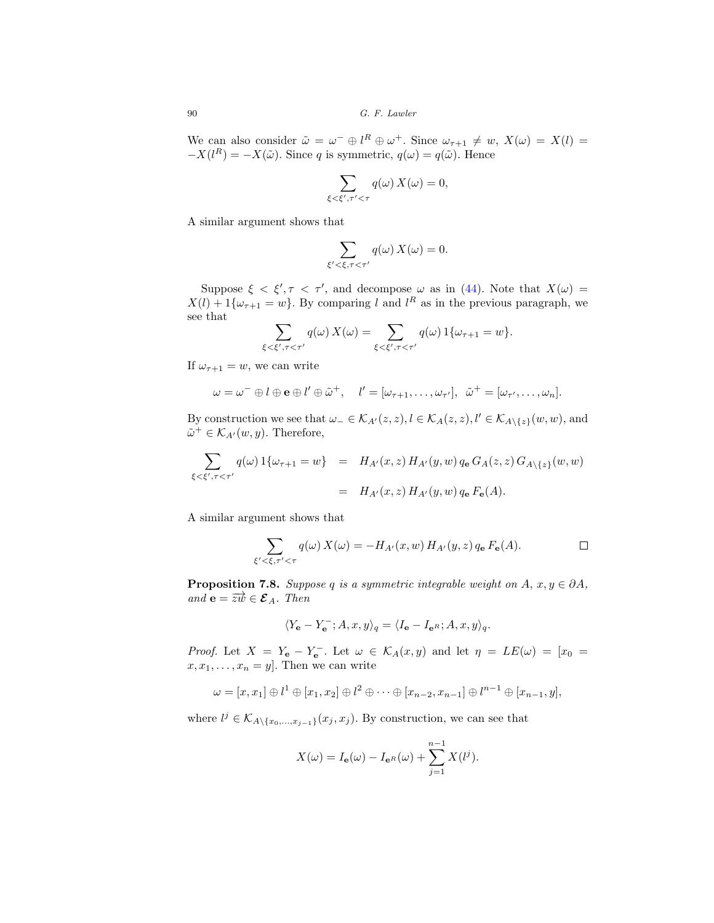We can also consider  $\tilde{\omega} = \omega^- \oplus l^R \oplus \omega^+$ . Since  $\omega_{\tau+1} \neq w$ ,  $X(\omega) = X(l)$  $-X(l^R) = -X(\tilde{\omega})$ . Since q is symmetric,  $q(\omega) = q(\tilde{\omega})$ . Hence

$$
\sum_{\xi < \xi', \tau' < \tau} q(\omega) \, X(\omega) = 0,
$$

A similar argument shows that

$$
\sum_{\xi' < \xi, \tau < \tau'} q(\omega) X(\omega) = 0.
$$

Suppose  $\xi < \xi', \tau < \tau'$ , and decompose  $\omega$  as in [\(44\)](#page-61-0). Note that  $X(\omega) =$  $X(l) + 1\{\omega_{\tau+1} = w\}$ . By comparing l and l<sup>R</sup> as in the previous paragraph, we see that

$$
\sum_{\xi<\xi',\tau<\tau'}q(\omega)\,X(\omega)=\sum_{\xi<\xi',\tau<\tau'}q(\omega)\,1\{\omega_{\tau+1}=w\}.
$$

If  $\omega_{\tau+1} = w$ , we can write

$$
\omega = \omega^- \oplus l \oplus \mathbf{e} \oplus l' \oplus \tilde{\omega}^+, \quad l' = [\omega_{\tau+1}, \ldots, \omega_{\tau'}], \quad \tilde{\omega}^+ = [\omega_{\tau'}, \ldots, \omega_n].
$$

By construction we see that  $\omega_-\in \mathcal{K}_{A'}(z, z), l\in \mathcal{K}_{A}(z, z), l'\in \mathcal{K}_{A\setminus\{z\}}(w, w)$ , and  $\tilde{\omega}^+ \in \mathcal{K}_{A'}(w, y)$ . Therefore,

$$
\sum_{\xi < \xi', \tau < \tau'} q(\omega) 1\{\omega_{\tau+1} = w\} = H_{A'}(x, z) H_{A'}(y, w) q_{\mathbf{e}} G_A(z, z) G_{A \setminus \{z\}}(w, w)
$$
  
=  $H_{A'}(x, z) H_{A'}(y, w) q_{\mathbf{e}} F_{\mathbf{e}}(A).$ 

A similar argument shows that

$$
\sum_{\xi' < \xi, \tau' < \tau} q(\omega) \, X(\omega) = -H_{A'}(x, w) \, H_{A'}(y, z) \, q_{\mathbf{e}} \, F_{\mathbf{e}}(A). \qquad \qquad \Box
$$

<span id="page-62-0"></span>**Proposition 7.8.** Suppose q is a symmetric integrable weight on  $A, x, y \in \partial A$ , and **e** =  $\overrightarrow{zw} \in \mathcal{E}_A$ . Then

$$
\langle Y_{\mathbf{e}} - Y_{\mathbf{e}}^{-} ; A, x, y \rangle_{q} = \langle I_{\mathbf{e}} - I_{\mathbf{e}^{R}} ; A, x, y \rangle_{q}.
$$

*Proof.* Let  $X = Y_e - Y_e^-$ . Let  $\omega \in \mathcal{K}_A(x, y)$  and let  $\eta = LE(\omega) = [x_0 =$  $x, x_1, \ldots, x_n = y$ . Then we can write

$$
\omega = [x, x_1] \oplus l^1 \oplus [x_1, x_2] \oplus l^2 \oplus \cdots \oplus [x_{n-2}, x_{n-1}] \oplus l^{n-1} \oplus [x_{n-1}, y],
$$

where  $l^j \in \mathcal{K}_{A \setminus \{x_0, ..., x_{j-1}\}}(x_j, x_j)$ . By construction, we can see that

$$
X(\omega) = I_{\mathbf{e}}(\omega) - I_{\mathbf{e}^R}(\omega) + \sum_{j=1}^{n-1} X(l^j).
$$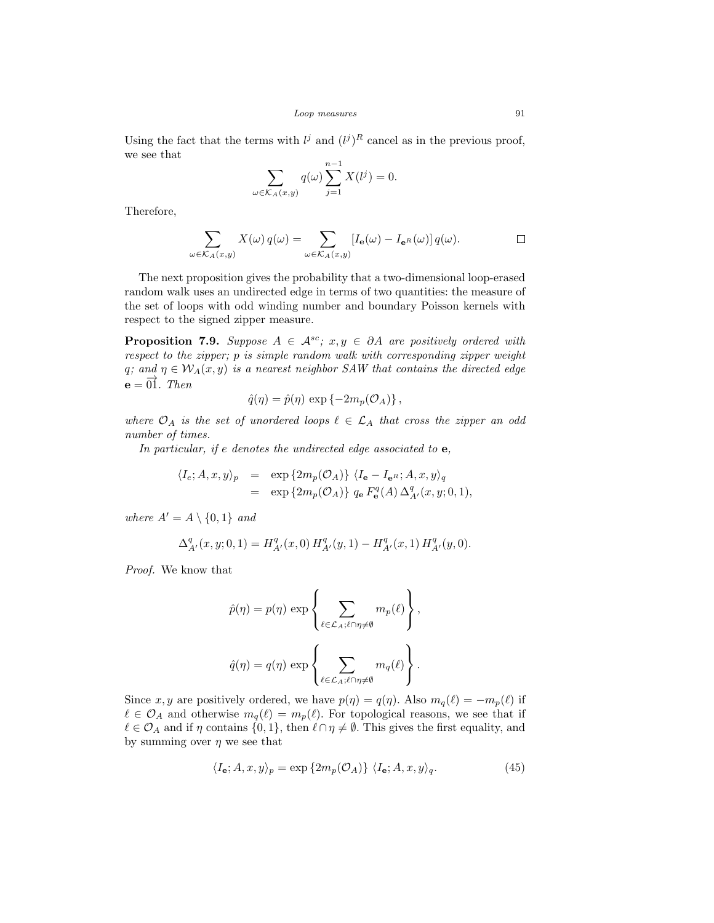Using the fact that the terms with  $l^j$  and  $(l^j)^R$  cancel as in the previous proof, we see that

$$
\sum_{\in \mathcal{K}_A(x,y)} q(\omega) \sum_{j=1}^{n-1} X(l^j) = 0.
$$

 $\omega$ 

Therefore,

$$
\sum_{\omega \in \mathcal{K}_A(x,y)} X(\omega) q(\omega) = \sum_{\omega \in \mathcal{K}_A(x,y)} [I_{\mathbf{e}}(\omega) - I_{\mathbf{e}^R}(\omega)] q(\omega).
$$

The next proposition gives the probability that a two-dimensional loop-erased random walk uses an undirected edge in terms of two quantities: the measure of the set of loops with odd winding number and boundary Poisson kernels with respect to the signed zipper measure.

<span id="page-63-1"></span>**Proposition 7.9.** Suppose  $A \in \mathcal{A}^{sc}$ ;  $x, y \in \partial A$  are positively ordered with respect to the zipper; p is simple random walk with corresponding zipper weight q; and  $\eta \in \mathcal{W}_A(x, y)$  is a nearest neighbor SAW that contains the directed edge  ${\bf e} = \overrightarrow{01}$ . Then

$$
\hat{q}(\eta) = \hat{p}(\eta) \exp \{-2m_p(\mathcal{O}_A)\},\,
$$

where  $\mathcal{O}_A$  is the set of unordered loops  $\ell \in \mathcal{L}_A$  that cross the zipper an odd number of times.

In particular, if e denotes the undirected edge associated to **e**,

$$
\langle I_e; A, x, y \rangle_p = \exp \{ 2m_p(\mathcal{O}_A) \} \langle I_e - I_{\mathbf{e}^R}; A, x, y \rangle_q
$$
  
=  $\exp \{ 2m_p(\mathcal{O}_A) \} q_{\mathbf{e}} F_{\mathbf{e}}^q(A) \Delta_{A'}^q(x, y; 0, 1),$ 

where  $A' = A \setminus \{0, 1\}$  and

$$
\Delta_{A'}^q(x, y; 0, 1) = H_{A'}^q(x, 0) H_{A'}^q(y, 1) - H_{A'}^q(x, 1) H_{A'}^q(y, 0).
$$

Proof. We know that

$$
\hat{p}(\eta) = p(\eta) \exp \left\{ \sum_{\ell \in \mathcal{L}_A; \ell \cap \eta \neq \emptyset} m_p(\ell) \right\},
$$

$$
\hat{q}(\eta) = q(\eta) \exp \left\{ \sum_{\ell \in \mathcal{L}_A; \ell \cap \eta \neq \emptyset} m_q(\ell) \right\}.
$$

Since x, y are positively ordered, we have  $p(\eta) = q(\eta)$ . Also  $m_q(\ell) = -m_p(\ell)$  if  $\ell \in \mathcal{O}_A$  and otherwise  $m_q(\ell) = m_p(\ell)$ . For topological reasons, we see that if  $\ell \in \mathcal{O}_A$  and if  $\eta$  contains  $\{0,1\}$ , then  $\ell \cap \eta \neq \emptyset$ . This gives the first equality, and by summing over  $\eta$  we see that

<span id="page-63-0"></span>
$$
\langle I_{\mathbf{e}}; A, x, y \rangle_p = \exp \{ 2m_p(\mathcal{O}_A) \} \langle I_{\mathbf{e}}; A, x, y \rangle_q.
$$
 (45)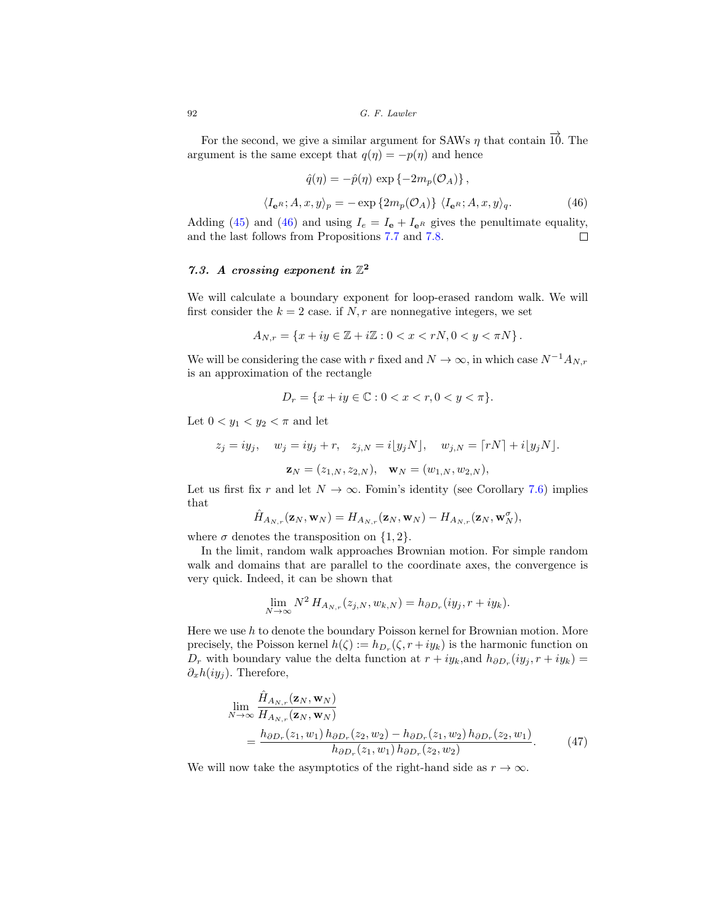For the second, we give a similar argument for SAWs  $\eta$  that contain  $\overrightarrow{10}$ . The argument is the same except that  $q(\eta) = -p(\eta)$  and hence

<span id="page-64-0"></span>
$$
\hat{q}(\eta) = -\hat{p}(\eta) \exp\{-2m_p(\mathcal{O}_A)\},
$$
  

$$
\langle I_{\mathbf{e}^R}; A, x, y \rangle_p = -\exp\{2m_p(\mathcal{O}_A)\} \langle I_{\mathbf{e}^R}; A, x, y \rangle_q.
$$
 (46)

Adding [\(45\)](#page-63-0) and [\(46\)](#page-64-0) and using  $I_e = I_e + I_{e^R}$  gives the penultimate equality, and the last follows from Propositions [7.7](#page-61-1) and [7.8.](#page-62-0) □

# *7.3. A crossing exponent in* Z**<sup>2</sup>**

We will calculate a boundary exponent for loop-erased random walk. We will first consider the  $k = 2$  case. if N, r are nonnegative integers, we set

$$
A_{N,r} = \{x + iy \in \mathbb{Z} + i\mathbb{Z} : 0 < x < rN, 0 < y < \pi N\}.
$$

We will be considering the case with r fixed and  $N \to \infty$ , in which case  $N^{-1}A_{N,r}$ is an approximation of the rectangle

$$
D_r = \{x + iy \in \mathbb{C} : 0 < x < r, 0 < y < \pi\}.
$$

Let  $0 < y_1 < y_2 < \pi$  and let

$$
z_j = iy_j
$$
,  $w_j = iy_j + r$ ,  $z_{j,N} = i\lfloor y_j N \rfloor$ ,  $w_{j,N} = \lceil rN \rceil + i\lfloor y_j N \rfloor$ .  
 $\mathbf{z}_N = (z_{1,N}, z_{2,N})$ ,  $\mathbf{w}_N = (w_{1,N}, w_{2,N})$ ,

Let us first fix r and let  $N \to \infty$ . Fomin's identity (see Corollary [7.6\)](#page-60-1) implies that

$$
\hat{H}_{A_{N,r}}(\mathbf{z}_N,\mathbf{w}_N)=H_{A_{N,r}}(\mathbf{z}_N,\mathbf{w}_N)-H_{A_{N,r}}(\mathbf{z}_N,\mathbf{w}_N^{\sigma}),
$$

where  $\sigma$  denotes the transposition on  $\{1,2\}.$ 

In the limit, random walk approaches Brownian motion. For simple random walk and domains that are parallel to the coordinate axes, the convergence is very quick. Indeed, it can be shown that

$$
\lim_{N \to \infty} N^2 H_{A_{N,r}}(z_{j,N}, w_{k,N}) = h_{\partial D_r}(iy_j, r + iy_k).
$$

Here we use  $h$  to denote the boundary Poisson kernel for Brownian motion. More precisely, the Poisson kernel  $h(\zeta) := h_{D_r}(\zeta, r + iy_k)$  is the harmonic function on  $D_r$  with boundary value the delta function at  $r + iy_k$ , and  $h_{\partial D_r}(iy_j, r + iy_k) =$  $\partial_x h(iy_j)$ . Therefore,

$$
\lim_{N \to \infty} \frac{\hat{H}_{A_{N,r}}(\mathbf{z}_N, \mathbf{w}_N)}{H_{A_{N,r}}(\mathbf{z}_N, \mathbf{w}_N)} = \frac{h_{\partial D_r}(z_1, w_1) h_{\partial D_r}(z_2, w_2) - h_{\partial D_r}(z_1, w_2) h_{\partial D_r}(z_2, w_1)}{h_{\partial D_r}(z_1, w_1) h_{\partial D_r}(z_2, w_2)}.
$$
\n(47)

<span id="page-64-1"></span>We will now take the asymptotics of the right-hand side as  $r \to \infty$ .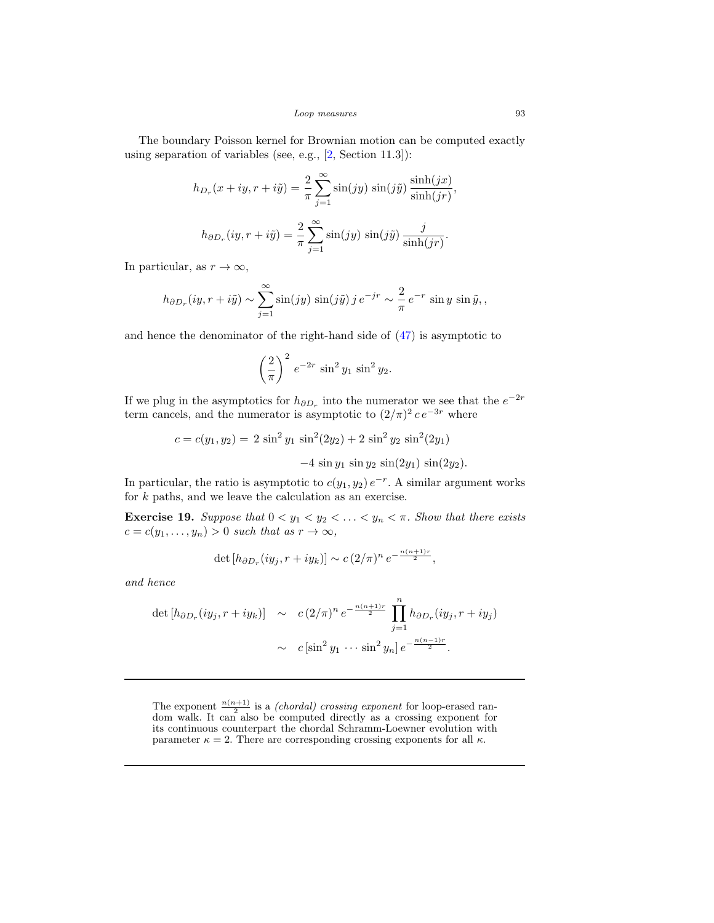The boundary Poisson kernel for Brownian motion can be computed exactly using separation of variables (see, e.g., [\[2](#page-72-3), Section 11.3]):

$$
h_{D_r}(x+iy, r+i\tilde{y}) = \frac{2}{\pi} \sum_{j=1}^{\infty} \sin(jy) \sin(j\tilde{y}) \frac{\sinh(jx)}{\sinh(jr)},
$$
  

$$
h_{\partial D_r}(iy, r+i\tilde{y}) = \frac{2}{\pi} \sum_{j=1}^{\infty} \sin(jy) \sin(j\tilde{y}) \frac{j}{\sinh(jr)}.
$$

In particular, as  $r \to \infty$ ,

$$
h_{\partial D_r}(iy, r+i\tilde{y}) \sim \sum_{j=1}^{\infty} \sin(jy) \sin(j\tilde{y}) j e^{-jr} \sim \frac{2}{\pi} e^{-r} \sin y \sin \tilde{y},
$$

and hence the denominator of the right-hand side of [\(47\)](#page-64-1) is asymptotic to

$$
\left(\frac{2}{\pi}\right)^2 e^{-2r} \sin^2 y_1 \sin^2 y_2.
$$

If we plug in the asymptotics for  $h_{\partial D_r}$  into the numerator we see that the  $e^{-2r}$ term cancels, and the numerator is asymptotic to  $(2/\pi)^2 c e^{-3r}$  where

$$
c = c(y_1, y_2) = 2 \sin^2 y_1 \sin^2(2y_2) + 2 \sin^2 y_2 \sin^2(2y_1)
$$

$$
-4 \sin y_1 \sin y_2 \sin(2y_1) \sin(2y_2).
$$

In particular, the ratio is asymptotic to  $c(y_1, y_2) e^{-r}$ . A similar argument works for k paths, and we leave the calculation as an exercise.

**Exercise 19.** Suppose that  $0 < y_1 < y_2 < \ldots < y_n < \pi$ . Show that there exists  $c = c(y_1, \ldots, y_n) > 0$  such that as  $r \to \infty$ ,

$$
\det\left[h_{\partial D_r}(iy_j,r+iy_k)\right] \sim c\,(2/\pi)^n\,e^{-\frac{n(n+1)r}{2}},
$$

and hence

$$
\det [h_{\partial D_r}(iy_j, r+iy_k)] \sim c (2/\pi)^n e^{-\frac{n(n+1)r}{2}} \prod_{j=1}^n h_{\partial D_r}(iy_j, r+iy_j)
$$

$$
\sim c [\sin^2 y_1 \cdots \sin^2 y_n] e^{-\frac{n(n-1)r}{2}}.
$$

The exponent  $\frac{n(n+1)}{2}$  is a *(chordal) crossing exponent* for loop-erased ran-<br>dom walk. It can also be computed directly as a crossing exponent for its continuous counterpart the chordal Schramm-Loewner evolution with parameter  $\kappa = 2$ . There are corresponding crossing exponents for all  $\kappa$ .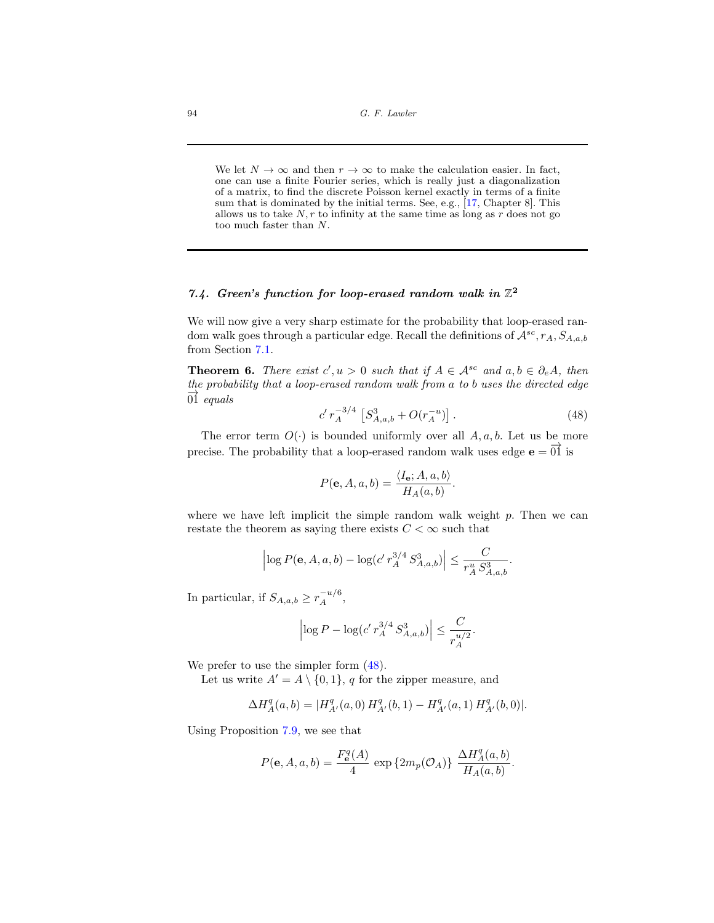We let  $N \to \infty$  and then  $r \to \infty$  to make the calculation easier. In fact, one can use a finite Fourier series, which is really just a diagonalization of a matrix, to find the discrete Poisson kernel exactly in terms of a finite sum that is dominated by the initial terms. See, e.g., [\[17](#page-73-2), Chapter 8]. This allows us to take  $N, r$  to infinity at the same time as long as r does not go too much faster than N.

# *7.4. Green's function for loop-erased random walk in* Z**<sup>2</sup>**

We will now give a very sharp estimate for the probability that loop-erased random walk goes through a particular edge. Recall the definitions of  $\mathcal{A}^{sc}$ ,  $r_A$ ,  $S_{A,a,b}$ from Section [7.1.](#page-55-0)

**Theorem 6.** There exist  $c', u > 0$  such that if  $A \in \mathcal{A}^{sc}$  and  $a, b \in \partial_e A$ , then the probability that a loop-erased random walk from a to b uses the directed edge  $\overrightarrow{01}$  equals

<span id="page-66-0"></span>
$$
c' \, r_A^{-3/4} \, \left[ S_{A,a,b}^3 + O(r_A^{-u}) \right]. \tag{48}
$$

The error term  $O(\cdot)$  is bounded uniformly over all  $A, a, b$ . Let us be more precise. The probability that a loop-erased random walk uses edge  $\mathbf{e} = \overrightarrow{01}$  is

$$
P(\mathbf{e}, A, a, b) = \frac{\langle I_{\mathbf{e}}; A, a, b \rangle}{H_A(a, b)}.
$$

where we have left implicit the simple random walk weight  $p$ . Then we can restate the theorem as saying there exists  $C < \infty$  such that

$$
\left|\log P(\mathbf{e}, A, a, b) - \log(c' r_A^{3/4} S_{A, a, b}^3)\right| \leq \frac{C}{r_A^u S_{A, a, b}^3}.
$$

In particular, if  $S_{A,a,b} \ge r_A^{-u/6}$ ,

$$
\left|\log P - \log(c' r_A^{3/4} S_{A,a,b}^3)\right| \leq \frac{C}{r_A^{u/2}}.
$$

We prefer to use the simpler form  $(48)$ .

Let us write  $A' = A \setminus \{0, 1\}$ , q for the zipper measure, and

$$
\Delta H^q_{A}(a,b) = |H^q_{A'}(a,0)\,H^q_{A'}(b,1)-H^q_{A'}(a,1)\,H^q_{A'}(b,0)|.
$$

Using Proposition [7.9,](#page-63-1) we see that

$$
P(\mathbf{e}, A, a, b) = \frac{F_{\mathbf{e}}^q(A)}{4} \exp \{2m_p(\mathcal{O}_A)\} \frac{\Delta H_A^q(a, b)}{H_A(a, b)}.
$$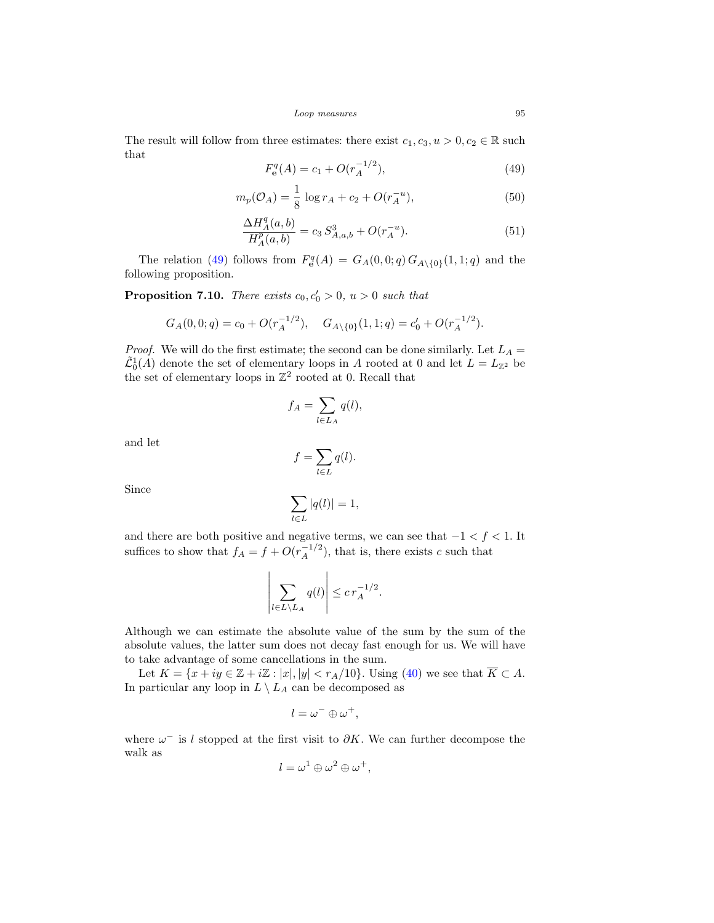The result will follow from three estimates: there exist  $c_1, c_3, u > 0, c_2 \in \mathbb{R}$  such that

<span id="page-67-0"></span>
$$
F_{\mathbf{e}}^{q}(A) = c_1 + O(r_A^{-1/2}),
$$
\n(49)

<span id="page-67-1"></span>
$$
m_p(\mathcal{O}_A) = \frac{1}{8} \log r_A + c_2 + O(r_A^{-u}), \tag{50}
$$

<span id="page-67-2"></span>
$$
\frac{\Delta H_A^q(a,b)}{H_A^p(a,b)} = c_3 S_{A,a,b}^3 + O(r_A^{-u}).
$$
\n(51)

The relation [\(49\)](#page-67-0) follows from  $F_{\mathbf{e}}^q(A) = G_A(0,0;q) G_{A\setminus\{0\}}(1,1;q)$  and the following proposition.

**Proposition 7.10.** There exists  $c_0, c'_0 > 0$ ,  $u > 0$  such that

$$
G_A(0,0;q) = c_0 + O(r_A^{-1/2}), \quad G_{A \setminus \{0\}}(1,1;q) = c'_0 + O(r_A^{-1/2}).
$$

*Proof.* We will do the first estimate; the second can be done similarly. Let  $L_A =$  $\tilde{\mathcal{L}}_0^1(A)$  denote the set of elementary loops in A rooted at 0 and let  $L = L_{\mathbb{Z}^2}$  be the set of elementary loops in  $\mathbb{Z}^2$  rooted at 0. Recall that

$$
f_A = \sum_{l \in L_A} q(l),
$$

and let

$$
f = \sum_{l \in L} q(l).
$$

Since

$$
\sum_{l\in L}|q(l)|=1,
$$

and there are both positive and negative terms, we can see that  $-1 < f < 1$ . It suffices to show that  $f_A = f + O(r_A^{-1/2})$ , that is, there exists c such that

$$
\left|\sum_{l \in L \setminus L_A} q(l)\right| \leq c \, r_A^{-1/2}.
$$

Although we can estimate the absolute value of the sum by the sum of the absolute values, the latter sum does not decay fast enough for us. We will have to take advantage of some cancellations in the sum.

Let  $K = \{x + iy \in \mathbb{Z} + i\mathbb{Z} : |x|, |y| < r_A/10\}$ . Using [\(40\)](#page-56-0) we see that  $\overline{K} \subset A$ . In particular any loop in  $L \setminus L_A$  can be decomposed as

$$
l=\omega^-\oplus\omega^+,
$$

where  $\omega^-$  is l stopped at the first visit to  $\partial K$ . We can further decompose the walk as

$$
l = \omega^1 \oplus \omega^2 \oplus \omega^+,
$$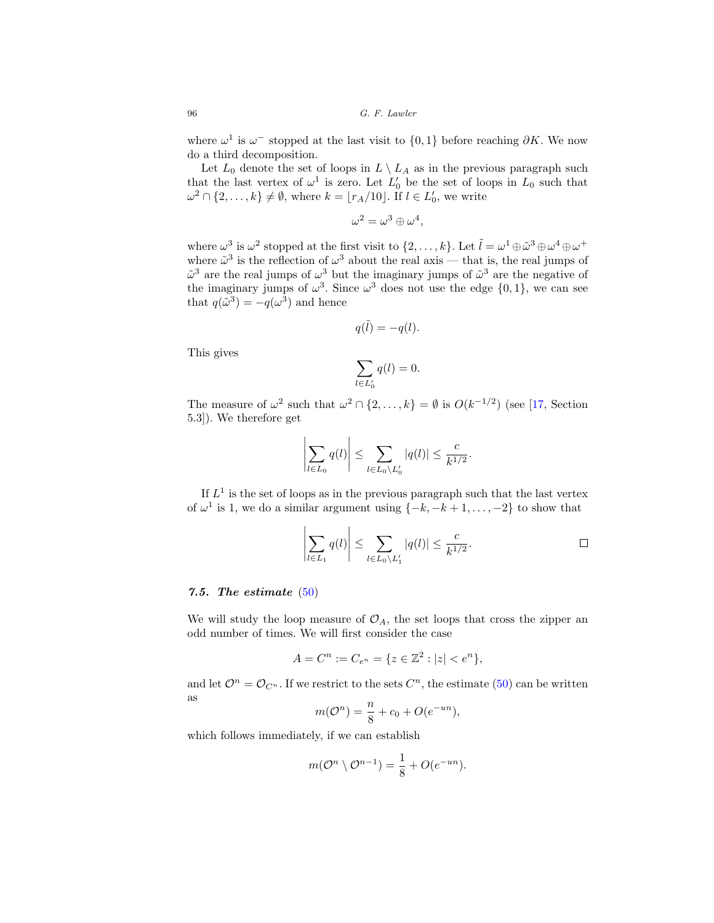where  $\omega^1$  is  $\omega^-$  stopped at the last visit to  $\{0,1\}$  before reaching ∂K. We now do a third decomposition.

Let  $L_0$  denote the set of loops in  $L \setminus L_A$  as in the previous paragraph such that the last vertex of  $\omega^1$  is zero. Let  $L'_0$  be the set of loops in  $L_0$  such that  $\omega^2 \cap \{2, \ldots, k\} \neq \emptyset$ , where  $k = \lfloor r_A/10 \rfloor$ . If  $l \in L'_0$ , we write

$$
\omega^2 = \omega^3 \oplus \omega^4,
$$

where  $\omega^3$  is  $\omega^2$  stopped at the first visit to  $\{2,\ldots,k\}$ . Let  $\tilde{l} = \omega^1 \oplus \tilde{\omega}^3 \oplus \omega^4 \oplus \omega^+$ where  $\tilde{\omega}^3$  is the reflection of  $\omega^3$  about the real axis — that is, the real jumps of  $\tilde{\omega}^3$  are the real jumps of  $\omega^3$  but the imaginary jumps of  $\tilde{\omega}^3$  are the negative of the imaginary jumps of  $\omega^3$ . Since  $\omega^3$  does not use the edge  $\{0, 1\}$ , we can see that  $q(\tilde{\omega}^3) = -q(\omega^3)$  and hence

$$
q(\tilde{l}) = -q(l).
$$

This gives

$$
\sum_{l \in L_0'} q(l) = 0.
$$

The measure of  $\omega^2$  such that  $\omega^2 \cap \{2,\ldots,k\} = \emptyset$  is  $O(k^{-1/2})$  (see [\[17](#page-73-2), Section 5.3]). We therefore get

$$
\left|\sum_{l\in L_0}q(l)\right|\leq \sum_{l\in L_0\backslash L_0'}|q(l)|\leq \frac{c}{k^{1/2}}.
$$

If  $L^1$  is the set of loops as in the previous paragraph such that the last vertex of  $\omega^1$  is 1, we do a similar argument using  $\{-k, -k+1, \ldots, -2\}$  to show that

$$
\left|\sum_{l\in L_1}q(l)\right|\leq \sum_{l\in L_0\backslash L_1'}|q(l)|\leq \frac{c}{k^{1/2}}.\qquad \qquad \Box
$$

# *7.5. The estimate* [\(50\)](#page-67-1)

We will study the loop measure of  $\mathcal{O}_A$ , the set loops that cross the zipper an odd number of times. We will first consider the case

$$
A = C^n := C_{e^n} = \{ z \in \mathbb{Z}^2 : |z| < e^n \},
$$

and let  $\mathcal{O}^n = \mathcal{O}_{C^n}$ . If we restrict to the sets  $C^n$ , the estimate [\(50\)](#page-67-1) can be written as

$$
m(\mathcal{O}^n) = \frac{n}{8} + c_0 + O(e^{-un}),
$$

which follows immediately, if we can establish

$$
m(\mathcal{O}^n \setminus \mathcal{O}^{n-1}) = \frac{1}{8} + O(e^{-un}).
$$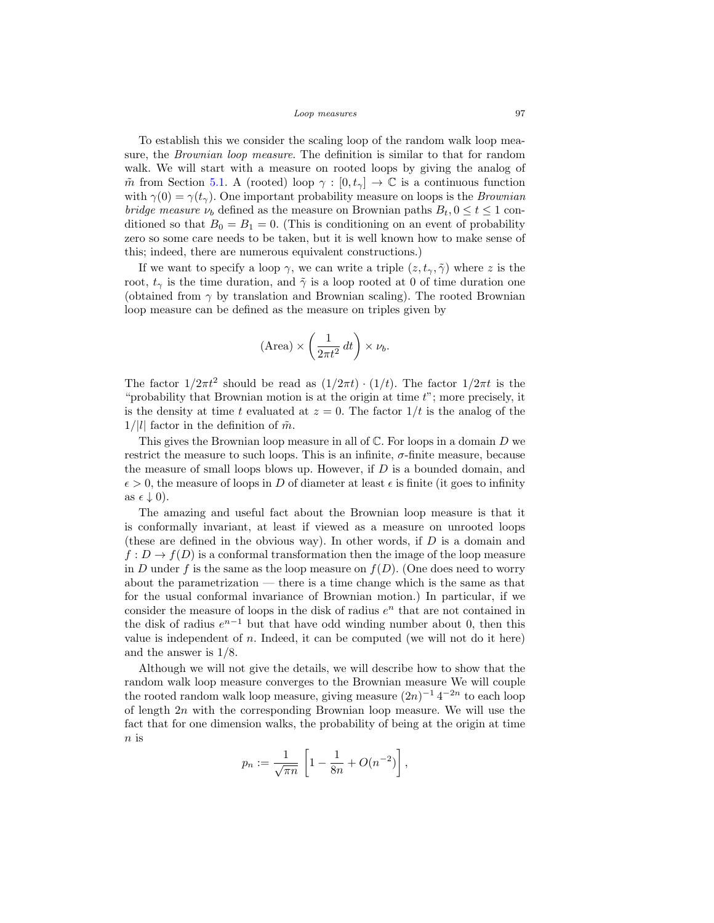To establish this we consider the scaling loop of the random walk loop measure, the Brownian loop measure. The definition is similar to that for random walk. We will start with a measure on rooted loops by giving the analog of  $\tilde{m}$  from Section [5.1.](#page-28-0) A (rooted) loop  $\gamma : [0, t_{\gamma}] \to \mathbb{C}$  is a continuous function with  $\gamma(0) = \gamma(t_\gamma)$ . One important probability measure on loops is the *Brownian* bridge measure  $\nu_b$  defined as the measure on Brownian paths  $B_t$ ,  $0 \le t \le 1$  conditioned so that  $B_0 = B_1 = 0$ . (This is conditioning on an event of probability zero so some care needs to be taken, but it is well known how to make sense of this; indeed, there are numerous equivalent constructions.)

If we want to specify a loop  $\gamma$ , we can write a triple  $(z, t_{\gamma}, \tilde{\gamma})$  where z is the root,  $t_{\gamma}$  is the time duration, and  $\tilde{\gamma}$  is a loop rooted at 0 of time duration one (obtained from  $\gamma$  by translation and Brownian scaling). The rooted Brownian loop measure can be defined as the measure on triples given by

$$
(\text{Area}) \times \left(\frac{1}{2\pi t^2} dt\right) \times \nu_b.
$$

The factor  $1/2\pi t^2$  should be read as  $(1/2\pi t) \cdot (1/t)$ . The factor  $1/2\pi t$  is the "probability that Brownian motion is at the origin at time  $t$ "; more precisely, it is the density at time t evaluated at  $z = 0$ . The factor  $1/t$  is the analog of the  $1/|l|$  factor in the definition of  $\tilde{m}$ .

This gives the Brownian loop measure in all of  $\mathbb C$ . For loops in a domain  $D$  we restrict the measure to such loops. This is an infinite,  $\sigma$ -finite measure, because the measure of small loops blows up. However, if  $D$  is a bounded domain, and  $\epsilon > 0$ , the measure of loops in D of diameter at least  $\epsilon$  is finite (it goes to infinity as  $\epsilon \downarrow 0$ .

The amazing and useful fact about the Brownian loop measure is that it is conformally invariant, at least if viewed as a measure on unrooted loops (these are defined in the obvious way). In other words, if  $D$  is a domain and  $f: D \to f(D)$  is a conformal transformation then the image of the loop measure in D under f is the same as the loop measure on  $f(D)$ . (One does need to worry about the parametrization — there is a time change which is the same as that for the usual conformal invariance of Brownian motion.) In particular, if we consider the measure of loops in the disk of radius  $e^n$  that are not contained in the disk of radius  $e^{n-1}$  but that have odd winding number about 0, then this value is independent of  $n$ . Indeed, it can be computed (we will not do it here) and the answer is 1/8.

Although we will not give the details, we will describe how to show that the random walk loop measure converges to the Brownian measure We will couple the rooted random walk loop measure, giving measure  $(2n)^{-1} 4^{-2n}$  to each loop of length 2n with the corresponding Brownian loop measure. We will use the fact that for one dimension walks, the probability of being at the origin at time n is

$$
p_n := \frac{1}{\sqrt{\pi n}} \left[ 1 - \frac{1}{8n} + O(n^{-2}) \right],
$$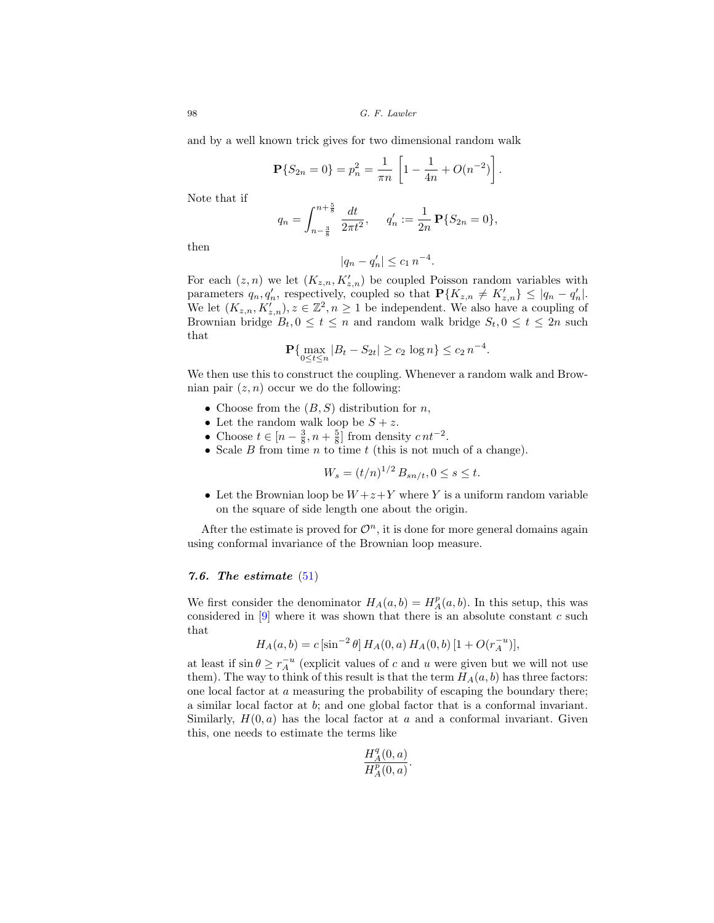and by a well known trick gives for two dimensional random walk

$$
\mathbf{P}\{S_{2n} = 0\} = p_n^2 = \frac{1}{\pi n} \left[ 1 - \frac{1}{4n} + O(n^{-2}) \right].
$$

Note that if

$$
q_n = \int_{n-\frac{3}{8}}^{n+\frac{5}{8}} \frac{dt}{2\pi t^2}, \quad q'_n := \frac{1}{2n} \mathbf{P} \{ S_{2n} = 0 \},
$$

then

$$
|q_n - q'_n| \le c_1 n^{-4}.
$$

For each  $(z, n)$  we let  $(K_{z,n}, K'_{z,n})$  be coupled Poisson random variables with parameters  $q_n, q'_n$ , respectively, coupled so that  $P\{K_{z,n} \neq K'_{z,n}\}\leq |q_n - q'_n|$ . We let  $(K_{z,n}, K'_{z,n})$ ,  $z \in \mathbb{Z}^2$ ,  $n \geq 1$  be independent. We also have a coupling of Brownian bridge  $B_t$ ,  $0 \le t \le n$  and random walk bridge  $S_t$ ,  $0 \le t \le 2n$  such that

$$
\mathbf{P}\{\max_{0\leq t\leq n}|B_t-S_{2t}|\geq c_2\log n\}\leq c_2\,n^{-4}.
$$

We then use this to construct the coupling. Whenever a random walk and Brownian pair  $(z, n)$  occur we do the following:

- Choose from the  $(B, S)$  distribution for n,
- Let the random walk loop be  $S + z$ .
- Choose  $t \in [n-\frac{3}{8}, n+\frac{5}{8}]$  from density  $cnt^{-2}$ .
- Scale  $B$  from time  $n$  to time  $t$  (this is not much of a change).

$$
W_s = (t/n)^{1/2} B_{sn/t}, 0 \le s \le t.
$$

• Let the Brownian loop be  $W + z + Y$  where Y is a uniform random variable on the square of side length one about the origin.

After the estimate is proved for  $\mathcal{O}^n$ , it is done for more general domains again using conformal invariance of the Brownian loop measure.

### *7.6. The estimate* [\(51\)](#page-67-2)

We first consider the denominator  $H_A(a, b) = H_A^p(a, b)$ . In this setup, this was considered in  $[9]$  $[9]$  where it was shown that there is an absolute constant c such that

$$
H_A(a, b) = c \left[ \sin^{-2} \theta \right] H_A(0, a) H_A(0, b) \left[ 1 + O(r_A^{-u}) \right],
$$

at least if  $\sin \theta \ge r_A^{-u}$  (explicit values of c and u were given but we will not use them). The way to think of this result is that the term  $H_A(a, b)$  has three factors: one local factor at a measuring the probability of escaping the boundary there; a similar local factor at b; and one global factor that is a conformal invariant. Similarly,  $H(0, a)$  has the local factor at a and a conformal invariant. Given this, one needs to estimate the terms like

$$
\frac{H^q_{A}(0,a)}{H^p_{A}(0,a)}.
$$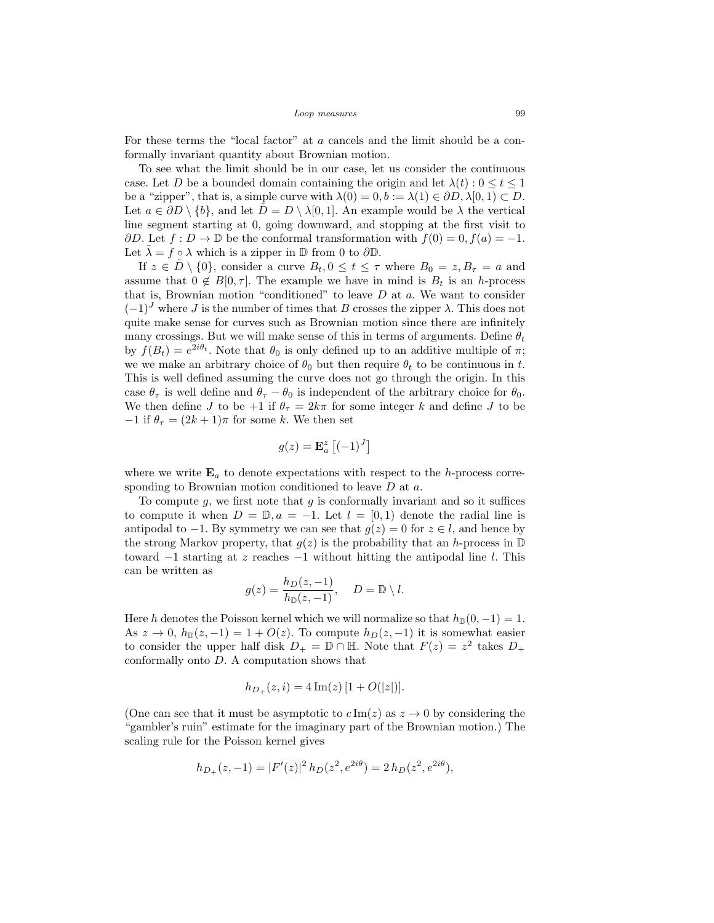For these terms the "local factor" at a cancels and the limit should be a conformally invariant quantity about Brownian motion.

To see what the limit should be in our case, let us consider the continuous case. Let D be a bounded domain containing the origin and let  $\lambda(t):0\leq t\leq 1$ be a "zipper", that is, a simple curve with  $\lambda(0) = 0, b := \lambda(1) \in \partial D, \lambda[0, 1) \subset D$ . Let  $a \in \partial D \setminus \{b\}$ , and let  $\tilde{D} = D \setminus \lambda[0,1]$ . An example would be  $\lambda$  the vertical line segment starting at 0, going downward, and stopping at the first visit to  $\partial D$ . Let  $f: D \to \mathbb{D}$  be the conformal transformation with  $f(0) = 0, f(a) = -1$ . Let  $\lambda = f \circ \lambda$  which is a zipper in D from 0 to  $\partial \mathbb{D}$ .

If  $z \in D \setminus \{0\}$ , consider a curve  $B_t, 0 \le t \le \tau$  where  $B_0 = z, B_\tau = a$  and assume that  $0 \notin B[0, \tau]$ . The example we have in mind is  $B_t$  is an h-process that is, Brownian motion "conditioned" to leave  $D$  at  $a$ . We want to consider  $(-1)^J$  where J is the number of times that B crosses the zipper  $\lambda$ . This does not quite make sense for curves such as Brownian motion since there are infinitely many crossings. But we will make sense of this in terms of arguments. Define  $\theta_t$ by  $f(B_t) = e^{2i\theta_t}$ . Note that  $\theta_0$  is only defined up to an additive multiple of  $\pi$ ; we we make an arbitrary choice of  $\theta_0$  but then require  $\theta_t$  to be continuous in t. This is well defined assuming the curve does not go through the origin. In this case  $\theta_{\tau}$  is well define and  $\theta_{\tau} - \theta_0$  is independent of the arbitrary choice for  $\theta_0$ . We then define J to be  $+1$  if  $\theta_{\tau} = 2k\pi$  for some integer k and define J to be  $-1$  if  $\theta_{\tau} = (2k+1)\pi$  for some k. We then set

$$
g(z) = \mathbf{E}_a^z \left[ (-1)^J \right]
$$

where we write  $\mathbf{E}_a$  to denote expectations with respect to the h-process corresponding to Brownian motion conditioned to leave  $D$  at  $a$ .

To compute g, we first note that g is conformally invariant and so it suffices to compute it when  $D = \mathbb{D}, a = -1$ . Let  $l = [0, 1)$  denote the radial line is antipodal to  $-1$ . By symmetry we can see that  $g(z) = 0$  for  $z \in l$ , and hence by the strong Markov property, that  $g(z)$  is the probability that an h-process in  $\mathbb D$ toward  $-1$  starting at z reaches  $-1$  without hitting the antipodal line l. This can be written as

$$
g(z) = \frac{h_D(z, -1)}{h_D(z, -1)}, \quad D = \mathbb{D} \setminus l.
$$

Here h denotes the Poisson kernel which we will normalize so that  $h_{\mathbb{D}}(0, -1) = 1$ . As  $z \to 0$ ,  $h_{\mathbb{D}}(z, -1) = 1 + O(z)$ . To compute  $h_D(z, -1)$  it is somewhat easier to consider the upper half disk  $D_+ = \mathbb{D} \cap \mathbb{H}$ . Note that  $F(z) = z^2$  takes  $D_+$ conformally onto D. A computation shows that

$$
h_{D_+}(z,i) = 4 \operatorname{Im}(z) [1 + O(|z|)].
$$

(One can see that it must be asymptotic to  $c \text{Im}(z)$  as  $z \to 0$  by considering the "gambler's ruin" estimate for the imaginary part of the Brownian motion.) The scaling rule for the Poisson kernel gives

$$
h_{D_+}(z,-1) = |F'(z)|^2 h_D(z^2, e^{2i\theta}) = 2 h_D(z^2, e^{2i\theta}),
$$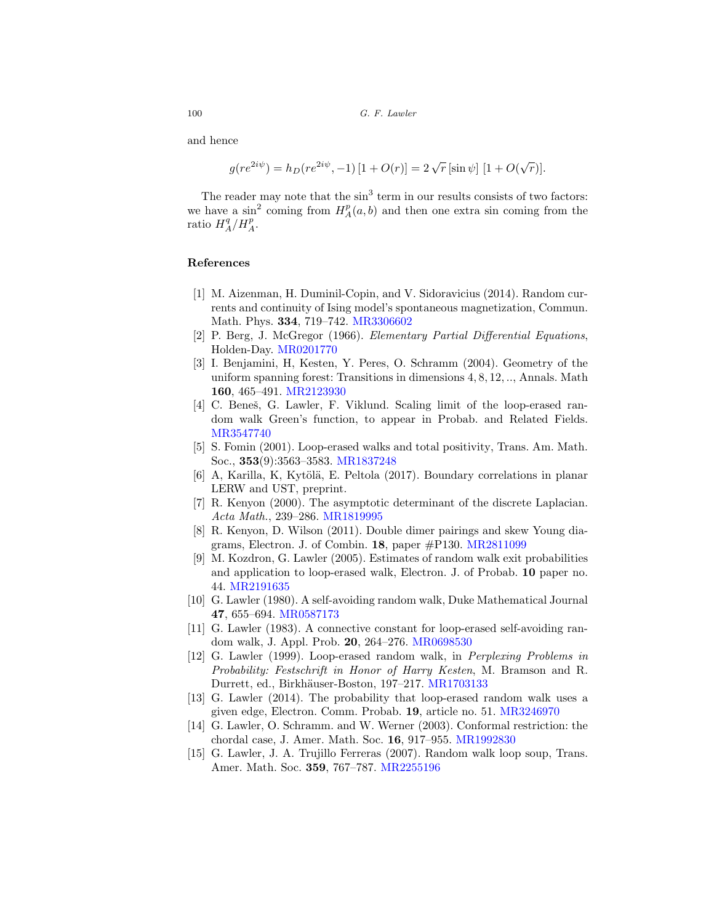100 G. F. Lawler

and hence

$$
g(re^{2i\psi}) = h_D(re^{2i\psi}, -1)[1 + O(r)] = 2\sqrt{r}[\sin\psi] [1 + O(\sqrt{r})].
$$

The reader may note that the  $\sin^3$  term in our results consists of two factors: we have a sin<sup>2</sup> coming from  $H_A^p(a, b)$  and then one extra sin coming from the ratio  $H_A^q/H_A^p$ .

## **References**

- [1] M. Aizenman, H. Duminil-Copin, and V. Sidoravicius (2014). Random currents and continuity of Ising model's spontaneous magnetization, Commun. Math. Phys. **334**, 719–742. [MR3306602](http://www.ams.org/mathscinet-getitem?mr=3306602)
- [2] P. Berg, J. McGregor (1966). Elementary Partial Differential Equations, Holden-Day. [MR0201770](http://www.ams.org/mathscinet-getitem?mr=0201770)
- [3] I. Benjamini, H, Kesten, Y. Peres, O. Schramm (2004). Geometry of the uniform spanning forest: Transitions in dimensions 4, 8, 12, .., Annals. Math **160**, 465–491. [MR2123930](http://www.ams.org/mathscinet-getitem?mr=2123930)
- [4] C. Beneš, G. Lawler, F. Viklund. Scaling limit of the loop-erased random walk Green's function, to appear in Probab. and Related Fields. [MR3547740](http://www.ams.org/mathscinet-getitem?mr=3547740)
- [5] S. Fomin (2001). Loop-erased walks and total positivity, Trans. Am. Math. Soc., **353**(9):3563–3583. [MR1837248](http://www.ams.org/mathscinet-getitem?mr=1837248)
- $[6]$  A, Karilla, K, Kytölä, E. Peltola (2017). Boundary correlations in planar LERW and UST, preprint.
- [7] R. Kenyon (2000). The asymptotic determinant of the discrete Laplacian. Acta Math., 239–286. [MR1819995](http://www.ams.org/mathscinet-getitem?mr=1819995)
- [8] R. Kenyon, D. Wilson (2011). Double dimer pairings and skew Young diagrams, Electron. J. of Combin. **18**, paper #P130. [MR2811099](http://www.ams.org/mathscinet-getitem?mr=2811099)
- [9] M. Kozdron, G. Lawler (2005). Estimates of random walk exit probabilities and application to loop-erased walk, Electron. J. of Probab. **10** paper no. 44. [MR2191635](http://www.ams.org/mathscinet-getitem?mr=2191635)
- [10] G. Lawler (1980). A self-avoiding random walk, Duke Mathematical Journal **47**, 655–694. [MR0587173](http://www.ams.org/mathscinet-getitem?mr=0587173)
- [11] G. Lawler (1983). A connective constant for loop-erased self-avoiding random walk, J. Appl. Prob. **20**, 264–276. [MR0698530](http://www.ams.org/mathscinet-getitem?mr=0698530)
- [12] G. Lawler (1999). Loop-erased random walk, in *Perplexing Problems in* Probability: Festschrift in Honor of Harry Kesten, M. Bramson and R. Durrett, ed., Birkhäuser-Boston, 197-217. [MR1703133](http://www.ams.org/mathscinet-getitem?mr=1703133)
- [13] G. Lawler (2014). The probability that loop-erased random walk uses a given edge, Electron. Comm. Probab. **19**, article no. 51. [MR3246970](http://www.ams.org/mathscinet-getitem?mr=3246970)
- [14] G. Lawler, O. Schramm. and W. Werner (2003). Conformal restriction: the chordal case, J. Amer. Math. Soc. **16**, 917–955. [MR1992830](http://www.ams.org/mathscinet-getitem?mr=1992830)
- [15] G. Lawler, J. A. Trujillo Ferreras (2007). Random walk loop soup, Trans. Amer. Math. Soc. **359**, 767–787. [MR2255196](http://www.ams.org/mathscinet-getitem?mr=2255196)